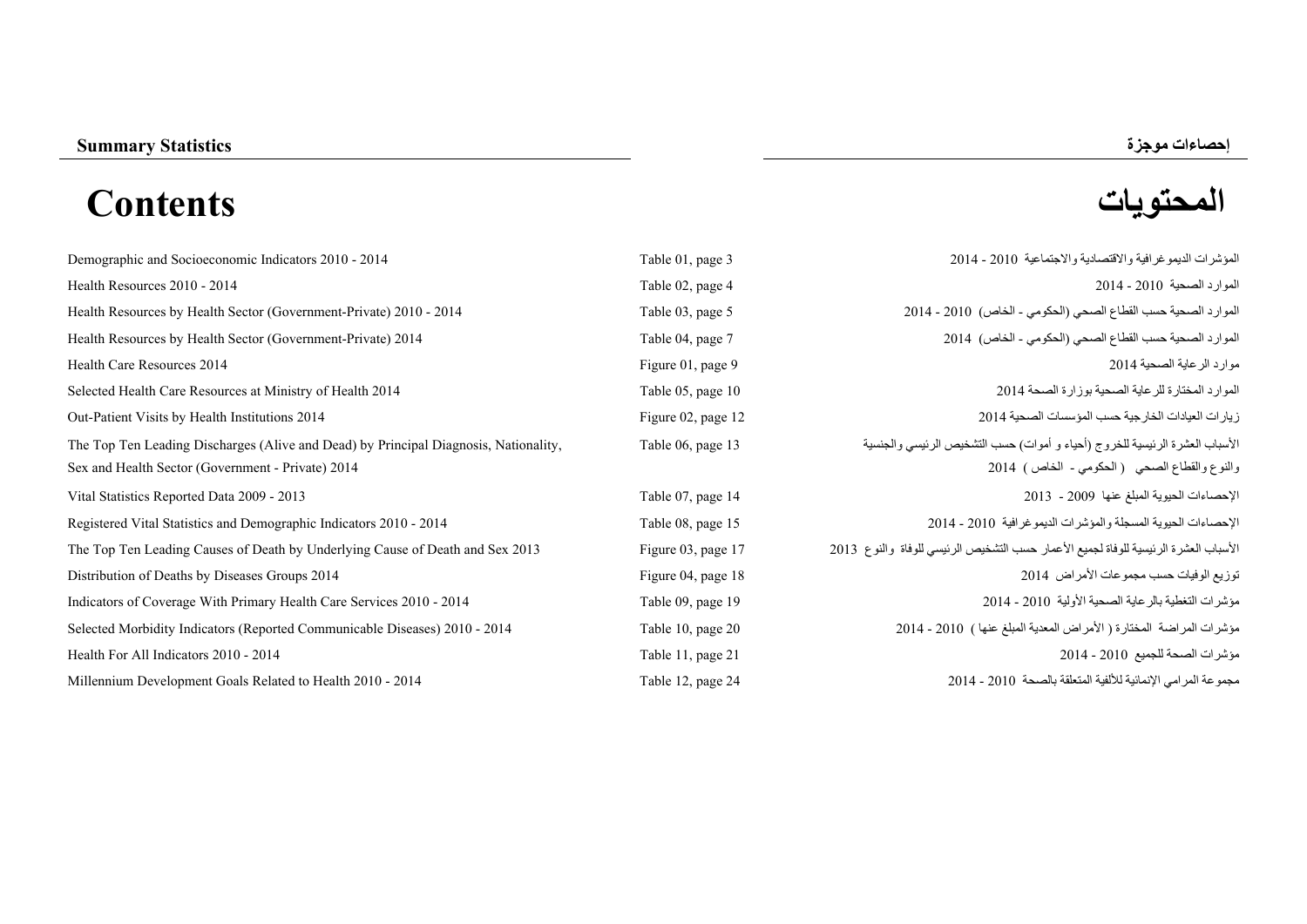# **إحصاءات موجزة Statistics Summary المحتويات Contents**

| Demographic and Socioeconomic Indicators 2010 - 2014                                 | Table 01, page 3   | المؤشرات الديمو غرافية والاقتصادية والاجتماعية 2010 - 2014                          |
|--------------------------------------------------------------------------------------|--------------------|-------------------------------------------------------------------------------------|
| Health Resources 2010 - 2014                                                         | Table 02, page 4   | الموارد الصحية 2010 - 2014                                                          |
| Health Resources by Health Sector (Government-Private) 2010 - 2014                   | Table 03, page 5   | الموارد الصحية حسب القطاع الصحى (الحكومي - الخاص) 2010 - 2014                       |
| Health Resources by Health Sector (Government-Private) 2014                          | Table 04, page 7   | الموارد الصحية حسب القطاع الصحى (الحكومي - الخاص) 2014                              |
| Health Care Resources 2014                                                           | Figure 01, page 9  | موارد الرعاية الصحية 2014                                                           |
| Selected Health Care Resources at Ministry of Health 2014                            | Table 05, page 10  | الموارد المختارة للرعاية الصحية بوزارة الصحة 2014                                   |
| Out-Patient Visits by Health Institutions 2014                                       | Figure 02, page 12 | زيارات العيادات الخارجية حسب المؤسسات الصحية 2014                                   |
| The Top Ten Leading Discharges (Alive and Dead) by Principal Diagnosis, Nationality, | Table 06, page 13  | الأسباب العشرة الرئيسية للخروج (أحياء و أموات) حسب التشخيص الرئيسي والجنسية         |
| Sex and Health Sector (Government - Private) 2014                                    |                    | والنوع والقطاع الصحي (الحكومي - الخاص) 2014                                         |
| Vital Statistics Reported Data 2009 - 2013                                           | Table 07, page 14  | الإحصاءات الحيوية المبلغ عنها 2009 - 2013                                           |
| Registered Vital Statistics and Demographic Indicators 2010 - 2014                   | Table 08, page 15  | الإحصاءات الحيوية المسجلة والمؤشرات الديمو غرافية 2010 - 2014                       |
| The Top Ten Leading Causes of Death by Underlying Cause of Death and Sex 2013        | Figure 03, page 17 | الأسباب العشرة الرئيسية للوفاة لجميع الأعمار حسب التشخيص الرئيسي للوفاة والنوع 2013 |
| Distribution of Deaths by Diseases Groups 2014                                       | Figure 04, page 18 | توزيع الوفيات حسب مجموعات الأمراض 2014                                              |
| Indicators of Coverage With Primary Health Care Services 2010 - 2014                 | Table 09, page 19  | مؤشرات التغطية بالرعاية الصحية الأولية 2010 - 2014                                  |
| Selected Morbidity Indicators (Reported Communicable Diseases) 2010 - 2014           | Table 10, page 20  | مؤشرات المراضة المختارة (الأمراض المعدية المبلغ عنها ) 2010 - 2014                  |
| Health For All Indicators 2010 - 2014                                                | Table 11, page 21  | مؤشرات الصحة للجميع 2010 - 2014                                                     |
| Millennium Development Goals Related to Health 2010 - 2014                           | Table 12, page 24  | مجموعة المرامي الإنمائية للألفية المتعلقة بالصحة 2010 - 2014                        |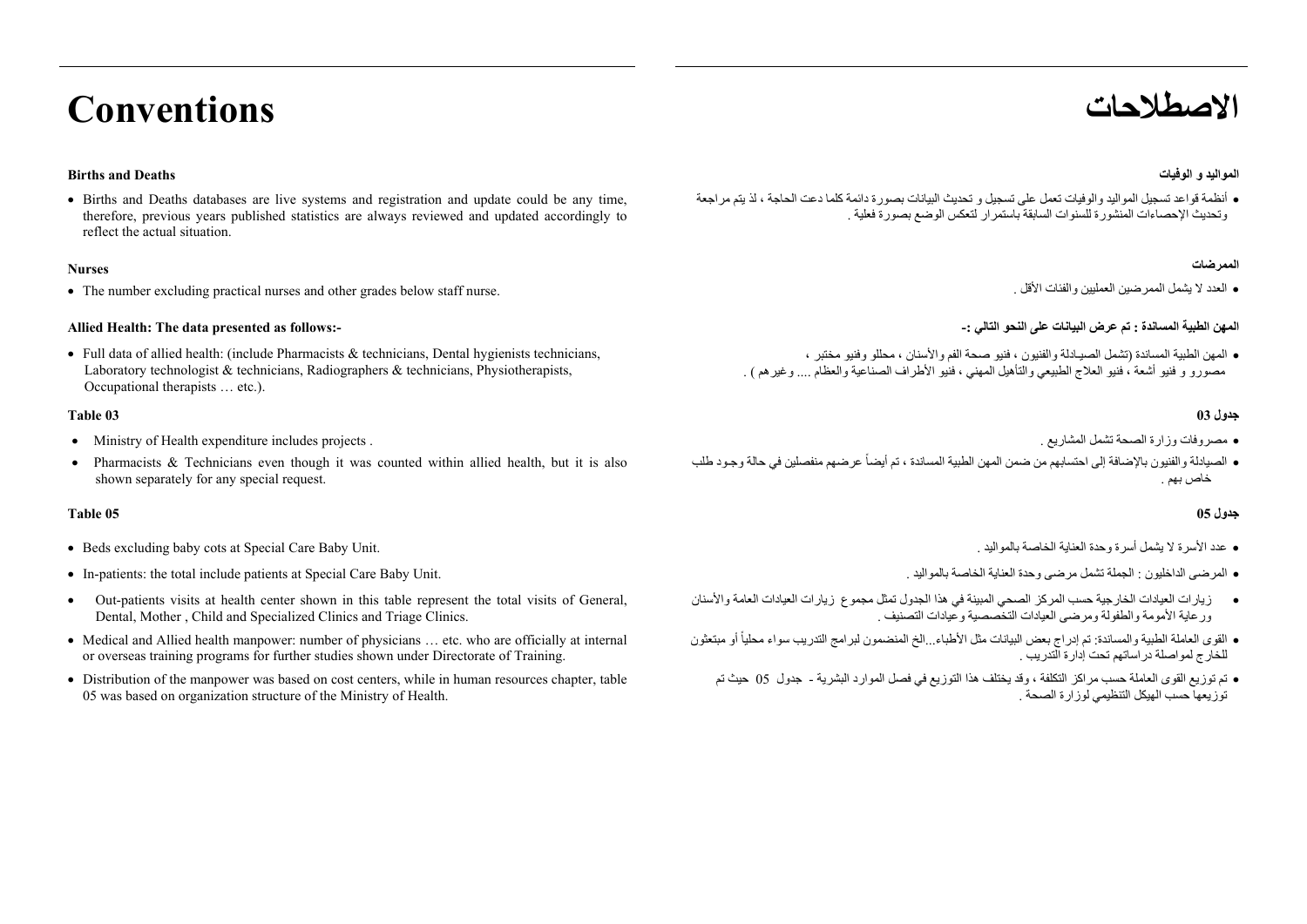## **االصطالحات Conventions**

#### **المواليد <sup>و</sup> الوفيات Deaths and Births**

 Births and Deaths databases are live systems and registration and update could be any time, therefore, previous years published statistics are always reviewed and updated accordingly to reflect the actual situation.

#### **Nurses**

The number excluding practical nurses and other grades below staff nurse.

#### **Allied Health: The data presented as follows:-**

Full data of allied health: (include Pharmacists  $\&$  technicians, Dental hygienists technicians, Laboratory technologist  $\&$  technicians, Radiographers  $\&$  technicians, Physiotherapists, Occupational therapists … etc.).

#### **جدول 03 03 Table**

- Ministry of Health expenditure includes projects . . المشاريع تشمل الصحة وزارة مصروفات
- Pharmacists  $\&$  Technicians even though it was counted within allied health, but it is also shown separately for any special request.

#### **جدول 05 05 Table**

- Beds excluding baby cots at Special Care Baby Unit. . بالمواليد الخاصة العناية وحدة أسرة يشمل ال األسرة عدد
- In-patients: the total include patients at Special Care Baby Unit. . بالمواليد الخاصة العناية وحدة مرضى تشمل الجملة : الداخليون المرضى
- ۰ Out-patients visits at health center shown in this table represent the total visits of General, Dental, Mother , Child and Specialized Clinics and Triage Clinics.
- Medical and Allied health manpower: number of physicians ... etc. who are officially at internal or overseas training programs for further studies shown under Directorate of Training.
- Distribution of the manpower was based on cost centers, while in human resources chapter, table 05 was based on organization structure of the Ministry of Health.

 أنظمة قواعد تسجيل المواليد والوفيات تعمل على تسجيل <sup>و</sup> تحديث البيانات بصورة دائمة كلما دعت الحاجة ، لذ يتم مراجعة وتحديث اإلحصاءات المنشورة للسنوات السابقة باستمرار لتعكس الوضع بصورة فعلية .

#### **الممرضات**

العدد ال يشمل الممرضين العمليين والفئات األقل .

### **المھن الطبية المساندة : تم عرض البيانات على النحو التالي -:**

 المھن الطبية المساندة (تشمل الصيـادلة والفنيون ، فنيو صحة الفم واألسنان ، محللو وفنيو مختبر ، مصورو <sup>و</sup> فنيو أشعة ، فنيو العالج الطبيعي والتأھيل المھني ، فنيو األطراف الصناعية والعظام .... وغيرھم ) .

- 
- الصيادلة والفنيون باإلضافة إلى احتسابھم من ضمن المھن الطبية المساندة ، تم أيضاً عرضھم منفصلين في حالة وجـود طلب خاص بھم .

- 
- 
- زيارات العيادات الخارجية حسب المركز الصحي المبينة في ھذا الجدول تمثل مجموع زيارات العيادات العامة واألسنان ورعاية األمومة والطفولة ومرضى العيادات التخصصية وعيادات التصنيف .
- القوى العاملة الطبية والمساندة: تم إدراج بعض البيانات مثل األطباء...الخ المنضمون لبرامج التدريب سواء محلياً أو مبتعثون للخارج لمواصلة دراساتھم تحت إدارة التدريب .
	- تم توزيع القوى العاملة حسب مراكز التكلفة ، وقد يختلف ھذا التوزيع في فصل الموارد البشرية جدول<sup>05</sup> حيث تم . توزيعھا حسب الھيكل التنظيمي لوزارة الصحة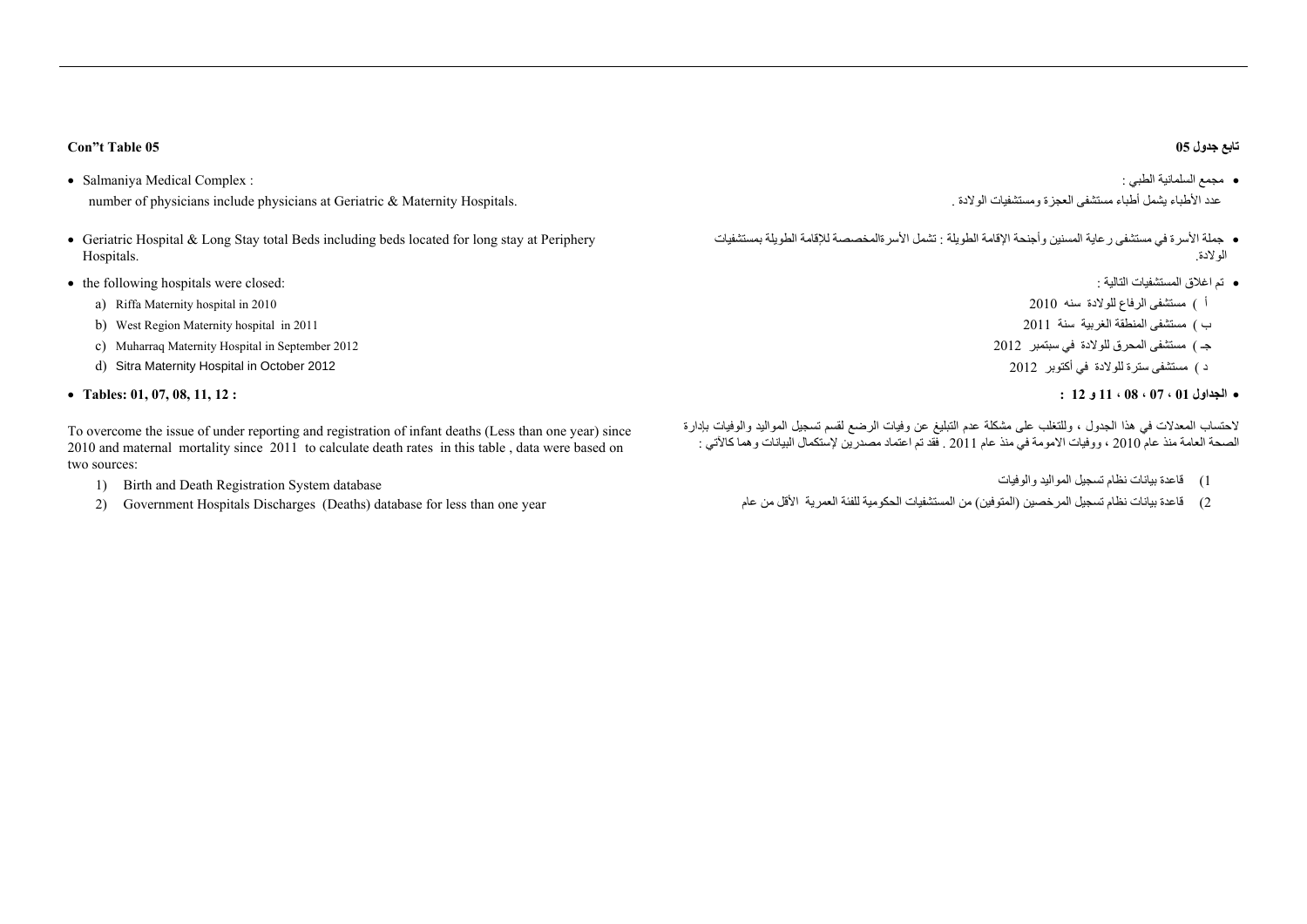### **جدول تابع**

- مجمع السلمانية الطبي : عدد الأطباء يشمل أطباء مستشفى العجزة ومستشفيات الولادة .
- جملة األسرة في مستشفى رعاية المسنين وأجنحة اإلقامة الطويلة : تشمل األسرةالمخصصة لإلقامة الطويلة بمستشفيات الوالدة.
	- تم اغالق المستشفيات التالية :
	- <sup>أ</sup> ) مستشفى الرفاع للوالدة سنه <sup>2010</sup>
	- <sup>ب</sup> ) مستشفى المنطقة الغربية سنة <sup>2011</sup>
	- جـ ) مستشفى المحرق للوالدة في سبتمبر <sup>2012</sup>
		- <sup>د</sup> ) مستشفى سترة للوالدة في أكتوبر <sup>2012</sup>

### **الجداول 01 ، 07 ، 08 ، 11 <sup>و</sup> 12 :**

الحتساب المعدالت في ھذا الجدول ، وللتغلب على مشكلة عدم التبليغ عن وفيات الرضع لقسم تسجيل المواليد والوفيات بإدارة الصحة العامة منذ عام <sup>2010</sup> ، ووفيات االمومة في منذ عام <sup>2011</sup> . فقد تم اعتماد مصدرين إلستكمال البيانات وھما كاآلتي :

- 1) قاعدة بيانات نظام تسجيل المواليد والوفيات
- 2) قاعدة بيانات نظام تسجيل المرخصين (المتوفين) من المستشفيات الحكومية للفئة العمرية األقل من عام

### **Con"t Table 05 05**

- Salmaniya Medical Complex : number of physicians include physicians at Geriatric & Maternity Hospitals.
- Geriatric Hospital  $\&$  Long Stay total Beds including beds located for long stay at Periphery Hospitals.
- the following hospitals were closed:
	- a) Riffa Maternity hospital in 2010
	- b) West Region Maternity hospital in 2011
	- c) Muharraq Maternity Hospital in September 2012
	- d) Sitra Maternity Hospital in October 2012
- **Tables: 01, 07, 08, 11, 12 :**

To overcome the issue of under reporting and registration of infant deaths (Less than one year) since 2010 and maternal mortality since 2011 to calculate death rates in this table , data were based on two sources:

- 1) Birth and Death Registration System database
- 2) Government Hospitals Discharges (Deaths) database for less than one year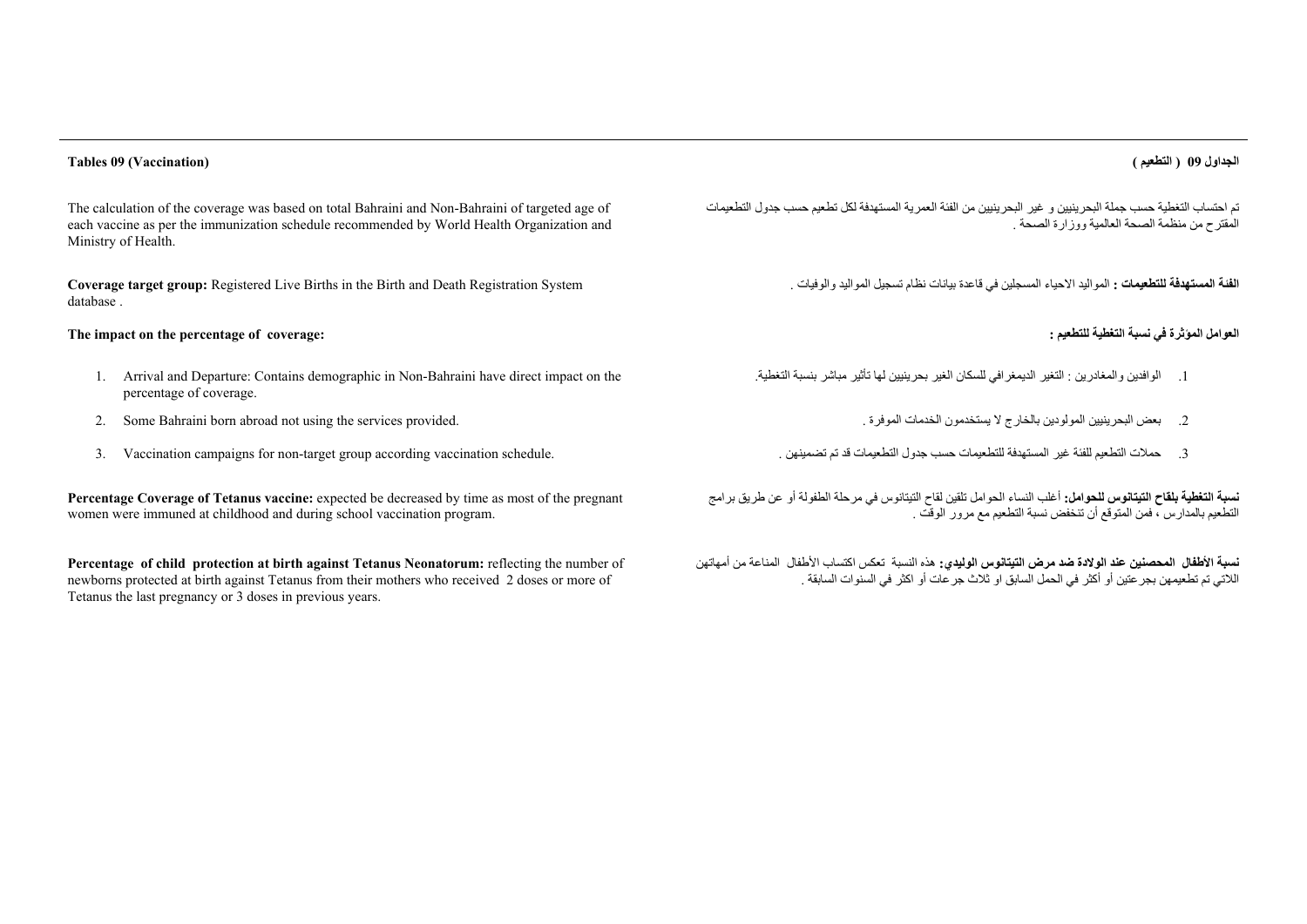#### **الجداول <sup>09</sup> ( التطعيم ) (Vaccination (09 Tables**

The calculation of the coverage was based on total Bahraini and Non-Bahraini of targeted age of each vaccine as per the immunization schedule recommended by World Health Organization and Ministry of Health.

**Coverage target group:** Registered Live Births in the Birth and Death Registration System database .

### **The impact on the percentage of coverage: : للتطعيم التغطية نسبة في المؤثرة العوامل**

- 1. Arrival and Departure: Contains demographic in Non-Bahraini have direct impact on the percentage of coverage.
- 2. Some Bahraini born abroad not using the services provided. . الموفرة الخدمات يستخدمون ال بالخارج المولودين البحرينيين بعض .2
- 3. Vaccination campaigns for non-target group according vaccination schedule.

**Percentage Coverage of Tetanus vaccine:** expected be decreased by time as most of the pregnant women were immuned at childhood and during school vaccination program.

**Percentage of child protection at birth against Tetanus Neonatorum:** reflecting the number of newborns protected at birth against Tetanus from their mothers who received 2 doses or more of Tetanus the last pregnancy or 3 doses in previous years.

تم احتساب التغطية حسب جملة البحرينيين <sup>و</sup> غير البحرينيين من الفئة العمرية المستھدفة لكل تطعيم حسب جدول التطعيمات . المقترح من منظمة الصحة العالمية ووزارة الصحة

**الفئة المستھدفة للتطعيمات :** المواليد االحياء المسجلين في قاعدة بيانات نظام تسجيل المواليد والوفيات .

- .1 الوافدين والمغادرين : التغير الديمغرافي للسكان الغير بحرينيين لھا تأثير مباشر بنسبة التغطية.
	-
	- 3. حملات التطعيم للفئة غير المستهدفة للتطعيمات حسب جدول التطعيمات قد تم تضمينهن

**نسبة التغطية بلقاح التيتانوس للحوامل:** أغلب النساء الحوامل تلقين لقاح التيتانوس في مرحلة الطفولة أو عن طريق برامج التطعيم بالمدارس ، فمن المتوقع أن تنخفض نسبة التطعيم مع مرور الوقت .

**نسبة األطفال المحصنين عند الوالدة ضد مرض التيتانوس الوليدي:** ھذه النسبة تعكس اكتساب األطفال المناعة من أمھاتھن الالتي تم تطعيمھن بجرعتين أو أكثر في الحمل السابق او ثالث جرعات أو اكثر في السنوات السابقة .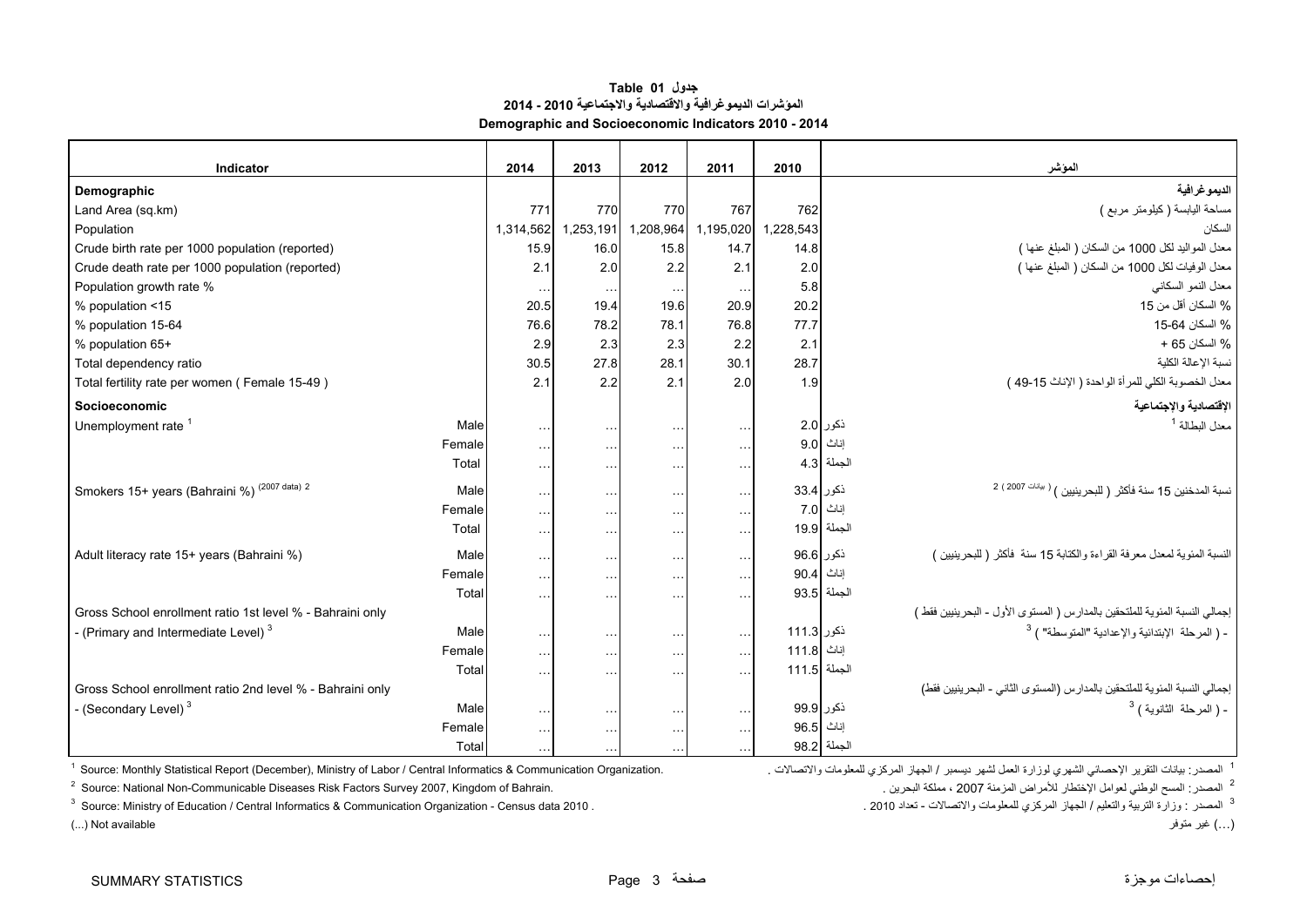#### **جدول 01 Table المؤشرات الديموغرافية واالقتصادية واالجتماعية 2010 - 2014 Demographic and Socioeconomic Indicators 2010 - 2014**

<span id="page-4-0"></span>

| Indicator                                                 |        | 2014          | 2013      | 2012                 | 2011                 | 2010         |              | المؤشر                                                                      |
|-----------------------------------------------------------|--------|---------------|-----------|----------------------|----------------------|--------------|--------------|-----------------------------------------------------------------------------|
| Demographic                                               |        |               |           |                      |                      |              |              | الديموغرافية                                                                |
| Land Area (sq.km)                                         |        | 771           | 770       | 770                  | 767                  | 762          |              | مساحة اليابسة (كيلومتر مربع )                                               |
| Population                                                |        | 1,314,562     | 1,253,191 | 1,208,964            | 1,195,020            | 1,228,543    |              | السكان                                                                      |
| Crude birth rate per 1000 population (reported)           |        | 15.9          | 16.0      | 15.8                 | 14.7                 | 14.8         |              | معدل المواليد لكل 1000 من السكان ( المبلغ عنها )                            |
| Crude death rate per 1000 population (reported)           |        | 2.1           | 2.0       | 2.2                  | 2.1                  | 2.0          |              | معدل الوفيات لكل 1000 من السكان ( المبلغ عنها )                             |
| Population growth rate %                                  |        | $\cdots$      | $\ddotsc$ | $\ddotsc$            | $\sim$ $\sim$ $\sim$ | 5.8          |              | معدل النمو السكاني                                                          |
| % population <15                                          |        | 20.5          | 19.4      | 19.6                 | 20.9                 | 20.2         |              | % السكان أقل من 15                                                          |
| % population 15-64                                        |        | 76.6          | 78.2      | 78.1                 | 76.8                 | 77.7         |              | % السكان 64-15                                                              |
| % population 65+                                          |        | 2.9           | 2.3       | 2.3                  | 2.2                  | 2.1          |              | % السكان 65 +                                                               |
| Total dependency ratio                                    |        | 30.5          | 27.8      | 28.1                 | 30.1                 | 28.7         |              | نسبة الإعالة الكلبة                                                         |
| Total fertility rate per women (Female 15-49)             |        | 2.1           | 2.2       | 2.1                  | 2.0                  | 1.9          |              | معدل الخصوبة الكلي للمرأة الواحدة ( الإناث 15-49 )                          |
| Socioeconomic                                             |        |               |           |                      |                      |              |              | الإقتصادية والإجتماعية                                                      |
| Unemployment rate <sup>1</sup>                            | Male   | $\ldots$      | $\ddotsc$ | $\sim$ $\sim$ $\sim$ | $\sim$ $\sim$ $\sim$ |              | ذكور 2.0     | معدل البطالة <sup>1</sup>                                                   |
|                                                           | Female | $\sim$ .      | $\ddotsc$ | $\ldots$             | $\sim$ $\sim$ $\sim$ |              | اِناتْ  9.0  |                                                                             |
|                                                           | Total  | $\cdots$      | $\sim$    | $\cdots$             | $\sim$ $\sim$        |              | الجملة 4.3   |                                                                             |
| Smokers 15+ years (Bahraini %) (2007 data) 2              | Male   | $\ddotsc$     | $\ddotsc$ | $\sim$ $\sim$ $\sim$ | $\sim$ $\sim$ $\sim$ | ذكور 33.4    |              | نسبة المدخنين 15 سنة فأكثر ( للبحرينيين ) <sup>( بيانات 2007 ) 2</sup>      |
|                                                           | Female | $\sim$ .      | $\ddotsc$ | $\ldots$             | $\sim$ $\sim$ $\sim$ |              | إناث 7.0     |                                                                             |
|                                                           | Total  | $\sim$ .      | $\sim$    | $\sim$ $\sim$        | $\sim$ $\sim$        |              | الجملة 19.9  |                                                                             |
| Adult literacy rate 15+ years (Bahraini %)                | Male   | $\ddotsc$     | $\ddotsc$ | $\sim$ $\sim$ $\sim$ | $\sim 10$            | ذكور 96.6    |              | النسبة المئوية لمعدل معرفة القراءة والكتابة 15 سنة ۖ فأكثر ( للبحرينيين )   |
|                                                           | Female | $\ddotsc$     | $\ddotsc$ | $\ldots$             | $\ldots$             | إناث 90.4    |              |                                                                             |
|                                                           | Total  | $\sim$ $\sim$ | $\ddotsc$ | $\cdots$             | $\sim$ $\sim$ $\sim$ |              | الجملة  93.5 |                                                                             |
| Gross School enrollment ratio 1st level % - Bahraini only |        |               |           |                      |                      |              |              | إجمالي النسبة المئوية للملتحقين بالمدارس ( المستوى الأول - البحرينيين فقط ) |
| - (Primary and Intermediate Level) <sup>3</sup>           | Male   | $\sim$ $\sim$ | $\ddotsc$ | $\ldots$             | $\sim$ $\sim$ $\sim$ | ذكور 111.3   |              | - ( المرحلة الإبتدائية والإعدادية "المتوسطة" ) <sup>3</sup>                 |
|                                                           | Female | $\sim$ .      | $\sim$    | $\sim$ $\sim$        | $\sim$ $\sim$        | 111.8        | إناث         |                                                                             |
|                                                           | Total  | $\ddotsc$     | $\ddotsc$ | $\cdots$             | $\ldots$             | الجملة 111.5 |              |                                                                             |
| Gross School enrollment ratio 2nd level % - Bahraini only |        |               |           |                      |                      |              |              | إجمالي النسبة المئوية للملتحقين بالمدارس (المستوى الثاني - البحرينيين فقط)  |
| - (Secondary Level) <sup>3</sup>                          | Male   | $\ldots$      | $\ddotsc$ | $\ldots$             | $\sim$ $\sim$ $\sim$ | ذكور 99.9    |              | - ( المرحلة الثانوية ) <sup>3</sup>                                         |
|                                                           | Female | $\sim$ .      | $\ddotsc$ | $\sim$ $\sim$        | $\ldots$             | 96.5         | إناث         |                                                                             |
|                                                           | Total  | $\cdots$      |           |                      |                      |              | الجملة 98.2  |                                                                             |

<sup>1</sup> Source: Monthly Statistical Report (December), Ministry of Labor / Central Informatics & Communication Organization.

<sup>2</sup> Source: National Non-Communicable Diseases Risk Factors Survey 2007, Kingdom of Bahrain. المصدر المسح الوطني لعوامل الإختطار للأمراض المزمنة 2007 ، مملكة البحرين مستخدم المسرى المن العرامات العوامل المسح الوطني لعوامل

<sup>3</sup> الصحدر : وزارة التربية والتعليم / الجهاز المركزي للمعلومات والاتصالات - تعداد 2010 . . . . . . 2010 Source: Ministry of Education / Central Informatics & Communication Organization - Census data 2010 . . . . . . . . .

<sup>1</sup> المصدر : بيانات التقرير الإحصائي الشهري لوز ار ة العمل لشهر ديسمبر / الجهاز المركزي

(...) غير متوفر available Not) ...(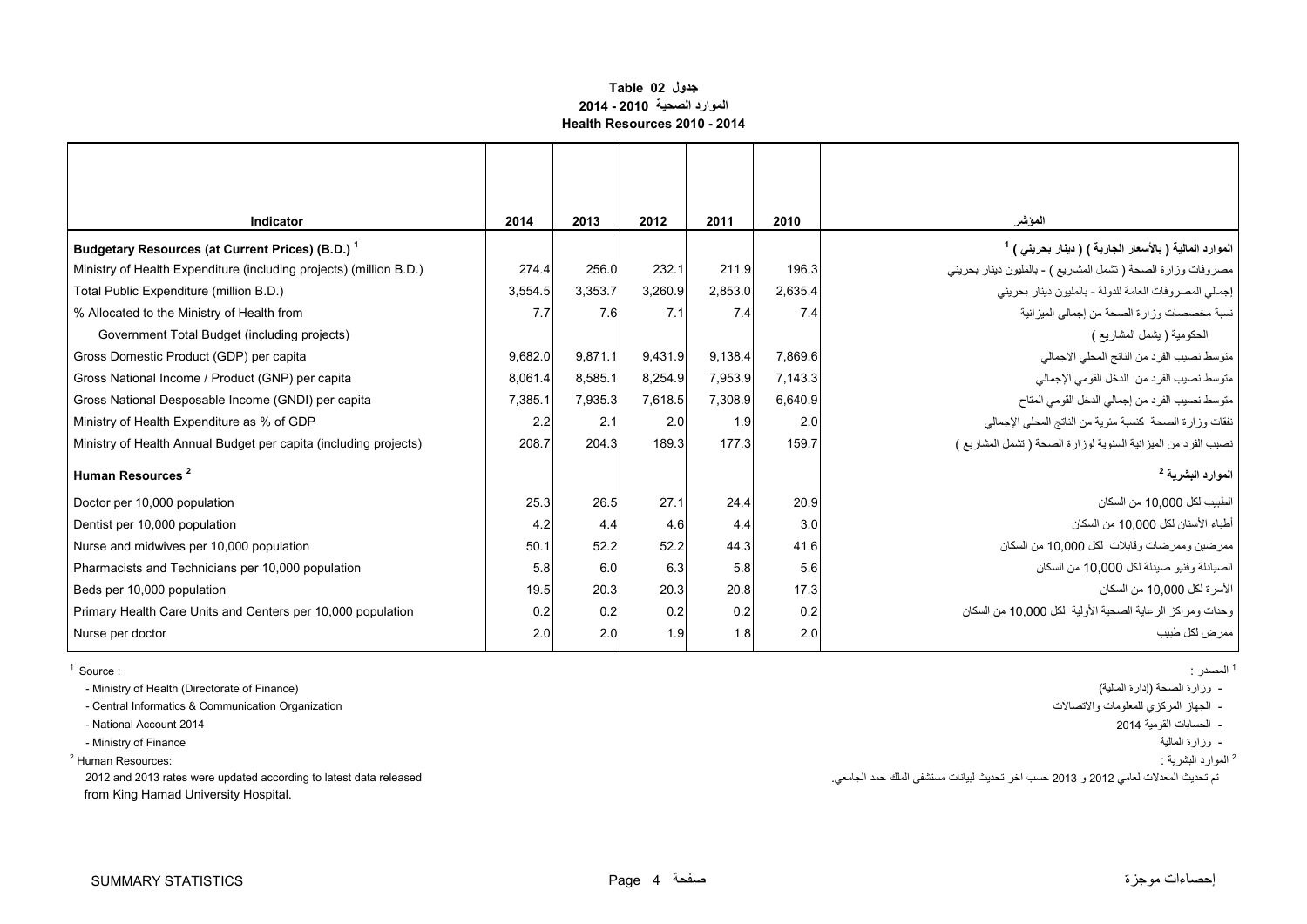#### **جدول 02 Table الموارد الصحية 2010 - 2014 Health Resources 2010 - 2014**

<span id="page-5-0"></span>

| 2014    | 2013                           | 2012    | 2011    | 2010                                                                                                        | المؤشر                                                             |
|---------|--------------------------------|---------|---------|-------------------------------------------------------------------------------------------------------------|--------------------------------------------------------------------|
|         |                                |         |         |                                                                                                             | الموارد المالية ( بالأسعار الجارية ) ( دينار بحريني ) <sup>1</sup> |
| 274.4   | 256.0                          | 232.1   | 211.9   | 196.3                                                                                                       | مصروفات وزارة الصحة ( تشمل المشاريع ) - بالمليون دينار بحريني      |
|         | 3,353.7                        |         |         | 2,635.4                                                                                                     | إجمالي المصروفات العامة للدولة - بالمليون دينار بحريني             |
| 7.7     | 7.6                            |         | 7.4     | 7.4                                                                                                         | نسبة مخصصات وزارة الصحة من إجمالي الميزانية                        |
|         |                                |         |         |                                                                                                             | الحكومية ( يشمل المشاريع )                                         |
|         | 9,871.1                        |         | 9,138.4 | 7,869.6                                                                                                     | متوسط نصيب الفرد من الناتج المحلي الاجمالي                         |
| 8.061.4 | 8.585.1                        |         | 7,953.9 | 7,143.3                                                                                                     | متوسط نصيب الفرد من الدخل القومي الإجمالي                          |
| 7.385.1 | 7.935.3                        |         | 7,308.9 | 6,640.9                                                                                                     | متوسط نصيب الفرد من إجمالي الدخل القومي المناح                     |
| 2.2     | 2.1                            |         | 1.9     | 2.0                                                                                                         | نفقات وزارة الصحة كنسبة مئوية من الناتج المحلي الإجمالي            |
| 208.7   | 204.3                          |         | 177.3   | 159.7                                                                                                       | نصيب الفرد من الميزانية السنوية لوزارة الصحة (تشمل المشاريع )      |
|         |                                |         |         |                                                                                                             | الموارد البشرية <sup>2</sup>                                       |
|         | 26.5                           | 27.1    | 24.4    | 20.9                                                                                                        | الطبيب لكل 10.000 من السكان                                        |
| 4.2     | 4.4                            |         | 4.4     | 3.0                                                                                                         | أطباء الأسنان لكل 10,000 من السكان                                 |
| 50.1    | 52.2                           |         | 44.3    | 41.6                                                                                                        | ممر ضبين و ممر ضبات و قابلات "لكل 10.000 من السكان                 |
| 5.8     | 6.0                            |         | 5.8     | 5.6                                                                                                         | الصيادلة و فنيو  صيدلة لكل 10.000 من السكان                        |
|         | 20.3                           |         | 20.8    | 17.3                                                                                                        | الأسر ة لكل 10.000 من السكان                                       |
| 0.2     | 0.2                            |         | 0.2     | 0.2                                                                                                         | وحدات ومر اكز الر عاية الصحية الأولية لكل 10.000 من السكان         |
|         | 2.0                            |         | 1.8     | 2.0                                                                                                         | ممر ض لکل طبیب                                                     |
|         | 3,554.5<br>25.3<br>19.5<br>2.0 | 9,682.0 |         | 3,260.9<br>7.1<br>9,431.9<br>8,254.9<br>7,618.5<br>2.0<br>189.3<br>4.6<br>52.2<br>6.3<br>20.3<br>0.2<br>1.9 | 2,853.0                                                            |

- وزارة الصحة (إدارة المالية) - Ministry of Health (Directorate of Finance)

- الجھاز المركزي للمعلومات واالتصاالت Organization Communication & Informatics Central -

- الحسابات القومية 2014 2014 Account National -
- Ministry of Finance المالية وزارة -

الموارد البشرية : :Resources Human 2

from King Hamad University Hospital.

<sup>1</sup> المصدر : المصدر : : Source 1

<sup>2</sup> الموارد البشرية :

تم تحديث المعدالت لعامي <sup>2012</sup> <sup>و</sup> <sup>2013</sup> حسب آخر تحديث لبيانات مستشفى الملك حمد الجامعي. released data latest to according updated were rates 2013 and 2012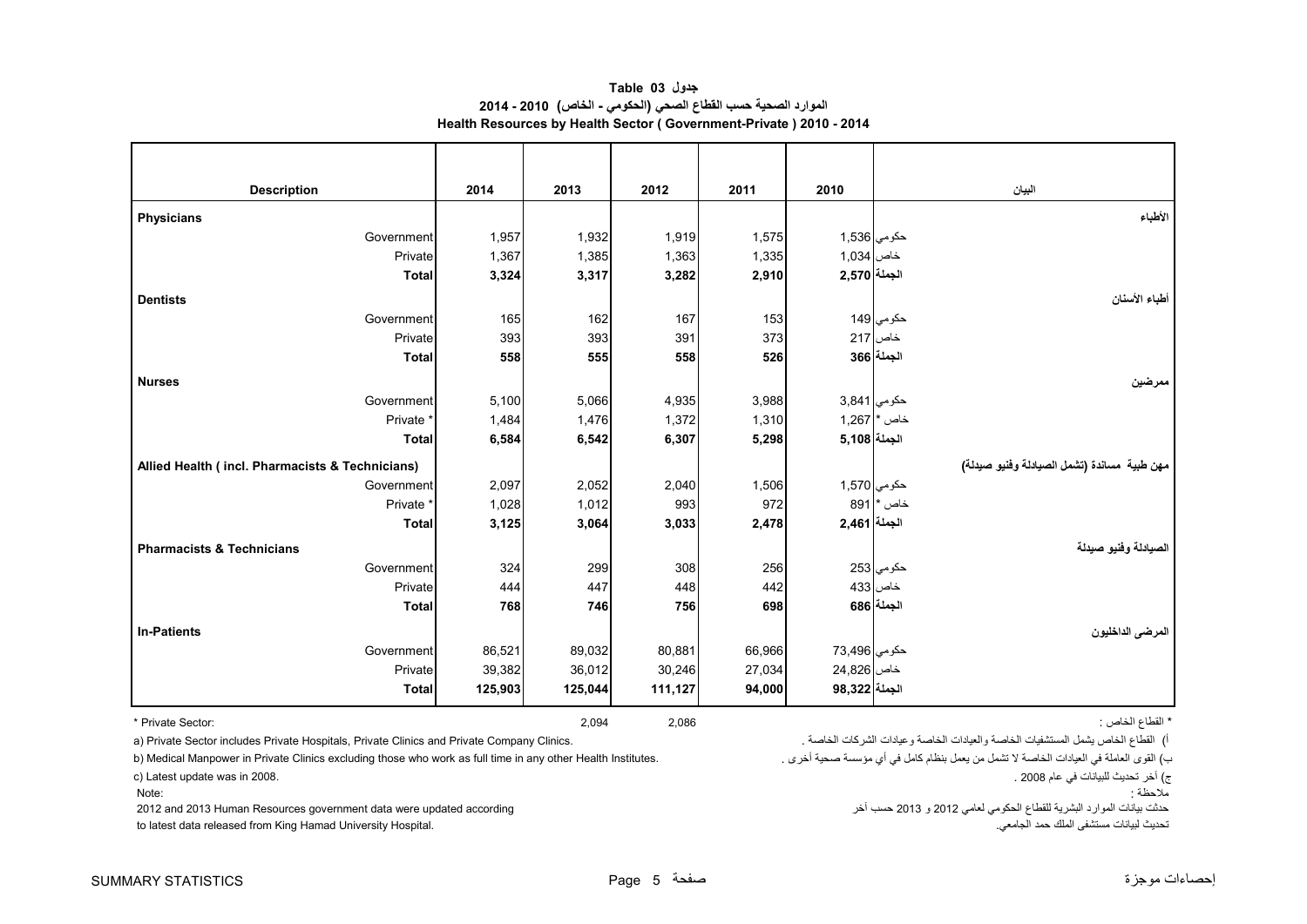<span id="page-6-0"></span>

| <b>Description</b>                              | 2014  | 2013  | 2012  | 2011  | 2010         |               | البيان                                       |
|-------------------------------------------------|-------|-------|-------|-------|--------------|---------------|----------------------------------------------|
| <b>Physicians</b>                               |       |       |       |       |              |               | الأطباء                                      |
| Government                                      | 1,957 | 1,932 | 1,919 | 1,575 |              | حكومي 1,536   |                                              |
| Private                                         | 1,367 | 1,385 | 1,363 | 1,335 | خاص 1,034    |               |                                              |
| <b>Total</b>                                    | 3,324 | 3,317 | 3,282 | 2,910 | الجملة 2,570 |               |                                              |
| <b>Dentists</b>                                 |       |       |       |       |              |               | أطباء الأسنان                                |
| Government                                      | 165   | 162   | 167   | 153   |              | حكومي 149     |                                              |
| Private                                         | 393   | 393   | 391   | 373   |              | خاص 217       |                                              |
| <b>Total</b>                                    | 558   | 555   | 558   | 526   |              | الجملة 366    |                                              |
| <b>Nurses</b>                                   |       |       |       |       |              |               | ممر ضين                                      |
| Government                                      | 5,100 | 5,066 | 4,935 | 3,988 | حكومي 3,841  |               |                                              |
| Private <sup>*</sup>                            | 1,484 | 1,476 | 1,372 | 1,310 |              | $1,267$ * خاص |                                              |
| Total                                           | 6,584 | 6,542 | 6,307 | 5,298 | الجملة 5,108 |               |                                              |
| Allied Health (incl. Pharmacists & Technicians) |       |       |       |       |              |               | مهن طبية  مساندة (تشمل الصيادلة وفنيو صيدلة) |
| Government                                      | 2,097 | 2,052 | 2,040 | 1,506 |              | حكومي 1,570   |                                              |
| Private <sup>*</sup>                            | 1,028 | 1,012 | 993   | 972   |              | خاص *  891    |                                              |
| <b>Total</b>                                    | 3,125 | 3,064 | 3,033 | 2,478 | الجملة 2,461 |               |                                              |
| <b>Pharmacists &amp; Technicians</b>            |       |       |       |       |              |               | الصيادلة وفنيو صيدلة                         |
| Government                                      | 324   | 299   | 308   | 256   |              | حكومي 253     |                                              |
| Private                                         | 444   | 447   | 448   | 442   |              | خاص 433       |                                              |
| <b>Total</b>                                    | 768   | 746   | 756   | 698   |              | الجملة   686  |                                              |
|                                                 |       |       |       |       |              |               |                                              |

**جدول 03 Table الموارد الصحية حسب القطاع الصحي (الحكومي - الخاص) 2010 - 2014 Health Resources by Health Sector ( Government-Private ) 2010 - 2014**

**المرضى الداخليون Patients-In**  حكومي 73,496 66,966 80,881 89,032 86,521 Government خاص 24,826 27,034 30,246 36,012 39,382 Private **الجملة 98,322 94,000 111,127 125,044 125,903 Total**

.<br>6) القطاع الخاص يشمل المستشفيات الخاصة والعيادات الخاصة وعيادات الشركات الخاصة وعيادات الشركات الخاصة وعيادات الشركات الخاصة .

b) Medical Manpower in Private Clinics excluding those who work as full time in any other Health Institutes.

Note:

2012 and 2013 Human Resources government data were updated according

to latest data released from King Hamad University Hospital. .الجامعي حمد الملك مستشفى لبيانات تحديث

\* القطاع الخاص : 2,086 2,094 :Sector Private\*

ب

<sup>ج</sup>) آخر تحديث للبيانات في عام 2008 . 2008. in was update Latest) c

مالحظة :

ـ<br>حدثت بيانات الموارد البشرية للقطاع الحكومي لعامي 2012 و 2013 حسب أخر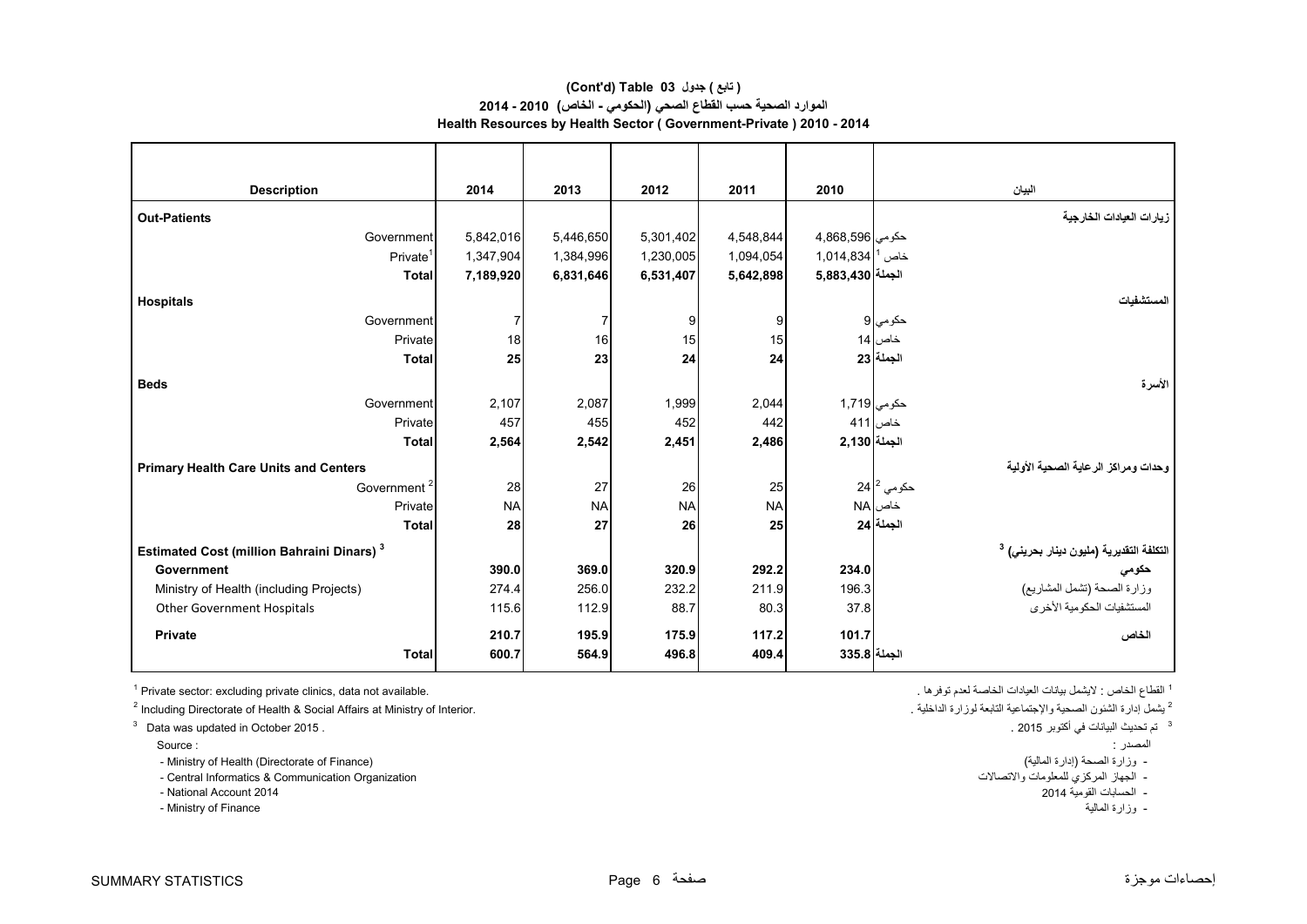#### **Health Resources by Health Sector ( Government-Private ) 2010 - 2014 (Cont'd) Table 03 جدول ) تابع( الموارد الصحية حسب القطاع الصحي (الحكومي - الخاص) 2010 - 2014**

| <b>Description</b>                                           | 2014      | 2013      | 2012      | 2011      | 2010                          | البيان                                                                       |
|--------------------------------------------------------------|-----------|-----------|-----------|-----------|-------------------------------|------------------------------------------------------------------------------|
| <b>Out-Patients</b>                                          |           |           |           |           |                               | زيارات العيادات الخارجية                                                     |
| Government                                                   | 5,842,016 | 5,446,650 | 5,301,402 | 4,548,844 | حكومي  4,868,596              |                                                                              |
| Private <sup>1</sup>                                         | 1,347,904 | 1,384,996 | 1,230,005 | 1,094,054 | $1,014,834$ <sup>1</sup> مخاص |                                                                              |
| <b>Total</b>                                                 | 7,189,920 | 6,831,646 | 6,531,407 | 5,642,898 | الجملة 5,883,430              |                                                                              |
| <b>Hospitals</b>                                             |           |           |           |           |                               | المستشفيات                                                                   |
| Government                                                   |           |           | 9         | 9         |                               | حكومي 9                                                                      |
| Private                                                      | 18        | 16        | 15        | 15        |                               | خاص 14                                                                       |
| <b>Total</b>                                                 | 25        | 23        | 24        | 24        |                               | الجملة 23                                                                    |
| <b>Beds</b>                                                  |           |           |           |           |                               | الأسرة                                                                       |
| Government                                                   | 2,107     | 2,087     | 1,999     | 2,044     | حكومي 1,719                   |                                                                              |
| Private                                                      | 457       | 455       | 452       | 442       |                               | خاص 411                                                                      |
| <b>Total</b>                                                 | 2,564     | 2,542     | 2,451     | 2,486     | الجملة 2,130                  |                                                                              |
| <b>Primary Health Care Units and Centers</b>                 |           |           |           |           |                               | وحدات ومراكز الرعاية الصحية الأولية                                          |
| Government <sup>2</sup>                                      | 28        | 27        | 26        | 25        |                               | 24 مکومی $\mathbb{Z}$ 24                                                     |
| Private                                                      | <b>NA</b> | <b>NA</b> | <b>NA</b> | <b>NA</b> |                               | خاص NA                                                                       |
| <b>Total</b>                                                 | 28        | 27        | 26        | 25        |                               | الجملة 24                                                                    |
| <b>Estimated Cost (million Bahraini Dinars)</b> <sup>3</sup> |           |           |           |           |                               |                                                                              |
| Government                                                   | 390.0     | 369.0     | 320.9     | 292.2     | 234.0                         | التكلفة التقديرية (مليون دينار بحرين <i>ي)</i> <sup>3</sup><br>حكوم <i>ي</i> |
| Ministry of Health (including Projects)                      | 274.4     | 256.0     | 232.2     | 211.9     | 196.3                         | وزارة الصحة (تشمل المشاريع)                                                  |
| Other Government Hospitals                                   | 115.6     | 112.9     | 88.7      | 80.3      | 37.8                          | المستشفيات الحكومية الأخرى                                                   |
| <b>Private</b>                                               | 210.7     | 195.9     | 175.9     | 117.2     | 101.7                         | الخاص                                                                        |
| <b>Total</b>                                                 | 600.7     | 564.9     | 496.8     | 409.4     | الجملة 335.8                  |                                                                              |

 $1$  Private sector: excluding private clinics, data not available.

<sup>2</sup> يشمل إدارة الشئون الصحية والإجتماعية التابعة لوزارة الداخلية لوزارة الداخلية التابعة لوزارة الداخلية على المصحية والإجتماعية التابعة لوزارة الداخلية المستخدمة والإجتماعية التابعة لوزارة الداخلية المستخدمة والإجتماعية

 $3$  Data was updated in October 2015 .

.<br>- Ministry of Health (Directorate of Finance) (المالية إدارة الصحة (إدارة المالية - أوزارة الصحة وزارة الصحة و

- الجھاز المركزي للمعلومات واالتصاالت Organization Communication & Informatics Central -

- National Account 2014

- Ministry of Finance المالية وزارة -

<sup>1</sup> القطاع الخاص : لايشمل بيانات العيادات الخاصة لعدم توفر ها .

<sup>3</sup> تم تحديث البيانات في أكتوبر 2015 .

المصدر : : Source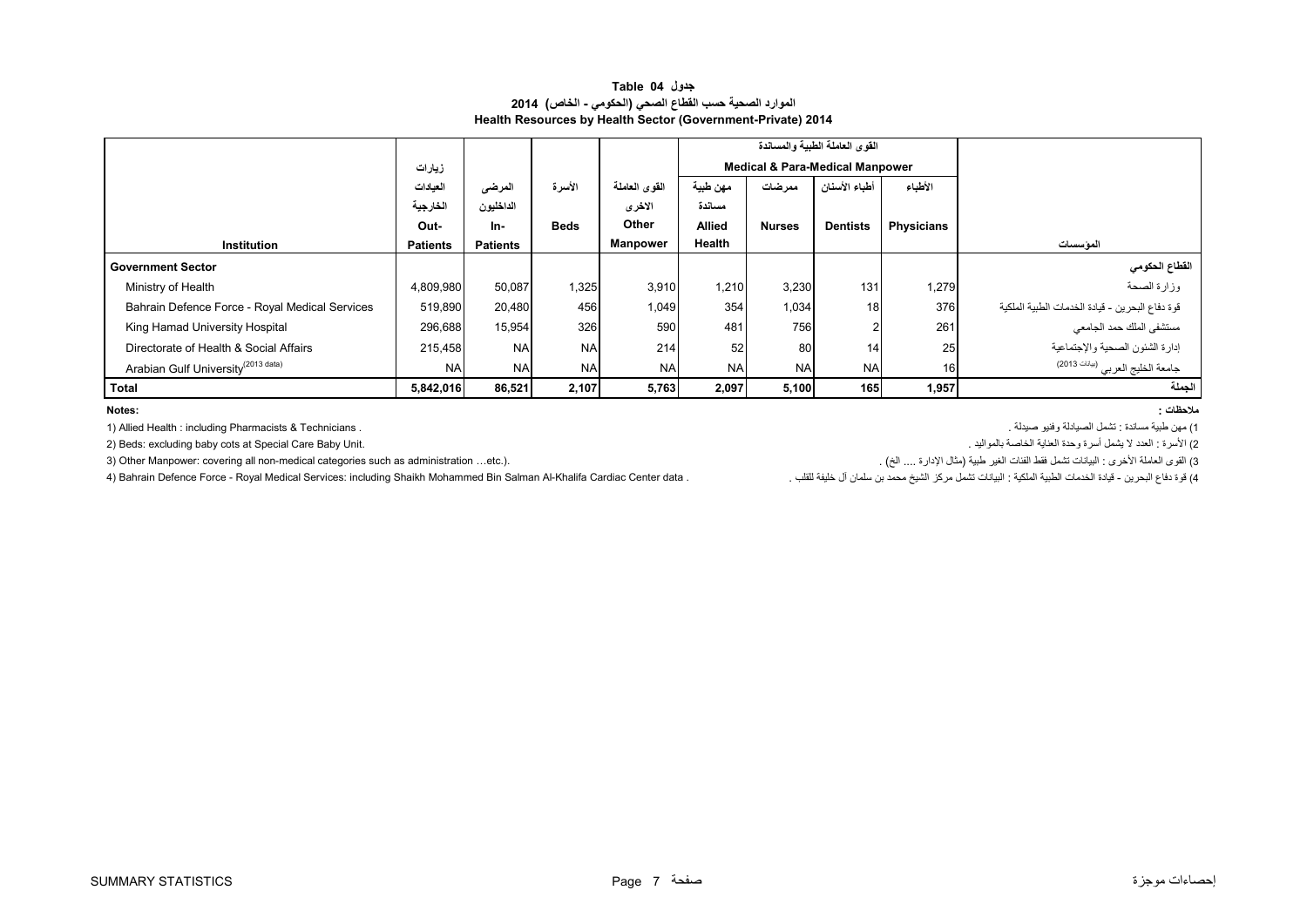#### **جدول 04 Table الموارد الصحية حسب القطاع الصحي (الحكومي - الخاص) 2014 Health Resources by Health Sector (Government-Private) 2014**

<span id="page-8-0"></span>

|                                                |                 |                 |             |               |               |                         | القوى العاملة الطبية والمساندة             |                   |                                                 |
|------------------------------------------------|-----------------|-----------------|-------------|---------------|---------------|-------------------------|--------------------------------------------|-------------------|-------------------------------------------------|
|                                                | زيارات          |                 |             |               |               |                         | <b>Medical &amp; Para-Medical Manpower</b> |                   |                                                 |
|                                                | العيادات        | المرضى          | الأسرة      | القوى العاملة | مهن طبية      | أطباء الأسنان<br>ممرضات |                                            | الأطباء           |                                                 |
|                                                | الخارجية        | الداخليون       |             | الاخرى        | مساندة        |                         |                                            |                   |                                                 |
|                                                | Out-            | In-             | <b>Beds</b> | Other         | <b>Allied</b> | <b>Nurses</b>           | <b>Dentists</b>                            | <b>Physicians</b> |                                                 |
| Institution                                    | <b>Patients</b> | <b>Patients</b> |             | Manpower      | Health        |                         |                                            |                   | الموسسات                                        |
| <b>Government Sector</b>                       |                 |                 |             |               |               |                         |                                            |                   | القطاع الحكومي                                  |
| Ministry of Health                             | 4,809,980       | 50,087          | 1,325       | 3,910         | 1,210         | 3,230                   | 131                                        | 1,279             | وزارة الصحة                                     |
| Bahrain Defence Force - Royal Medical Services | 519,890         | 20,480          | 456         | 1,049         | 354           | 1,034                   | 18                                         | 376               | قوة دفاع البحرين - قيادة الخدمات الطبية الملكية |
| King Hamad University Hospital                 | 296,688         | 15,954          | 326         | 590           | 481           | 756                     |                                            | 261               | مستشفى الملك حمد الجامعي                        |
| Directorate of Health & Social Affairs         | 215,458         | <b>NA</b>       | <b>NA</b>   | 214           | 52            | 80                      | 14.                                        | 25 <sub>1</sub>   | إدارة الشئون الصحية والإجتماعية                 |
| Arabian Gulf University <sup>(2013 data)</sup> | <b>NA</b>       | <b>NA</b>       | <b>NA</b>   | <b>NA</b>     | <b>NA</b>     | <b>NA</b>               | <b>NA</b>                                  | 16                | جامعة الخليج العربي <sup>(بوانات 2013)</sup>    |
| Total                                          | 5,842,016       | 86,521          | 2,107       | 5,763         | 2,097         | 5,100                   | 165                                        | 1,957             | الجملة                                          |

**:Notes**

1) مھن طبية مساندة : تشمل الصيادلة وفنيو صيدلة . . Technicians & Pharmacists including : Health Allied) 1

2) Beds: excluding baby cots at Special Care Baby Unit.

3) القوى العاملة الأخرى : البيانات تشمل فقط الفئات الغير طبية (مثال الإدارة .... الخ) .<br>4) قوة نفاع البحرين - قيادة الخدمات الطبية الملكية : البيانات تشمل مركز الشيخ محمد بن سلمان آل خليفة للقلب . \_<br>4) قوة نفاع الجرين - ق 4) Bahrain Defence Force - Royal Medical Services: including Shaikh Mohammed Bin Salman Al-Khalifa Cardiac Center data.

**مالحظات :**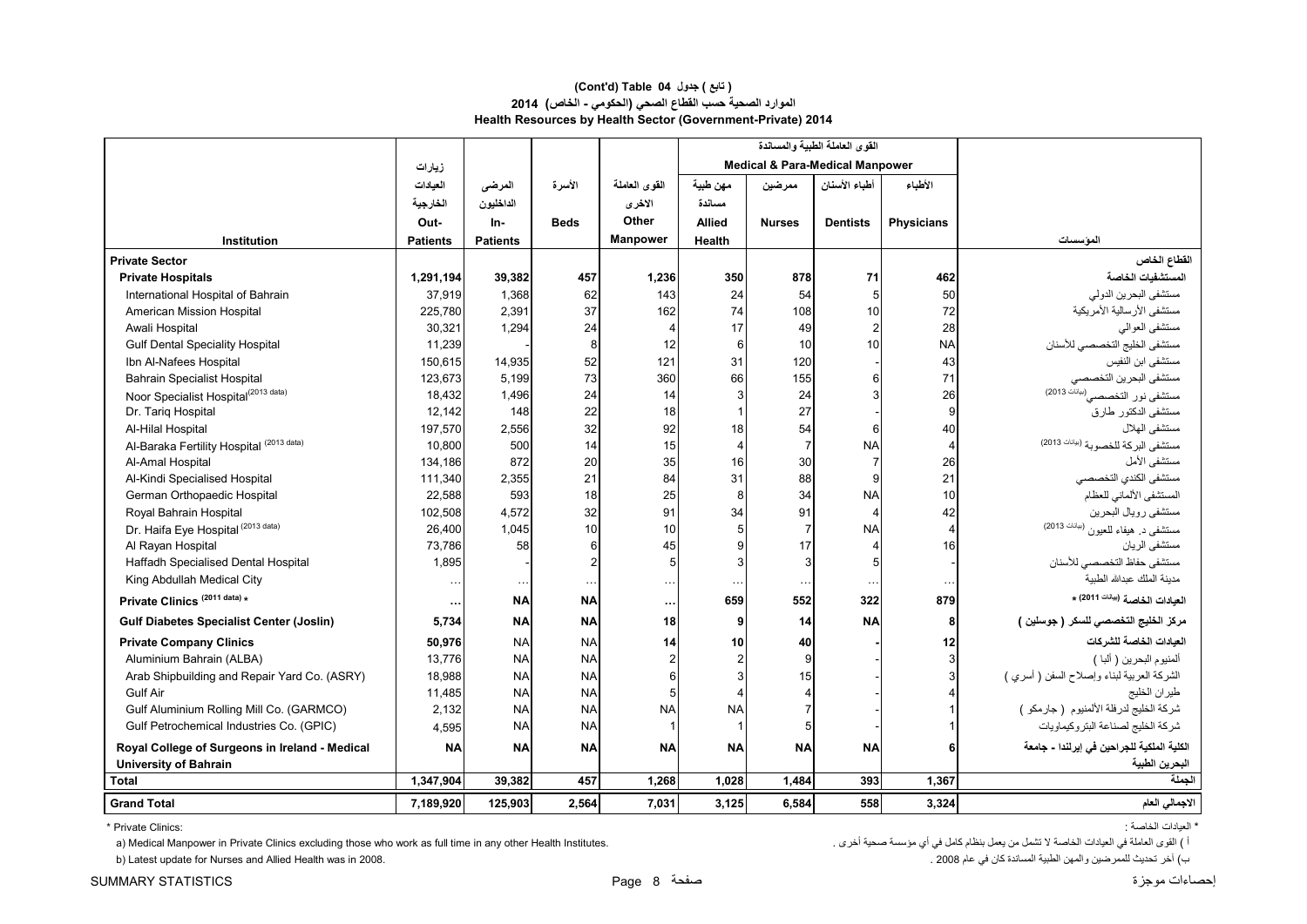#### **Health Resources by Health Sector (Government-Private) 2014 (Cont'd) Table 04 جدول ) تابع( الموارد الصحية حسب القطاع الصحي (الحكومي - الخاص) 2014**

|                                                 |                 |                 |             |                 |               |                | القوى العاملة الطبية والمساندة             |                |                                             |
|-------------------------------------------------|-----------------|-----------------|-------------|-----------------|---------------|----------------|--------------------------------------------|----------------|---------------------------------------------|
|                                                 | زيارات          |                 |             |                 |               |                | <b>Medical &amp; Para-Medical Manpower</b> |                |                                             |
|                                                 | العيادات        | المرضى          | الأسرة      | القوى العاملة   | مهن طبية      | ممرضين         | أطباء الأسنان                              | الأطباء        |                                             |
|                                                 | الخارجية        | الداخليون       |             | الاخرى          | مسائدة        |                |                                            |                |                                             |
|                                                 | Out-            | In-             | <b>Beds</b> | Other           | <b>Allied</b> | <b>Nurses</b>  | <b>Dentists</b>                            | Physicians     |                                             |
| Institution                                     | <b>Patients</b> | <b>Patients</b> |             | <b>Manpower</b> | Health        |                |                                            |                | المؤسسات                                    |
| <b>Private Sector</b>                           |                 |                 |             |                 |               |                |                                            |                | القطاع الخاص                                |
| <b>Private Hospitals</b>                        | 1,291,194       | 39,382          | 457         | 1,236           | 350           | 878            | 71                                         | 462            | المستشفيات الخاصة                           |
| International Hospital of Bahrain               | 37,919          | 1,368           | 62          | 143             | 24            | 54             | 5                                          | 50             | مستشفى البحرين الدولي                       |
| American Mission Hospital                       | 225,780         | 2.391           | 37          | 162             | 74            | 108            | 10                                         | 72             | مستشفى الأرسالية الأمريكية                  |
| Awali Hospital                                  | 30,321          | 1,294           | 24          | 4               | 17            | 49             | $\overline{2}$                             | 28             | مستشفى العوالى                              |
| <b>Gulf Dental Speciality Hospital</b>          | 11,239          |                 | 8           | 12              | 6             | 10             | 10                                         | <b>NA</b>      | مستشفى الخليج التخصصي للأسنان               |
| Ibn Al-Nafees Hospital                          | 150,615         | 14,935          | 52          | 121             | 31            | 120            |                                            | 43             | مستشفى ابن النفيس                           |
| <b>Bahrain Specialist Hospital</b>              | 123,673         | 5,199           | 73          | 360             | 66            | 155            | 6                                          | 71             | مستشفى البحرين التخصصى                      |
| Noor Specialist Hospital <sup>(2013 data)</sup> | 18.432          | 1,496           | 24          | 14              | 3             | 24             | 3                                          | 26             | مستشفى نور التخصصي <sup>(بيانك</sup> 2013)  |
| Dr. Tariq Hospital                              | 12,142          | 148             | 22          | 18              |               | 27             |                                            | 9              | مستشفى الدكتور طارق                         |
| Al-Hilal Hospital                               | 197,570         | 2,556           | 32          | 92              | 18            | 54             | 6                                          | 40             | مستشفى الهلال                               |
| Al-Baraka Fertility Hospital (2013 data)        | 10,800          | 500             | 14          | 15              | 4             | 7              | <b>NA</b>                                  | $\overline{4}$ | مستشفى البركة للخصوبة (ببانك 2013)          |
| Al-Amal Hospital                                | 134,186         | 872             | 20          | 35              | 16            | 30             | $\overline{7}$                             | 26             | مستشفى الأمل                                |
| Al-Kindi Specialised Hospital                   | 111,340         | 2,355           | 21          | 84              | 31            | 88             | 9                                          | 21             | مستشفى الكندي التخصصىي                      |
| German Orthopaedic Hospital                     | 22,588          | 593             | 18          | 25              | 8             | 34             | <b>NA</b>                                  | 10             | المستشفى الألماني للعظام                    |
| Royal Bahrain Hospital                          | 102,508         | 4,572           | 32          | 91              | 34            | 91             | $\overline{4}$                             | 42             | مستشفى رويال البحرين                        |
| Dr. Haifa Eye Hospital (2013 data)              | 26,400          | 1,045           | 10          | 10              |               | 7              | <b>NA</b>                                  | $\overline{4}$ | مستشفى د. هيفاء للعيون (بيانات 2013)        |
| Al Rayan Hospital                               | 73,786          | 58              | 6           | 45              |               | 17             | 4                                          | 16             | مستشفى الر بان                              |
| Haffadh Specialised Dental Hospital             | 1,895           |                 |             | 5               | 3             | $\overline{3}$ | 5                                          |                | مستشفى حفاظ التخصصي للأسنان                 |
| King Abdullah Medical City                      |                 | $\cdots$        | $\ddots$    | $\cdots$        | $\ddots$      | $\ddotsc$      | $\ldots$                                   | $\sim$         | مدينة الملك عبدالله الطبية                  |
| Private Clinics <sup>(2011 data)</sup> *        |                 | <b>NA</b>       | <b>NA</b>   | $\ddotsc$       | 659           | 552            | 322                                        | 879            | العيادات الخاصة ( <sup>بيانات</sup> 2011) * |
| <b>Gulf Diabetes Specialist Center (Joslin)</b> | 5,734           | <b>NA</b>       | <b>NA</b>   | 18              | 9             | 14             | <b>NA</b>                                  | 8              | مركز الخليج التخصصي للسكر ( جوسلين )        |
| <b>Private Company Clinics</b>                  | 50,976          | <b>NA</b>       | <b>NA</b>   | 14              | 10            | 40             |                                            | 12             | العيادات الخاصة للشر كات                    |
| Aluminium Bahrain (ALBA)                        | 13,776          | <b>NA</b>       | <b>NA</b>   | $\overline{2}$  |               | 9              |                                            |                | ألمنيوم البحرين ( ألبا )                    |
| Arab Shipbuilding and Repair Yard Co. (ASRY)    | 18,988          | <b>NA</b>       | <b>NA</b>   | 6               |               | 15             |                                            |                | الشركة العربية لبناء وإصلاح السفن ( أسري )  |
| Gulf Air                                        | 11,485          | <b>NA</b>       | <b>NA</b>   | 5               |               | 4              |                                            |                | طيران الخليج                                |
| Gulf Aluminium Rolling Mill Co. (GARMCO)        | 2,132           | <b>NA</b>       | <b>NA</b>   | <b>NA</b>       | <b>NA</b>     |                |                                            |                | شركة الخليج لدرفلة الألمنيوم (جارمكو )      |
| Gulf Petrochemical Industries Co. (GPIC)        | 4,595           | <b>NA</b>       | <b>NA</b>   |                 |               | 5 <sup>1</sup> |                                            |                | شركة الخليج لصناعة البتروكيماويات           |
| Royal College of Surgeons in Ireland - Medical  | <b>NA</b>       | <b>NA</b>       | <b>NA</b>   | <b>NA</b>       | <b>NA</b>     | <b>NA</b>      | <b>NA</b>                                  |                | الكلية الملكية للجراحين في إيرلندا - جامعة  |
| <b>University of Bahrain</b>                    |                 |                 |             |                 |               |                |                                            |                | البحرين الطبية                              |
| <b>Total</b>                                    | 1,347,904       | 39.382          | 457         | 1,268           | 1.028         | 1,484          | 393                                        | 1,367          | الحملة                                      |
| <b>Grand Total</b>                              | 7,189,920       | 125,903         | 2,564       | 7,031           | 3,125         | 6,584          | 558                                        | 3,324          | الاجمالي العام                              |

\* العيادات الخاصة : :Clinics Private\*

a) Medical Manpower in Private Clinics excluding those who work as full time in any other Health Institutes. . أخرى صحية مؤسسة أي في كامل بنظام يعمل من تشمل ال الخاصة العيادات في العاملة القوى ) <sup>أ</sup>

ب) آخر تحديث للممرضين والمهن الطبية المساندة كان في عام 2008 . 2008 . 2008 . 2008 . 2008 . 2008 . 2008 . 2008 . استاندة كان في عام 2008 . 2008 . 20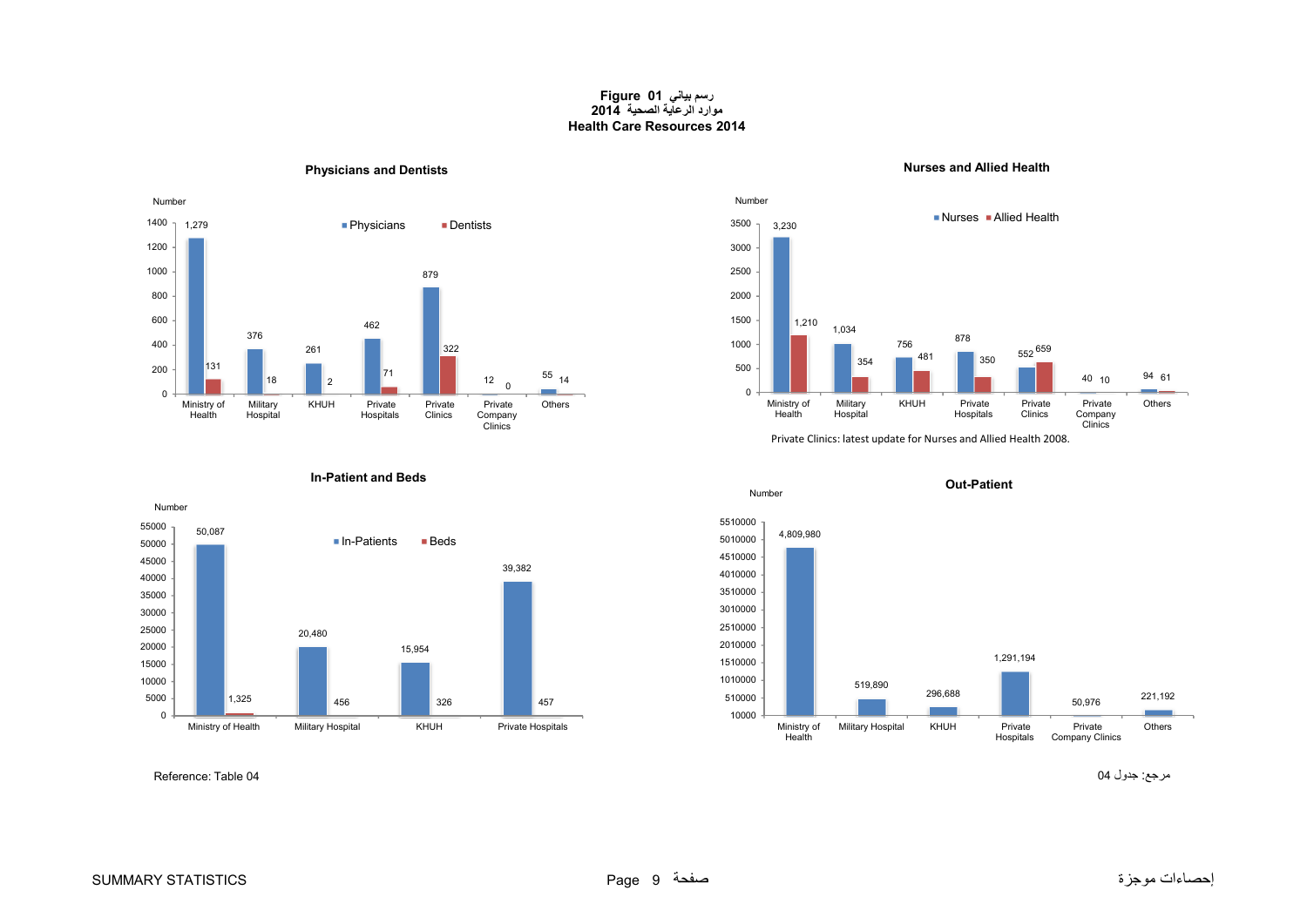#### **رسم بياني 01 Figure موارد الرعاية الصحية 2014 Health Care Resources 2014**

#### **Physicians and Dentists Nurses and Allied Health**

<span id="page-10-0"></span>









مرجع: جدول 04 04 Table :Reference

50,087

Number

**In-Patient and Beds**

■ In-Patients

15,954

Ministry of Health Military Hospital KHUH Private Hospitals

326

**Beds** 

39,382

457

20,480

1,325 456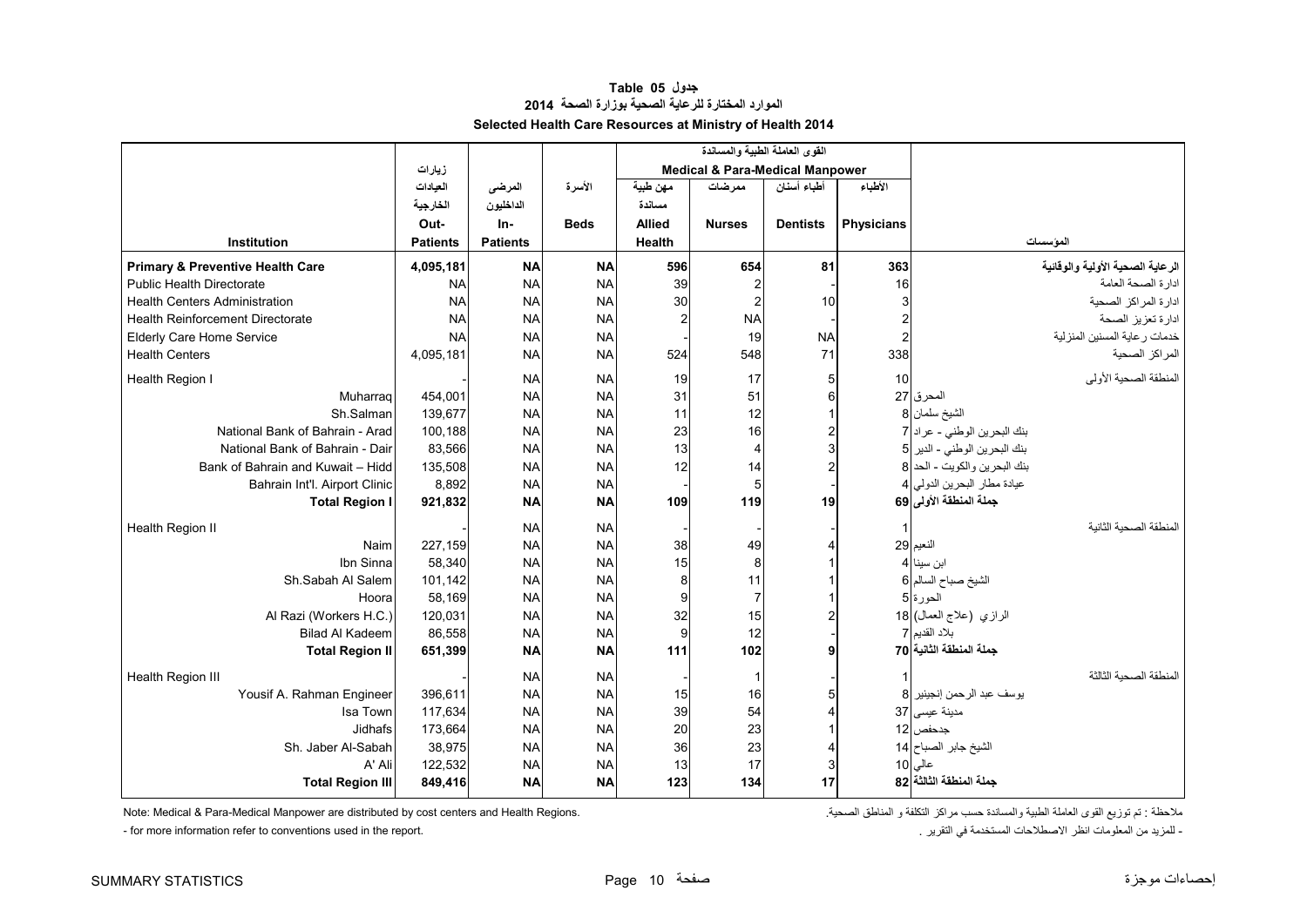#### **جدول 05 Table الموارد المختارة للرعاية الصحية بوزارة الصحة<sup>2014</sup> Selected Health Care Resources at Ministry of Health 2014**

<span id="page-11-0"></span>

|                                             |                 |                 |             |               | القوى العاملة الطبية والمساندة             |                 |                         |                                  |
|---------------------------------------------|-----------------|-----------------|-------------|---------------|--------------------------------------------|-----------------|-------------------------|----------------------------------|
|                                             | زيارات          |                 |             |               | <b>Medical &amp; Para-Medical Manpower</b> |                 |                         |                                  |
|                                             | العيادات        | المرضى          | الأسرة      | مهن طبية      | ممر ضات                                    | أطباء أسنان     | الأطباء                 |                                  |
|                                             | الخارجية        | الداخليون       |             | مسائدة        |                                            |                 |                         |                                  |
|                                             | Out-            | $In-$           | <b>Beds</b> | <b>Allied</b> | <b>Nurses</b>                              | <b>Dentists</b> | <b>Physicians</b>       |                                  |
| Institution                                 | <b>Patients</b> | <b>Patients</b> |             | Health        |                                            |                 |                         | المؤسسات                         |
| <b>Primary &amp; Preventive Health Care</b> | 4,095,181       | <b>NA</b>       | <b>NA</b>   | 596           | 654                                        | 81              | 363                     | الرعاية الصحية الأولية والوقائية |
| <b>Public Health Directorate</b>            | <b>NA</b>       | <b>NA</b>       | <b>NA</b>   | 39            |                                            |                 | 16                      | ادارة الصحة العامة               |
| <b>Health Centers Administration</b>        | <b>NA</b>       | <b>NA</b>       | <b>NA</b>   | 30            | $\overline{2}$                             | 10              | 3                       | ادارة المراكز الصحية             |
| <b>Health Reinforcement Directorate</b>     | <b>NA</b>       | <b>NA</b>       | <b>NA</b>   |               | <b>NA</b>                                  |                 | $\overline{\mathbf{c}}$ | ادارة تعزيز الصحة                |
| Elderly Care Home Service                   | <b>NA</b>       | <b>NA</b>       | <b>NA</b>   |               | 19                                         | <b>NA</b>       | $\overline{c}$          | خدمات رعاية المسنين المنزلية     |
| <b>Health Centers</b>                       | 4,095,181       | <b>NA</b>       | <b>NA</b>   | 524           | 548                                        | 71              | 338                     | المراكز الصحية                   |
| Health Region I                             |                 | <b>NA</b>       | <b>NA</b>   | 19            | 17                                         |                 | 10                      | المنطقة الصحية الأولى            |
| Muharrag                                    | 454,001         | <b>NA</b>       | <b>NA</b>   | 31            | 51                                         |                 |                         | المحرق 27                        |
| Sh.Salman                                   | 139,677         | <b>NA</b>       | <b>NA</b>   | 11            | 12                                         |                 |                         | الشيخ سلمان 8                    |
| National Bank of Bahrain - Arad             | 100,188         | <b>NA</b>       | <b>NA</b>   | 23            | 16                                         |                 |                         | بنك البحرين الوطني - عراد 7      |
| National Bank of Bahrain - Dair             | 83,566          | <b>NA</b>       | <b>NA</b>   | 13            | 4                                          |                 |                         | بنك البحرين الوطني - الدير 5     |
| Bank of Bahrain and Kuwait - Hidd           | 135,508         | <b>NA</b>       | <b>NA</b>   | 12            | 14                                         |                 |                         | بنك البحرين والكويت - الحد 8     |
| Bahrain Int'l. Airport Clinic               | 8,892           | <b>NA</b>       | <b>NA</b>   |               | 5                                          |                 |                         | عيادة مطار البحرين الدولي 4      |
| <b>Total Region I</b>                       | 921,832         | <b>NA</b>       | <b>NA</b>   | 109           | 119                                        | 19              |                         | جملة المنطقة الأولى 69           |
| Health Region II                            |                 | <b>NA</b>       | <b>NA</b>   |               |                                            |                 | -1                      | المنطقة الصحية الثانية           |
| Naim                                        | 227,159         | <b>NA</b>       | <b>NA</b>   | 38            | 49                                         |                 |                         | النعيم 29                        |
| Ibn Sinna                                   | 58,340          | <b>NA</b>       | <b>NA</b>   | 15            | 8                                          |                 |                         | ابن سينا 4                       |
| Sh.Sabah Al Salem                           | 101,142         | <b>NA</b>       | <b>NA</b>   | 8             | 11                                         |                 |                         | الشيخ صباح السالم 6              |
| Hoora                                       | 58,169          | <b>NA</b>       | <b>NA</b>   | 9             | $\overline{7}$                             |                 |                         | الحورة 5                         |
| Al Razi (Workers H.C.)                      | 120,031         | <b>NA</b>       | <b>NA</b>   | 32            | 15                                         |                 |                         | الرازي (علاج العمال) 18          |
| <b>Bilad Al Kadeem</b>                      | 86,558          | <b>NA</b>       | <b>NA</b>   | 9             | 12                                         |                 |                         | بلاد القديم 7                    |
| <b>Total Region II</b>                      | 651,399         | <b>NA</b>       | <b>NA</b>   | 111           | 102                                        |                 |                         | جملة المنطقة الثانية 70          |
| Health Region III                           |                 | <b>NA</b>       | <b>NA</b>   |               | -1                                         |                 |                         | المنطقة الصحبة الثالثة           |
| Yousif A. Rahman Engineer                   | 396,611         | <b>NA</b>       | <b>NA</b>   | 15            | 16                                         |                 |                         | يوسف عبد الرحمن إنجينير  8       |
| Isa Town                                    | 117,634         | <b>NA</b>       | <b>NA</b>   | 39            | 54                                         |                 |                         | مدينة عيسى 37                    |
| Jidhafs                                     | 173,664         | <b>NA</b>       | <b>NA</b>   | 20            | 23                                         |                 |                         | جدحفص   12                       |
| Sh. Jaber Al-Sabah                          | 38,975          | <b>NA</b>       | <b>NA</b>   | 36            | 23                                         |                 |                         | الشيخ جابر الصباح 14             |
| A' Ali                                      | 122,532         | <b>NA</b>       | <b>NA</b>   | 13            | 17                                         |                 |                         | عالی 10                          |
| <b>Total Region III</b>                     | 849,416         | <b>NA</b>       | <b>NA</b>   | 123           | 134                                        | 17              |                         | جملة المنطقة الثالثة 82          |

ملاحظة : تم توزيع القوى العاملة الطبية والمساندة حسب مراكز التكلفة و المناطق الصحية. . Note: Medical & Para-Medical Manpower are distributed by cost centers and Health Regions.

- المزيد من المعلومات انظر الاصطلاحات المستخدمة في التقرير .<br>. التقريد في التقرير في التقرير الصطلاحات المستخدمة في التقرير .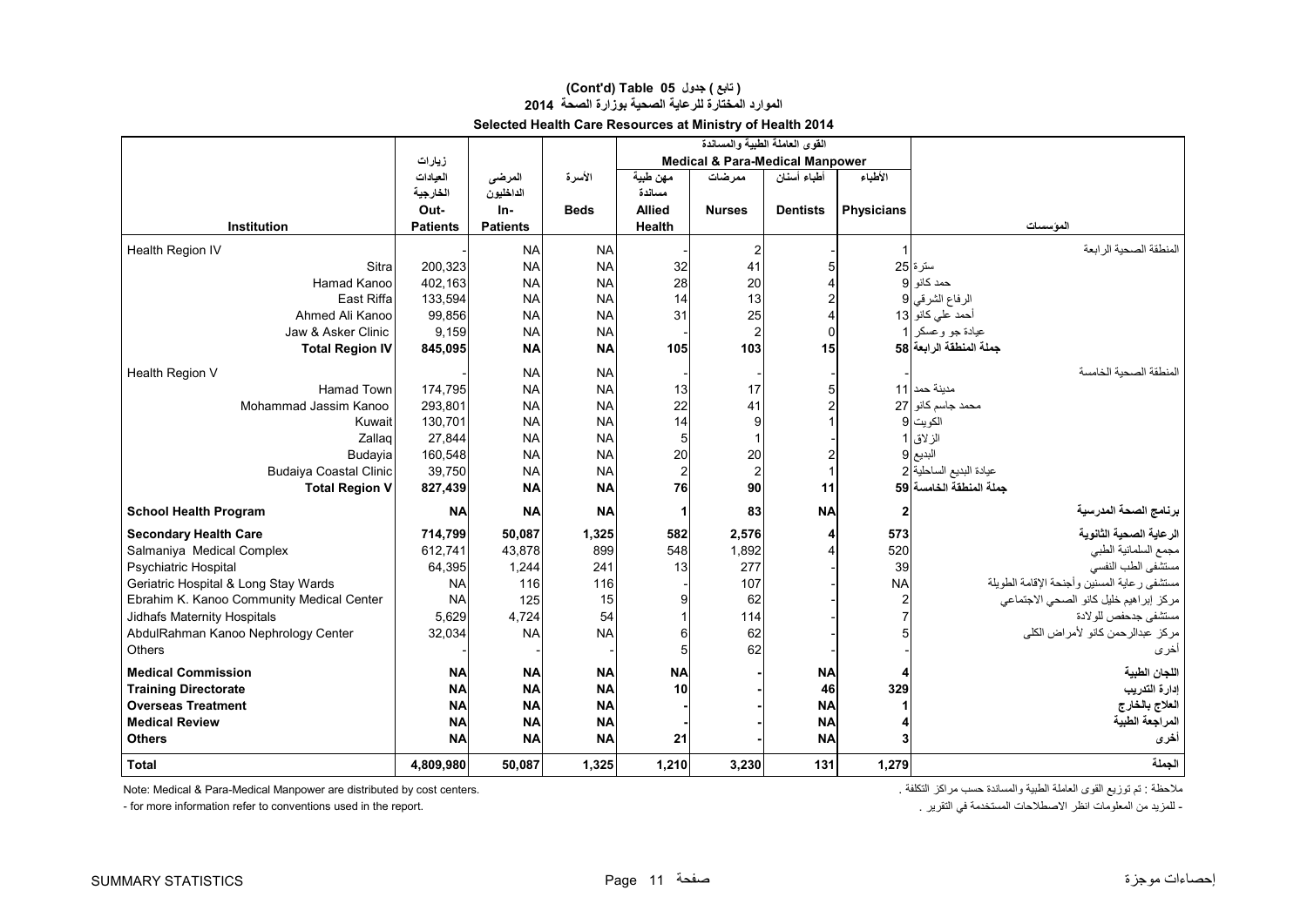#### **Selected Health Care Resources at Ministry of Health 2014 (Cont'd) Table 05 جدول ) تابع( الموارد المختارة للرعاية الصحية بوزارة الصحة<sup>2014</sup>**

|                                           |                 |                 |             |               | القوى العاملة الطبية والمساندة             |                 |                   |                                             |
|-------------------------------------------|-----------------|-----------------|-------------|---------------|--------------------------------------------|-----------------|-------------------|---------------------------------------------|
|                                           | زيارات          |                 |             |               | <b>Medical &amp; Para-Medical Manpower</b> |                 |                   |                                             |
|                                           | العيادات        | المرضى          | الأسرة      | مهن طبية      | ممر ضات                                    | أطباء أسنان     | الأطباء           |                                             |
|                                           | الخارجية        | الداخليون       |             | مسائدة        |                                            |                 |                   |                                             |
|                                           | Out-            | $In-$           | <b>Beds</b> | <b>Allied</b> | <b>Nurses</b>                              | <b>Dentists</b> | <b>Physicians</b> |                                             |
| Institution                               | <b>Patients</b> | <b>Patients</b> |             | Health        |                                            |                 |                   | الموسسات                                    |
| Health Region IV                          |                 | <b>NA</b>       | <b>NA</b>   |               | $\overline{\mathbf{c}}$                    |                 |                   | المنطقة الصحية الرابعة                      |
| Sitra                                     | 200,323         | <b>NA</b>       | <b>NA</b>   | 32            | 41                                         |                 |                   | ستر ۃ 25                                    |
| Hamad Kanoo                               | 402,163         | <b>NA</b>       | <b>NA</b>   | 28            | 20                                         |                 |                   | حمد كانو 9                                  |
| <b>East Riffa</b>                         | 133,594         | <b>NA</b>       | <b>NA</b>   | 14            | 13                                         |                 |                   | الرفاع الشرقي 9                             |
| Ahmed Ali Kanoo                           | 99,856          | <b>NA</b>       | <b>NA</b>   | 31            | 25                                         |                 |                   | أحمد على كانو 13                            |
| Jaw & Asker Clinic                        | 9,159           | <b>NA</b>       | <b>NA</b>   |               | $\overline{\mathbf{c}}$                    | $\Omega$        |                   | عيادة جو وعسكر 1                            |
| <b>Total Region IV</b>                    | 845,095         | <b>NA</b>       | <b>NA</b>   | 105           | 103                                        | 15              |                   | جملة المنطقة الرابعة 58                     |
| Health Region V                           |                 | <b>NA</b>       | <b>NA</b>   |               |                                            |                 |                   | المنطقة الصحبة الخامسة                      |
| <b>Hamad Town</b>                         | 174,795         | <b>NA</b>       | <b>NA</b>   | 13            | 17                                         |                 |                   | مدبنة حمد   11                              |
| Mohammad Jassim Kanoo                     | 293,801         | <b>NA</b>       | <b>NA</b>   | 22            | 41                                         |                 |                   | محمد جاسم كانو 27                           |
| Kuwait                                    | 130,701         | <b>NA</b>       | <b>NA</b>   | 14            | 9                                          |                 |                   | الكويت 9                                    |
| Zallag                                    | 27,844          | <b>NA</b>       | <b>NA</b>   | 5             | $\mathbf{1}$                               |                 |                   | الزلاق 1                                    |
| Budayia                                   | 160,548         | <b>NA</b>       | <b>NA</b>   | 20            | 20                                         |                 |                   | البديع 9                                    |
| <b>Budaiya Coastal Clinic</b>             | 39,750          | <b>NA</b>       | <b>NA</b>   | 2             | $\overline{c}$                             |                 |                   | عيادة البديع الساحلية 2                     |
| <b>Total Region V</b>                     | 827,439         | <b>NA</b>       | <b>NA</b>   | 76            | 90                                         | 11              |                   | جملة المنطقة الخامسة 59                     |
| <b>School Health Program</b>              | <b>NA</b>       | <b>NA</b>       | <b>NA</b>   | 1             | 83                                         | <b>NA</b>       | 2                 | برنامج الصحة المدرسية                       |
| <b>Secondary Health Care</b>              | 714,799         | 50,087          | 1,325       | 582           | 2,576                                      |                 | 573               | الرعاية الصحية الثانوية                     |
| Salmaniya Medical Complex                 | 612,741         | 43,878          | 899         | 548           | 1,892                                      |                 | 520               | مجمع السلمانية الطبي                        |
| <b>Psychiatric Hospital</b>               | 64,395          | 1,244           | 241         | 13            | 277                                        |                 | 39                | مستشفى الطب النفسى                          |
| Geriatric Hospital & Long Stay Wards      | <b>NA</b>       | 116             | 116         |               | 107                                        |                 | <b>NA</b>         | مستشفى رعاية المسنين وأجنحة الإقامة الطويلة |
| Ebrahim K. Kanoo Community Medical Center | <b>NA</b>       | 125             | 15          | 9             | 62                                         |                 | 2                 | مركز إبراهيم خليل كانو الصحى الاجتماعي      |
| <b>Jidhafs Maternity Hospitals</b>        | 5,629           | 4,724           | 54          |               | 114                                        |                 | $\overline{7}$    | مستشفى جدحفص للولادة                        |
| AbdulRahman Kanoo Nephrology Center       | 32,034          | <b>NA</b>       | <b>NA</b>   | 6             | 62                                         |                 | 5                 | مركز عبدالرحمن كانو لأمراض الكلى            |
| Others                                    |                 |                 |             | 5             | 62                                         |                 |                   | أخرى                                        |
| <b>Medical Commission</b>                 | <b>NA</b>       | <b>NA</b>       | <b>NA</b>   | <b>NA</b>     |                                            | <b>NA</b>       | 4                 | اللجان الطبية                               |
| <b>Training Directorate</b>               | <b>NA</b>       | <b>NA</b>       | <b>NA</b>   | 10            |                                            | 46              | 329               | إدارة التدريب                               |
| <b>Overseas Treatment</b>                 | <b>NA</b>       | <b>NA</b>       | <b>NA</b>   |               |                                            | <b>NA</b>       |                   | العلاج بالخارج                              |
| <b>Medical Review</b>                     | <b>NA</b>       | <b>NA</b>       | <b>NA</b>   |               |                                            | <b>NA</b>       | 4                 | المراجعة الطبية                             |
| <b>Others</b>                             | <b>NA</b>       | <b>NA</b>       | <b>NA</b>   | 21            |                                            | <b>NA</b>       | 3                 | أخرى                                        |
| <b>Total</b>                              | 4,809,980       | 50,087          | 1,325       | 1,210         | 3,230                                      | 131             | 1,279             | الجملة                                      |

ملاحظة : تم توزيع القوى العاملة الطبية والمساندة حسب مراكز التكلفة .<br>- تمثل المعلومات انظر الاصطلاحات المستخدمة في التقرير . .<br>- تمزيد من المعلومات انظر الاصطلاحات المستخدمة في التقرير .

- for more information refer to conventions used in the report.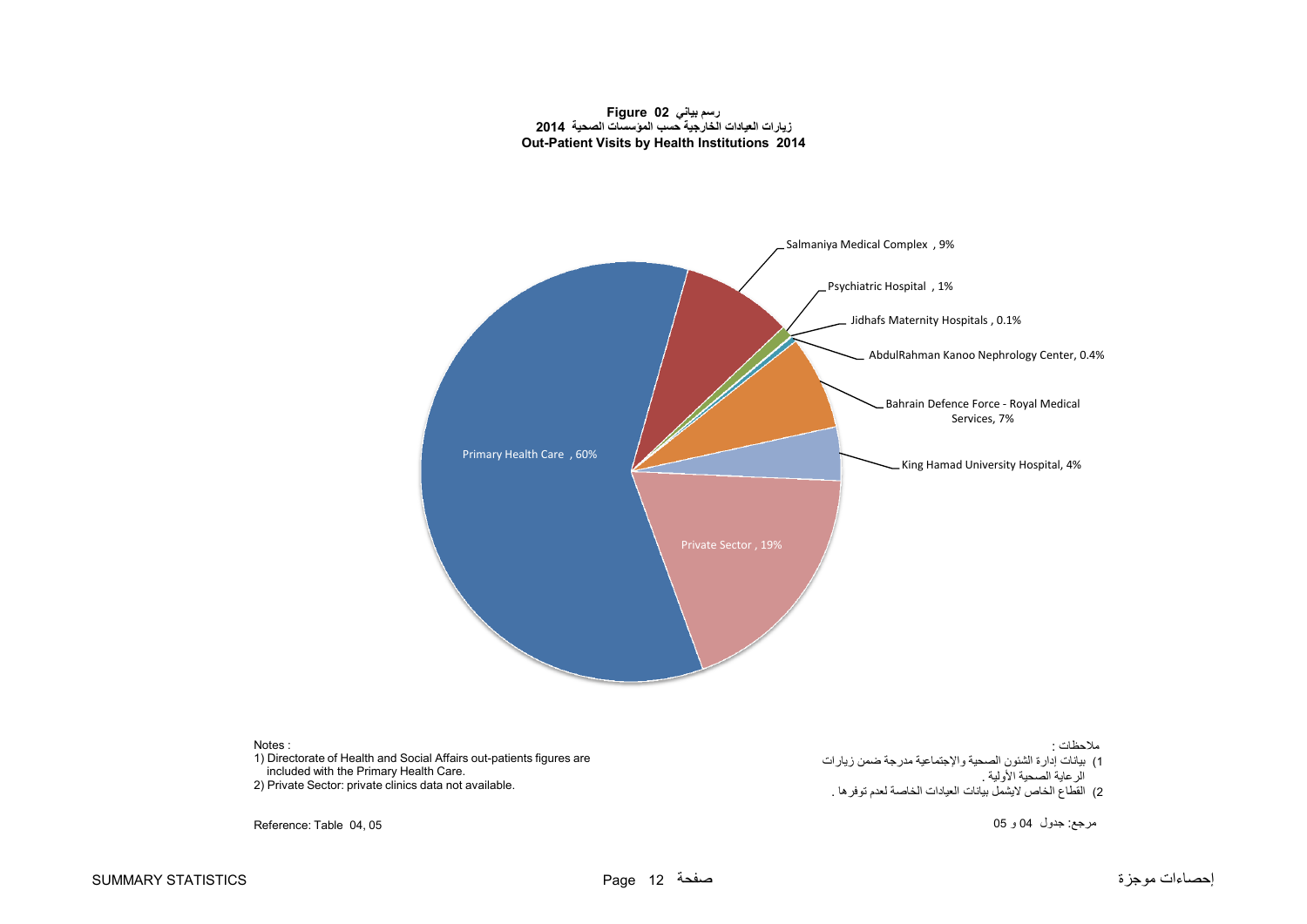**رسم بياني 02 Figure زيارات العيادات الخارجية حسب المؤسسات الصحية 2014 Out-Patient Visits by Health Institutions 2014**

<span id="page-13-0"></span>

Reference: Table 04, 05

Notes :

مرجع: جدول <sup>04</sup> <sup>و</sup> <sup>05</sup>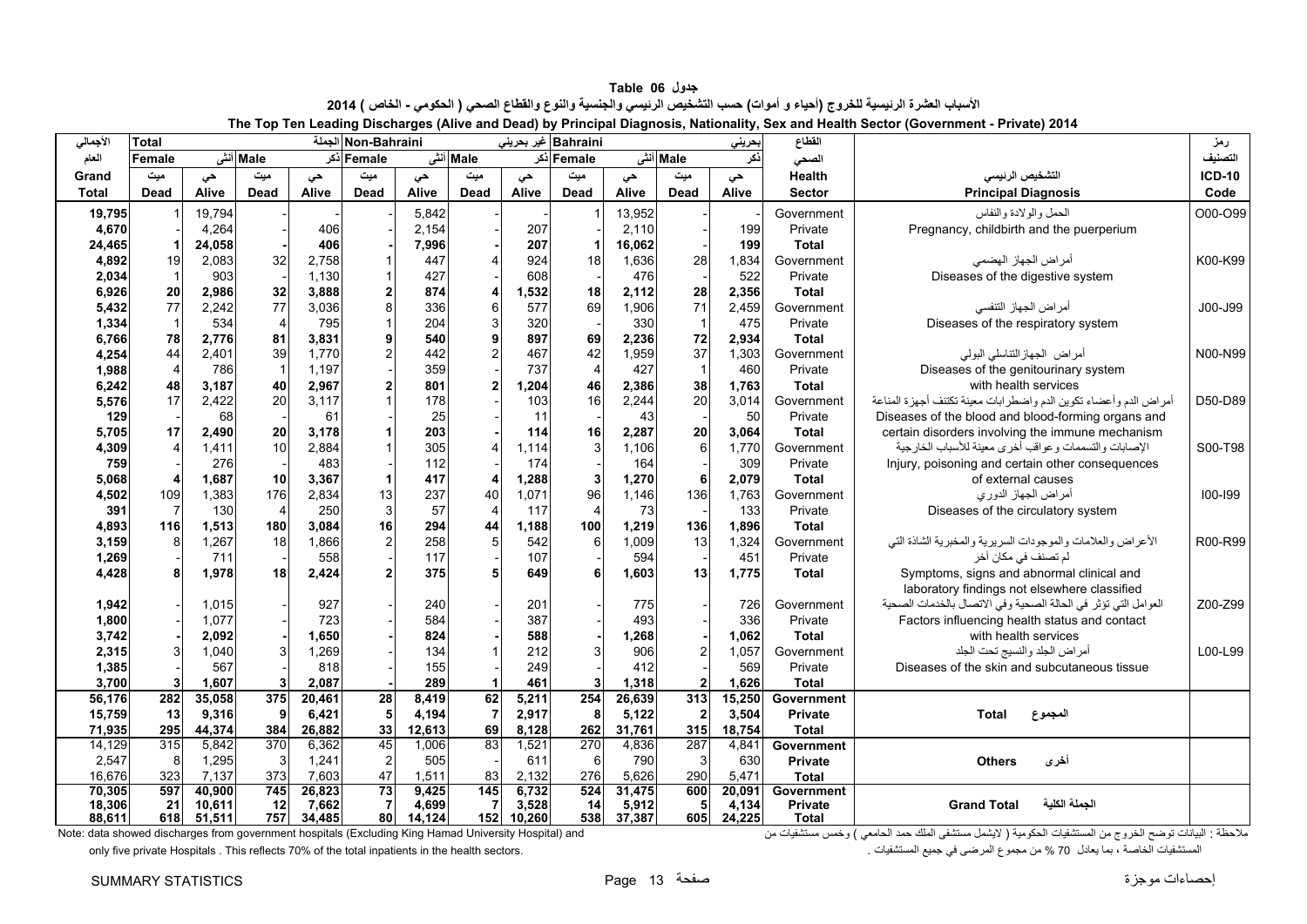**جدول 06 Table** الأسباب العشرة الرئيسية للخروج (أحياء و أموات) حسب التشخيص الرئيسي والجنسية والنوع والقطاع الصحي ( الحكومي - الخاص ) 2014 **The Top Ten Leading Discharges (Alive and Dead) by Principal Diagnosis, Nationality, Sex and Health Sector (Government - Private) 2014** 

<span id="page-14-0"></span>

| الأجمالى       | Total          | Non-Bahraini الجملة<br>Bahraini غير بحريني |                  |            |             |            |                |            |                | بحريني     | القطاع         |            | رمز                   |                                                                                                                 |               |
|----------------|----------------|--------------------------------------------|------------------|------------|-------------|------------|----------------|------------|----------------|------------|----------------|------------|-----------------------|-----------------------------------------------------------------------------------------------------------------|---------------|
| العام          | Female         |                                            | Male أنش         |            | Female أذكر |            | Male أنش       |            | Female أذكر    |            | Male أنش       | ذكر        | الصحى                 |                                                                                                                 | التصنيف       |
| Grand          | میت            | حى                                         | میت              | حى         | میت         | حى         | میت            | حى         | میت            | حى         | میت            | حى         | Health                | التشخيص الرنيسى                                                                                                 | <b>ICD-10</b> |
| <b>Total</b>   | Dead           | Alive                                      | <b>Dead</b>      | Alive      | <b>Dead</b> | Alive      | Dead           | Alive      | Dead           | Alive      | Dead           | Alive      | <b>Sector</b>         | <b>Principal Diagnosis</b>                                                                                      | Code          |
| 19,795         |                | 19,794                                     |                  |            |             | 5,842      |                |            |                | 13,952     |                |            | Government            | الحمل والولادة والنفاس                                                                                          | O00-O99       |
| 4,670          |                | 4,264                                      |                  | 406        |             | 2,154      |                | 207        |                | 2,110      |                | 199        | Private               | Pregnancy, childbirth and the puerperium                                                                        |               |
| 24,465         |                | 24,058                                     |                  | 406        |             | 7,996      |                | 207        |                | 16,062     |                | 199        | <b>Total</b>          |                                                                                                                 |               |
| 4,892          | 19             | 2,083                                      | 32               | 2,758      |             | 447        |                | 924        | 18             | 1,636      | 28             | 1,834      | Government            | أمراض الجهاز الهضمى                                                                                             | K00-K99       |
| 2,034          | $\mathbf{1}$   | 903                                        |                  | 1,130      |             | 427        |                | 608        |                | 476        |                | 522        | Private               | Diseases of the digestive system                                                                                |               |
| 6,926          | 20             | 2,986                                      | 32               | 3,888      |             | 874        |                | 1,532      | 18             | 2,112      | 28             | 2,356      | <b>Total</b>          |                                                                                                                 |               |
| 5,432          | 77             | 2,242                                      | 77               | 3,036      |             | 336        | 6              | 577        | 69             | 1,906      | 71             | 2,459      | Government            | أمر اض الجهاز التنفسي                                                                                           | J00-J99       |
| 1,334          | $\mathbf{1}$   | 534                                        | $\overline{4}$   | 795        |             | 204        |                | 320        |                | 330        | $\overline{1}$ | 475        | Private               | Diseases of the respiratory system                                                                              |               |
| 6,766          | 78             | 2,776                                      | 81               | 3,831      |             | 540        |                | 897        | 69             | 2,236      | 72             | 2,934      | <b>Total</b>          |                                                                                                                 |               |
| 4,254          | 44             | 2,401                                      | 39               | 1,770      |             | 442        |                | 467        | 42             | 1,959      | 37             | 1,303      | Government            | أمراض الجهاز التناسلي البولي                                                                                    | N00-N99       |
| 1,988          | $\overline{4}$ | 786                                        | $\overline{1}$   | 1,197      |             | 359        |                | 737        | $\overline{4}$ | 427        | $\overline{1}$ | 460        | Private               | Diseases of the genitourinary system                                                                            |               |
| 6,242          | 48             | 3.187                                      | 40               | 2,967      |             | 801        |                | 1,204      | 46             | 2,386      | 38             | 1,763      | <b>Total</b>          | with health services                                                                                            |               |
| 5,576          | 17             | 2,422                                      | 20               | 3,117      |             | 178        |                | 103        | 16             | 2,244      | 20             | 3,014      | Government            | أمراض الدم وأعضاء تكوين الدم واضطرابات معينة تكتنف أجهزة المناعة                                                | D50-D89       |
| 129            |                | 68                                         |                  | 61         |             | 25         |                | 11         |                | 43         |                | 50         | Private               | Diseases of the blood and blood-forming organs and                                                              |               |
| 5,705          | 17             | 2,490                                      | 20               | 3,178      |             | 203        |                | 114        | 16             | 2,287      | 20             | 3.064      | Total                 | certain disorders involving the immune mechanism                                                                |               |
| 4,309          |                | 1.411                                      | 10               | 2,884      |             | 305        |                | 1,114      | 3              | 1.106      | 6              | 1.770      | Government            | الإصابات والتسممات وعواقب أخرى معينة للأسباب الخارجية                                                           | S00-T98       |
| 759            |                | 276                                        |                  | 483        |             | 112        |                | 174        |                | 164        |                | 309        | Private               | Injury, poisoning and certain other consequences                                                                |               |
| 5,068          |                | 1,687                                      | 10               | 3,367      |             | 417        |                | 1,288      | 3              | 1,270      | $6\phantom{a}$ | 2,079      | <b>Total</b>          | of external causes                                                                                              |               |
| 4,502          | 109            | 1,383                                      | 176              | 2,834      | 13          | 237        | 40             | 1,071      | 96             | 1,146      | 136            | 1,763      | Government            | أمراض الجهاز الدوري                                                                                             | 100-199       |
| 391            | $\overline{7}$ | 130                                        | $\overline{4}$   | 250        | 3           | 57         | 4              | 117        | 4              | 73         |                | 133        | Private               | Diseases of the circulatory system                                                                              |               |
| 4,893          | 116            | 1,513                                      | 180              | 3,084      | 16          | 294        | 44             | 1,188      | 100            | 1,219      | 136            | 1,896      | <b>Total</b>          |                                                                                                                 |               |
| 3,159          | 8              | 1,267                                      | 18               | 1,866      |             | 258        | 5              | 542        | 6              | 1,009      | 13             | 1,324      | Government            | الأعراض والعلامات والموجودات السريرية والمخبرية الشاذة التي                                                     | R00-R99       |
| 1,269          |                | 711                                        |                  | 558        |             | 117        |                | 107        |                | 594        |                | 451        | Private               | لم تصنف في مكان أخر                                                                                             |               |
| 4,428          |                | 1,978                                      | 18               | 2,424      |             | 375        | 5              | 649        |                | 1,603      | 13             | 1,775      | <b>Total</b>          | Symptoms, signs and abnormal clinical and                                                                       |               |
|                |                |                                            |                  |            |             |            |                |            |                |            |                |            |                       | laboratory findings not elsewhere classified                                                                    |               |
| 1,942<br>1,800 |                | 1,015<br>1,077                             |                  | 927<br>723 |             | 240<br>584 |                | 201<br>387 |                | 775<br>493 |                | 726<br>336 | Government<br>Private | العوامل التي تؤثر في الحالة الصحية وفي الاتصال بالخدمات الصحية<br>Factors influencing health status and contact | Z00-Z99       |
| 3,742          |                | 2,092                                      |                  | 1,650      |             | 824        |                | 588        |                | 1,268      |                | 1,062      | <b>Total</b>          | with health services                                                                                            |               |
| 2,315          | 3              | 1,040                                      |                  | 1,269      |             | 134        |                | 212        |                | 906        | $\overline{2}$ | 1,057      | Government            | أمراض الجلد والنسيج تحت الجلد                                                                                   | L00-L99       |
| 1,385          |                | 567                                        |                  | 818        |             | 155        |                | 249        |                | 412        |                | 569        | Private               | Diseases of the skin and subcutaneous tissue                                                                    |               |
| 3,700          | 3              | 1,607                                      | 3                | 2,087      |             | 289        |                | 461        | 3              | 1,318      | $\overline{2}$ | 1,626      | <b>Total</b>          |                                                                                                                 |               |
| 56,176         | 282            | 35,058                                     | 375              | 20,461     | 28          | 8,419      | 62             | 5,211      | 254            | 26,639     | 313            | 15,250     | Government            |                                                                                                                 |               |
| 15,759         | 13             | 9,316                                      | 9                | 6,421      | 5           | 4,194      | $\overline{7}$ | 2,917      | 8              | 5,122      | $\overline{2}$ | 3,504      | <b>Private</b>        | <b>Total</b><br>المجموع                                                                                         |               |
| 71,935         | 295            | 44,374                                     | 384              | 26,882     | 33          | 12,613     | 69             | 8,128      | 262            | 31.761     | 315            | 18,754     | <b>Total</b>          |                                                                                                                 |               |
| 14,129         | 315            | 5,842                                      | $\overline{370}$ | 6,362      | 45          | 1,006      | 83             | 1,521      | 270            | 4,836      | 287            | 4,841      | Government            |                                                                                                                 |               |
| 2,547          | 8              | 1,295                                      | 3                | 1,241      | 2           | 505        |                | 611        | $6 \mid$       | 790        | 3              | 630        | <b>Private</b>        | أخرى<br><b>Others</b>                                                                                           |               |
| 16,676         | 323            | 7,137                                      | 373              | 7,603      | 47          | 1,511      | 83             | 2,132      | 276            | 5,626      | 290            | 5,471      | <b>Total</b>          |                                                                                                                 |               |
| 70,305         | 597            | 40,900                                     | 745              | 26,823     | 73          | 9,425      | 145            | 6,732      | 524            | 31,475     | 600            | 20,091     | Government            |                                                                                                                 |               |
| 18,306         | 21             | 10,611                                     | 12               | 7,662      |             | 4,699      | 7              | 3,528      | 14             | 5,912      | 5              | 4,134      | <b>Private</b>        | الجملة الكلية<br><b>Grand Total</b>                                                                             |               |
| 88.611         | 618            | 51,511                                     | 757              | 34,485     | 80          | 14,124     | 152            | 10,260     | 538            | 37.387     | 605            | 24.225     | <b>Total</b>          |                                                                                                                 |               |

ملاحظة : البيانات توضح الخروج من المستشفيات الحكومية ( لايشمل مستشفى الملك حمد الحامعي ) وخمس مستشفى الملك حمد الحامعي ) وخمس مستشفيات من ande: data showed discharges from government hospitals (Excluding King Hamad Univer only five private Hospitals . This reflects 70% of the total inpatients in the health sectors. . المستشفيات جميع في المرضى مجموع من % 70 يعادل بما ، الخاصة المستشفيات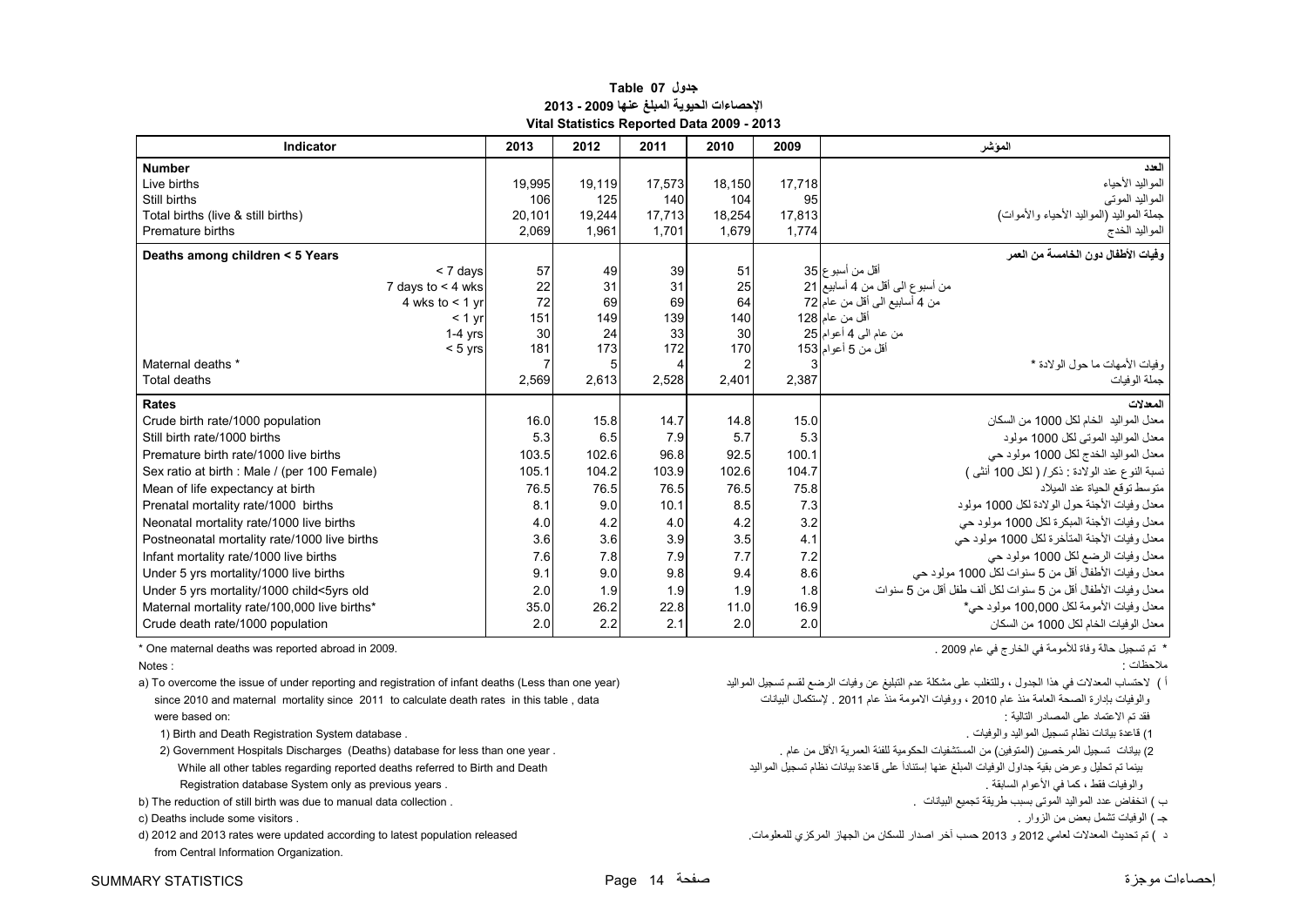#### **جدول 07 Table اإلحصاءات الحيوية المبلغ عنھا 2009 - 2013 Vital Statistics Reported Data 2009 - 2013**

<span id="page-15-0"></span>

| Indicator                                    |                     | 2013   | 2012   | 2011   | 2010           | 2009   | الموشر                                                       |
|----------------------------------------------|---------------------|--------|--------|--------|----------------|--------|--------------------------------------------------------------|
| <b>Number</b>                                |                     |        |        |        |                |        | العدد                                                        |
| Live births                                  |                     | 19,995 | 19,119 | 17,573 | 18,150         | 17.718 | المواليد الأحياء                                             |
| Still births                                 |                     | 106    | 125    | 140    | 104            | 95     | المواليد الموتى                                              |
| Total births (live & still births)           |                     | 20.101 | 19,244 | 17.713 | 18,254         | 17.813 | جملة المواليد (المواليد الأحياء والأموات)                    |
| Premature births                             |                     | 2,069  | 1.961  | 1.701  | 1.679          | 1.774  | المواليد الخدج                                               |
| Deaths among children < 5 Years              |                     |        |        |        |                |        | و فيات الأطفال دو ن الخامسة من العمر                         |
|                                              | < 7 days            | 57     | 49     | 39     | 51             |        | أقل من أسبوع 35                                              |
|                                              | 7 days to $<$ 4 wks | 22     | 31     | 31     | 25             |        | من أسبوع الى أقل من 4 أسابيع 21                              |
|                                              | 4 wks to $<$ 1 yr   | 72     | 69     | 69     | 64             |        | من 4 أسابيع الى أقل من عام 72                                |
|                                              | $< 1$ yr            | 151    | 149    | 139    | 140            |        | أقل من عام 128                                               |
|                                              | $1-4$ yrs           | 30     | 24     | 33     | 30             |        | من عام الى 4 أعوام 25                                        |
|                                              | $< 5$ yrs           | 181    | 173    | 172    | 170            |        | أقل من 5 أعوام 153                                           |
| Maternal deaths *                            |                     |        | 5      |        | $\overline{c}$ |        | وفيات الأمهات ما حول الو لادة *                              |
| Total deaths                                 |                     | 2,569  | 2,613  | 2,528  | 2,401          | 2,387  | جملة الوفيات                                                 |
| Rates                                        |                     |        |        |        |                |        | المعدلات                                                     |
| Crude birth rate/1000 population             |                     | 16.0   | 15.8   | 14.7   | 14.8           | 15.0   | معدل المواليد  الخام لكل 1000 من السكان                      |
| Still birth rate/1000 births                 |                     | 5.3    | 6.5    | 7.9    | 5.7            | 5.3    | معدل المواليد الموتى لكل 1000 مولود                          |
| Premature birth rate/1000 live births        |                     | 103.5  | 102.6  | 96.8   | 92.5           | 100.1  | معدل المواليد الخدج لكل 1000 مولود حي                        |
| Sex ratio at birth : Male / (per 100 Female) |                     | 105.1  | 104.2  | 103.9  | 102.6          | 104.7  | نسبة النوع عند الولادة : ذكر/ ( لكل 100 أنثى )               |
| Mean of life expectancy at birth             |                     | 76.5   | 76.5   | 76.5   | 76.5           | 75.8   | متوسط توقع الحياة عند الميلاد                                |
| Prenatal mortality rate/1000 births          |                     | 8.1    | 9.0    | 10.1   | 8.5            | 7.3    | معدل وفيات الأجنة حول الولادة لكل 1000 مولود                 |
| Neonatal mortality rate/1000 live births     |                     | 4.0    | 4.2    | 4.0    | 4.2            | 3.2    | معدل وفيات الأجنة المبكرة لكل 1000 مولود حي                  |
| Postneonatal mortality rate/1000 live births |                     | 3.6    | 3.6    | 3.9    | 3.5            | 4.1    | معدل وفيات الأجنة المتأخرة لكل 1000 مولود حي                 |
| Infant mortality rate/1000 live births       |                     | 7.6    | 7.8    | 7.9    | 7.7            | 7.2    | معدل وفيات الرضع لكل 1000 مولود حي                           |
| Under 5 yrs mortality/1000 live births       |                     | 9.1    | 9.0    | 9.8    | 9.4            | 8.6    | معدل وفيات الأطفال أقل من 5 سنوات لكل 1000 مولود حي          |
| Under 5 yrs mortality/1000 child<5yrs old    |                     | 2.0    | 1.9    | 1.9    | 1.9            | 1.8    | معدل وفيات الأطفال أقل من 5 سنوات لكل ألف طفل أقل من 5 سنوات |
| Maternal mortality rate/100,000 live births* |                     | 35.0   | 26.2   | 22.8   | 11.0           | 16.9   | معدل وفيات الأمومة لكل 100.000 مولود حي*                     |
| Crude death rate/1000 population             |                     | 2.0    | 2.2    | 2.1    | 2.0            | 2.0    | معدل الو فيات الخام لكل 1000 من السكان                       |

\* تم تسجيل حالة وفاة لألمومة في الخارج في عام 2009 . 2009. in abroad reported was deaths maternal One\*

- أ ) لاحتساب المعدلات في هذا الجدول ، وللتغلب على مشكلة عدم التبليغ عن وفيات الرضع لقسم تسجيل المواليد ( a) To overcome the issue of under reporting and registration of infant deaths (Less than one year) (هن الرضع لقسم تسج والوفيات بادارة الصحة العامة منذ عام 2010 ، ووفيات الامومة منذ عام 2011 . [بيانات المستكمال البيانات المومة منذ عام 2011 عام 2011 عام 2011 عام 2011 عام 2011 عام 2010 عام 2010 عام 2010 عام 2011 عامة الصحة بإدارة الصحة العا فقد تم الاعتماد على المصادر التالية : "من العتماد على المصادر التالية : "من العتماد على المصادر التالية : "من ا
	- 1) قاعدة بيانات نظام تسجيل المواليد والوفيات .<br>1) قاعدة بيانات نظام تسجيل المواليد والوفيات .
	-
- b) The reduction of still birth was due to manual data collection .
- جـ ) الوفيات تشمل بعض من الزوار . . visitors some include Deaths) c
- from Central Information Organization.

مالحظات : : Notes

- 2) بيانات تسجيل المرخصين (المتوفين) من المستشفيات الحكومية للفئة العمرية الأقل من عام . . Government Hospitals Discharges (Deaths) database for less than one year وmeaths ( المتوفين) من المستشفيات الحكومية للفئة العمرية بينما تم تحليل وعرض بقية جداول الوفيات المبلغ عنھا إستناداَ على قاعدة بيانات نظام تسجيل المواليد Death and Birth to referred deaths reported regarding tables other all While Registration database System only as previous years . . السابقة األعوام في كما ، فقط والوفيات
	- ب

د ) تم تحديث المعدلات لعامي 2012 و 2013 حسب آخر اصدار للسكان من الجهاز المركزي للمعلومات. " released و 2012 and 2013 rates were updated according to latest population released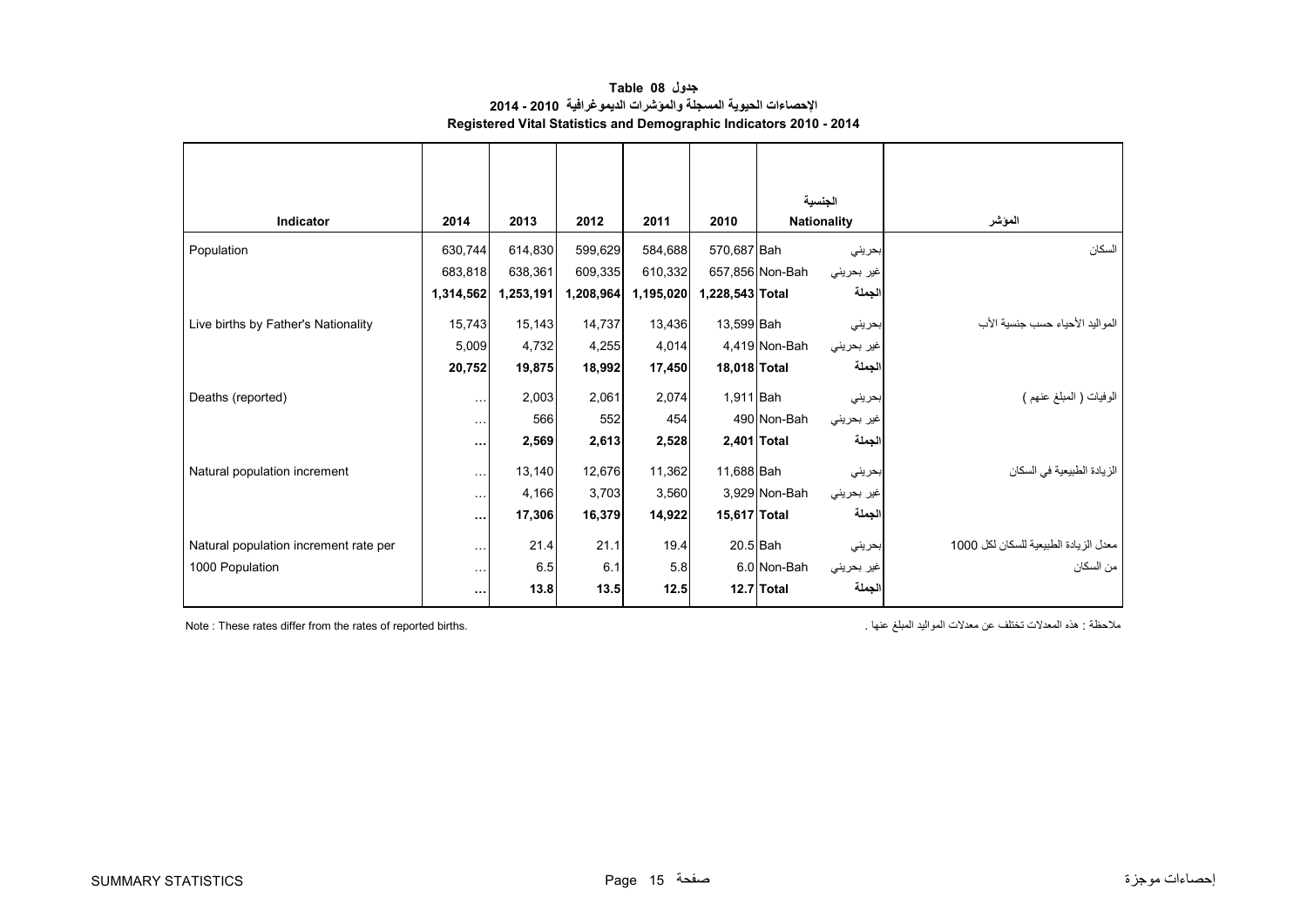<span id="page-16-0"></span>

|                                       |               |           |           |           |                 |                    | الجنسية    |                                       |
|---------------------------------------|---------------|-----------|-----------|-----------|-----------------|--------------------|------------|---------------------------------------|
| Indicator                             | 2014          | 2013      | 2012      | 2011      | 2010            | <b>Nationality</b> |            | المؤشر                                |
| Population                            | 630,744       | 614,830   | 599,629   | 584,688   | 570,687 Bah     |                    | بحريني     | السكان                                |
|                                       | 683,818       | 638,361   | 609,335   | 610,332   |                 | 657,856 Non-Bah    | غير بحريني |                                       |
|                                       | 1,314,562     | 1,253,191 | 1,208,964 | 1,195,020 | 1,228,543 Total |                    | الجملة     |                                       |
| Live births by Father's Nationality   | 15,743        | 15,143    | 14,737    | 13,436    | 13,599 Bah      |                    | بحريني     | المو البد الأحباء حسب جنسبة الأب      |
|                                       | 5,009         | 4,732     | 4,255     | 4,014     |                 | 4,419 Non-Bah      | غير بحريني |                                       |
|                                       | 20,752        | 19,875    | 18,992    | 17,450    | 18,018 Total    |                    | الجملة     |                                       |
| Deaths (reported)                     | $\cdots$      | 2,003     | 2,061     | 2,074     | 1,911 Bah       |                    | بحريني     | الوفيات ( المعلغ عنهم )               |
|                                       | $\ddotsc$     | 566       | 552       | 454       |                 | 490 Non-Bah        | غير بحريني |                                       |
|                                       | $\cdots$      | 2,569     | 2,613     | 2,528     |                 | 2,401 Total        | الجملة     |                                       |
| Natural population increment          | $\sim$        | 13,140    | 12,676    | 11,362    | 11,688 Bah      |                    | بحريني     | الزيادة الطبيعية في السكان            |
|                                       | $\sim$ $\sim$ | 4,166     | 3,703     | 3,560     |                 | 3,929 Non-Bah      | غير بحريني |                                       |
|                                       | $\ddotsc$     | 17,306    | 16,379    | 14,922    | 15,617 Total    |                    | الجملة     |                                       |
| Natural population increment rate per | $\ddotsc$     | 21.4      | 21.1      | 19.4      |                 | $20.5$ Bah         | بحريني     | معدل الزيادة الطبيعية للسكان لكل 1000 |
| 1000 Population                       | Ω.            | 6.5       | 6.1       | 5.8       |                 | 6.0 Non-Bah        | غير بحريني | من السكان                             |
|                                       | $\cdots$      | 13.8      | 13.5      | 12.5      |                 | 12.7 Total         | الجملة     |                                       |
|                                       |               |           |           |           |                 |                    |            |                                       |

**جدول 08 Table اإلحصاءات الحيوية المسجلة والمؤشرات الديموغرافية 2010 - 2014 Registered Vital Statistics and Demographic Indicators 2010 - 2014**

ملاك تختلف عن معدلات المواليد المبلغ عنها المبلغ عنها المبلغ عنها المبلغ المعدلات المواليد المبلغ عنها المعدلات المعدلات المعدالت المعدالت المعدالت المعدالت المعدالت المعدالت المعدالت المعدالت المعدالت المعدالت المعدالت ا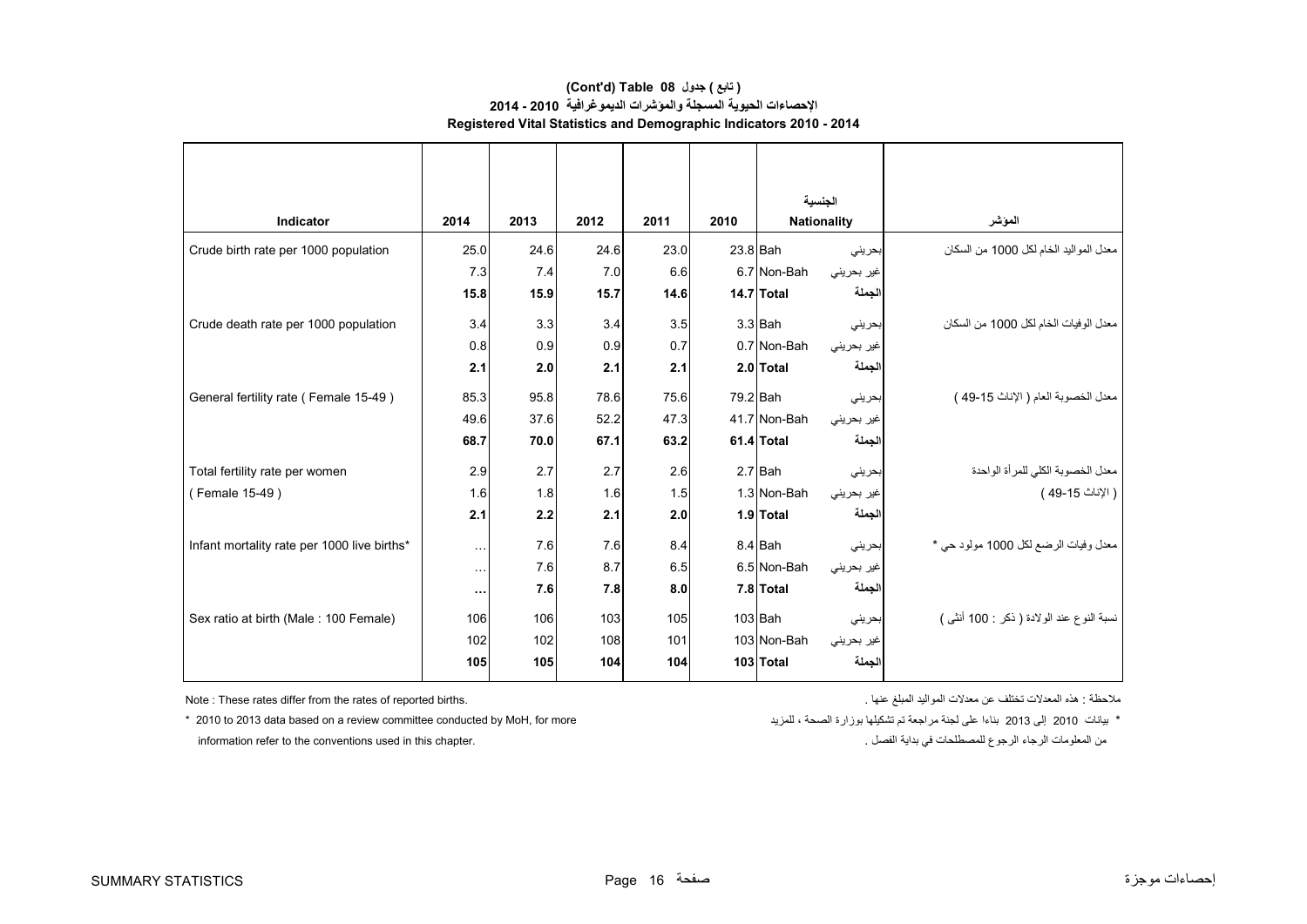#### **Registered Vital Statistics and Demographic Indicators 2010 - 2014 (Cont'd) Table 08 جدول ) تابع( اإلحصاءات الحيوية المسجلة والمؤشرات الديموغرافية 2010 - 2014**

|                                             |           |      |      |      |      | الحنسبة      |                    |                                           |
|---------------------------------------------|-----------|------|------|------|------|--------------|--------------------|-------------------------------------------|
| Indicator                                   | 2014      | 2013 | 2012 | 2011 | 2010 |              | <b>Nationality</b> | الموشر                                    |
| Crude birth rate per 1000 population        | 25.0      | 24.6 | 24.6 | 23.0 |      | $23.8$ Bah   | بحرينى             | معدل المواليد الخام لكل 1000 من السكان    |
|                                             | 7.3       | 7.4  | 7.0  | 6.6  |      | 6.7 Non-Bah  | غير بحريني         |                                           |
|                                             | 15.8      | 15.9 | 15.7 | 14.6 |      | 14.7 Total   | الجملة             |                                           |
| Crude death rate per 1000 population        | 3.4       | 3.3  | 3.4  | 3.5  |      | $3.3$ Bah    | بحريني             | معدل الوفيات الخام لكل 1000 من السكان     |
|                                             | 0.8       | 0.9  | 0.9  | 0.7  |      | 0.7 Non-Bah  | غير بحريني         |                                           |
|                                             | 2.1       | 2.0  | 2.1  | 2.1  |      | 2.0 Total    | لجملة              |                                           |
| General fertility rate (Female 15-49)       | 85.3      | 95.8 | 78.6 | 75.6 |      | 79.2 Bah     | بحريني             | معدل الخصوبة العام ( الإناث 15-49 )       |
|                                             | 49.6      | 37.6 | 52.2 | 47.3 |      | 41.7 Non-Bah | غير بحريني         |                                           |
|                                             | 68.7      | 70.0 | 67.1 | 63.2 |      | 61.4 Total   | لجملة              |                                           |
| Total fertility rate per women              | 2.9       | 2.7  | 2.7  | 2.6  |      | $2.7$ Bah    | بحريني             | معدل الخصوبة الكلي للمرأة الواحدة         |
| (Female 15-49)                              | 1.6       | 1.8  | 1.6  | 1.5  |      | 1.3 Non-Bah  | غير بحريني         | ( الإناث 15-49 )                          |
|                                             | 2.1       | 2.2  | 2.1  | 2.0  |      | 1.9 Total    | الجملة             |                                           |
| Infant mortality rate per 1000 live births* | $\ddotsc$ | 7.6  | 7.6  | 8.4  |      | 8.4 Bah      | بحريني             | معدل وفيات الرضع لكل 1000 مولود حي *      |
|                                             | $\ddotsc$ | 7.6  | 8.7  | 6.5  |      | 6.5 Non-Bah  | غير بحريني         |                                           |
|                                             | $\cdots$  | 7.6  | 7.8  | 8.0  |      | 7.8 Total    | الجملة             |                                           |
| Sex ratio at birth (Male: 100 Female)       | 106       | 106  | 103  | 105  |      | $103$ Bah    | بحريني             | نسبة النوع عند الولادة ( ذكر : 100 أنثى ) |
|                                             | 102       | 102  | 108  | 101  |      | 103 Non-Bah  | غير بحريني         |                                           |
|                                             | 105       | 105  | 104  | 104  |      | 103 Total    | الجملة             |                                           |

ملاحظة : هذه المعدلات تختلف عن معدلات المواليد المبلغ عنها المبلغ عنها المبلغ المعدالت المعدالت المعدالت المعد

.<br>من المعلومات الرجاء الرجوع للمصطلحات في بداية الفصل . الفصل بداية في بداية في بداية الفصل . . . . information refer to the conventions used in this chapter.

\* بيانات 2010 إلى 2013 بناءا على لجنة مراجعة تم تشكيلها بوزارة الصحة ، للمزيد ، الصحة بالمدرية الصحة بمن الجن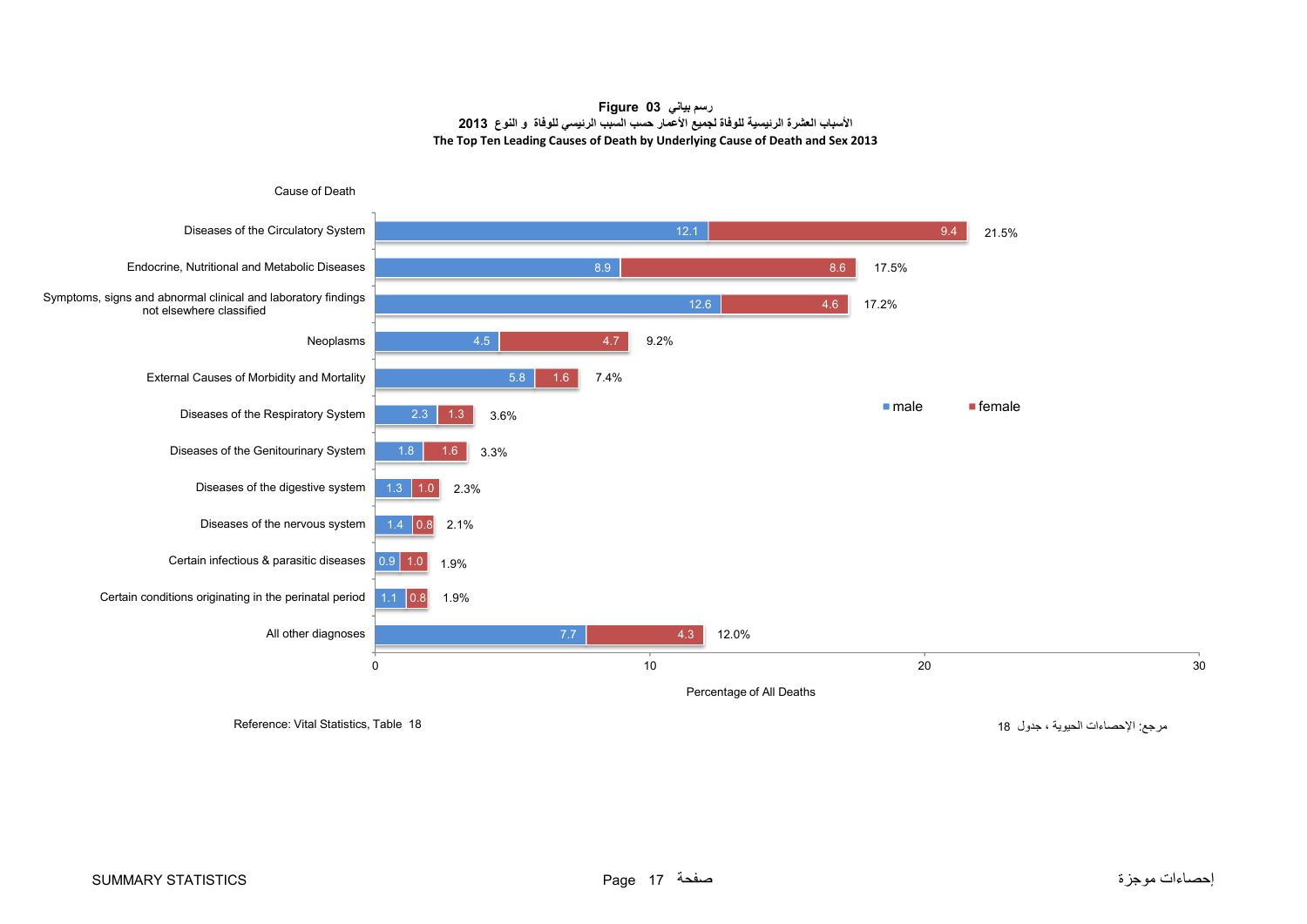#### **رسم بياني 03 Figure األسباب العشرة الرئيسية للوفاة لجميع األعمار حسب السبب الرئيسي للوفاة <sup>و</sup> النوع <sup>2013</sup> The Top Ten Leading Causes of Death by Underlying Cause of Death and Sex 2013**

<span id="page-18-0"></span>

مرجع: اإلحصاءات الحيوية ، جدول <sup>18</sup> 18 Table ,Statistics Vital :Reference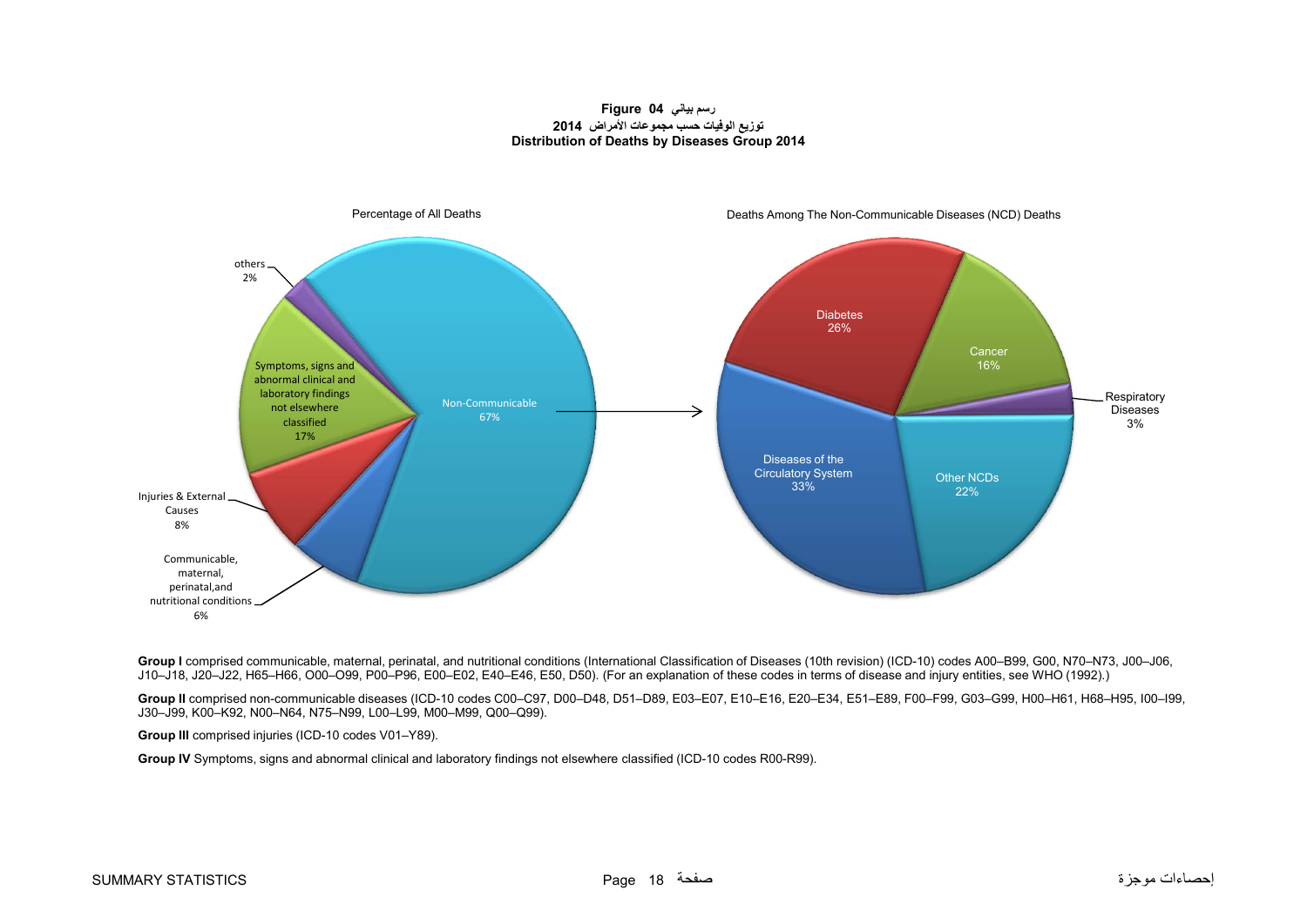#### **رسم بياني 04 Figure توزيع الوفيات حسب مجموعات األمراض <sup>2014</sup> Distribution of Deaths by Diseases Group 2014**

<span id="page-19-0"></span>

Group I comprised communicable, maternal, perinatal, and nutritional conditions (International Classification of Diseases (10th revision) (ICD-10) codes A00-B99, G00, N70-N73, J00-J06, J10–J18, J20–J22, H65–H66, O00–O99, P00–P96, E00–E02, E40–E46, E50, D50). (For an explanation of these codes in terms of disease and injury entities, see WHO (1992).)

**Group II** comprised non-communicable diseases (ICD-10 codes C00–C97, D00–D48, D51–D89, E03–E07, E10–E16, E20–E34, E51–E89, F00–F99, G03–G99, H00–H61, H68–H95, I00–I99, J30–J99, K00–K92, N00–N64, N75–N99, L00–L99, M00–M99, Q00–Q99).

**Group III** comprised injuries (ICD-10 codes V01–Y89).

**Group IV** Symptoms, signs and abnormal clinical and laboratory findings not elsewhere classified (ICD-10 codes R00-R99).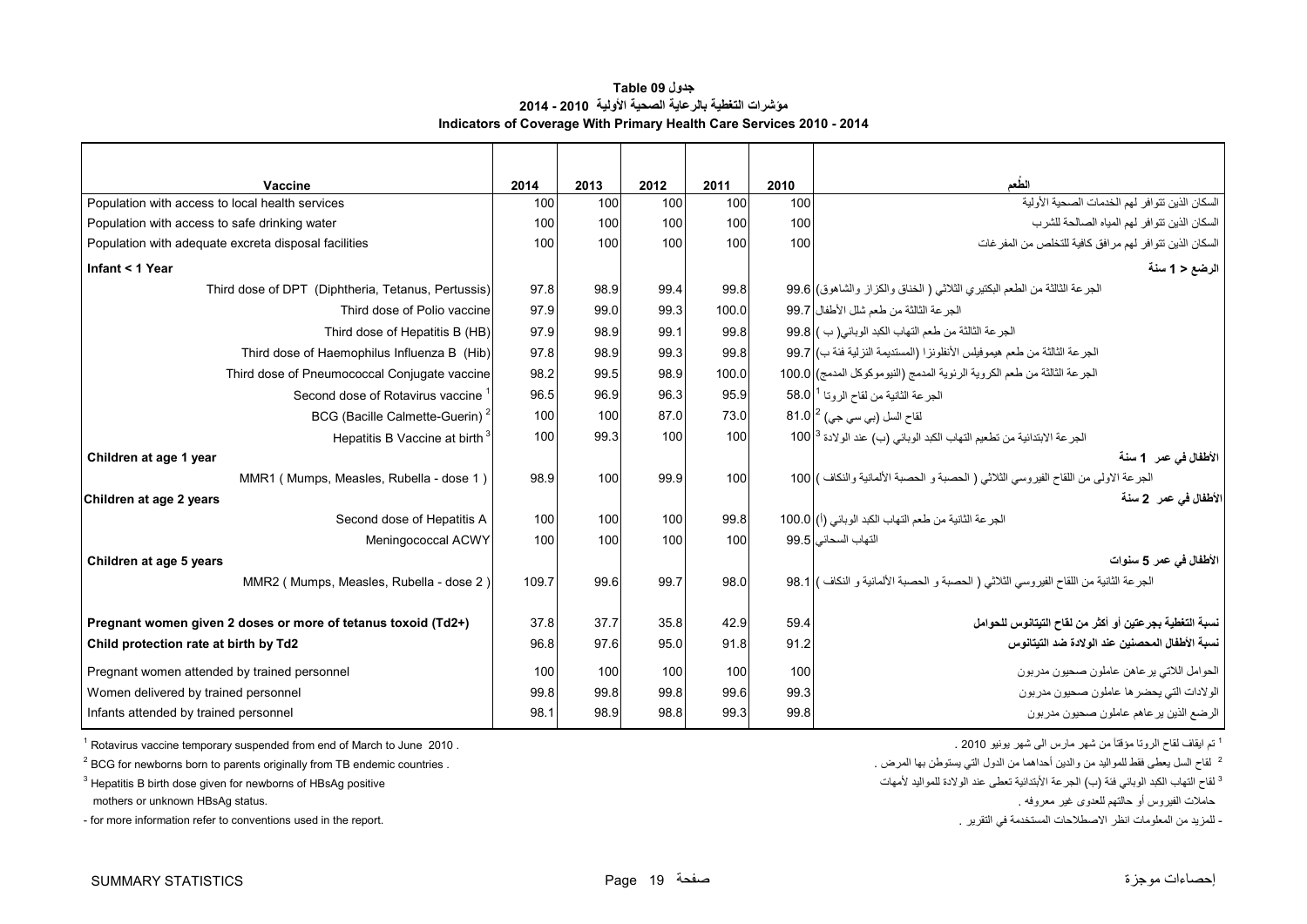#### **جدول 09 Table مؤشرات التغطية بالرعاية الصحية األولية 2010 - 2014 Indicators of Coverage With Primary Health Care Services 2010 - 2014**

<span id="page-20-0"></span>

| Vaccine                                                       | 2014  | 2013 | 2012 | 2011  | 2010             | الطعم                                                                                 |
|---------------------------------------------------------------|-------|------|------|-------|------------------|---------------------------------------------------------------------------------------|
| Population with access to local health services               | 100   | 100  | 100  | 100   | 100              | السكان الذين تتو افر لهم الخدمات الصحية الأولية                                       |
| Population with access to safe drinking water                 | 100   | 100  | 100  | 100   | 100 <sub>l</sub> | السكان الذين تتو افر   لهم المياه الصـالحة للشر ب                                     |
| Population with adequate excreta disposal facilities          | 100   | 100  | 100  | 100   | 100              | السكان الذين تتوافر لهم مرافق كافية للتخلص من المفرغات                                |
| Infant < 1 Year                                               |       |      |      |       |                  | الرضع < 1 سنة                                                                         |
| Third dose of DPT (Diphtheria, Tetanus, Pertussis)            | 97.8  | 98.9 | 99.4 | 99.8  |                  | الجرعة الثالثة من الطعم البكتيري الثلاثي ( الخناق والكزاز والشاهوق) 99.6              |
| Third dose of Polio vaccine                                   | 97.9  | 99.0 | 99.3 | 100.0 |                  | الجر عة الثالثة من طعم شلل الأطفال   99.7                                             |
| Third dose of Hepatitis B (HB)                                | 97.9  | 98.9 | 99.1 | 99.8  |                  | الجرعة الثالثة من طعم التهاب الكبد الوبائي( ب ) 99.8                                  |
| Third dose of Haemophilus Influenza B (Hib)                   | 97.8  | 98.9 | 99.3 | 99.8  |                  | الجرعة الثالثة من طعم هيموفيلس الأنفلونزا (المستديمة النزلية فئة ب) 99.7              |
| Third dose of Pneumococcal Conjugate vaccine                  | 98.2  | 99.5 | 98.9 | 100.0 |                  | الجرعة الثالثة من طعم الكروية الرئوية المدمج (النيوموكوكل المدمج) 100.0               |
| Second dose of Rotavirus vaccine                              | 96.5  | 96.9 | 96.3 | 95.9  |                  | الجرعة الثانية من لقاح الروتا <sup>1</sup>   58.0                                     |
| BCG (Bacille Calmette-Guerin) <sup>2</sup>                    | 100   | 100  | 87.0 | 73.0  |                  | لقاح السل (بي سي جي) <sup>2</sup> 81.0                                                |
| Hepatitis B Vaccine at birth <sup>3</sup>                     | 100   | 99.3 | 100  | 100   |                  | الجر عة الابتدائية من تطعيم التهاب الكبد الوبائي (ب) عند الولادة 100 <sup> 3</sup>    |
| Children at age 1 year                                        |       |      |      |       |                  | الأطفال في عمر _1 سنة                                                                 |
| MMR1 (Mumps, Measles, Rubella - dose 1)                       | 98.9  | 100  | 99.9 | 100   |                  | الجرعة الاولى من اللقاح الفيروسي الثلاثي ( الحصبة و الحصبة الألمانية والنكاف ) 100    |
| Children at age 2 years                                       |       |      |      |       |                  | الأطفال في عمر _2 سنة                                                                 |
| Second dose of Hepatitis A                                    | 100   | 100  | 100  | 99.8  |                  | الجرعة الثانية من طعم التهاب الكبد الوبائي (أ) 100.0                                  |
| Meningococcal ACWY                                            | 100   | 100  | 100  | 100   |                  | التهاب السحائي   99.5                                                                 |
| Children at age 5 years                                       |       |      |      |       |                  | الأطفال في عمر 5 سنوات                                                                |
| MMR2 (Mumps, Measles, Rubella - dose 2)                       | 109.7 | 99.6 | 99.7 | 98.0  |                  | الجرعة الثانية من اللقاح الفيروسي الثلاثي ( الحصبة و الحصبة الألمانية و النكاف ) 98.1 |
| Pregnant women given 2 doses or more of tetanus toxoid (Td2+) | 37.8  | 37.7 | 35.8 | 42.9  | 59.4             | نسبة التغطية بجرعتين أو أكثر من لقاح التيتانوس للحوامل                                |
| Child protection rate at birth by Td2                         | 96.8  | 97.6 | 95.0 | 91.8  | 91.2             | نسبة الأطفال المحصنين عند الولادة ضد التيتانوس                                        |
|                                                               |       |      |      |       |                  |                                                                                       |
| Pregnant women attended by trained personnel                  | 100   | 100  | 100  | 100   | 100              | الحوامل اللاتي ير عاهن عاملون صحيون مدربون                                            |
| Women delivered by trained personnel                          | 99.8  | 99.8 | 99.8 | 99.6  | 99.3             | الولادات التي يحضر ها عاملون صحيون مدربون                                             |
| Infants attended by trained personnel                         | 98.1  | 98.9 | 98.8 | 99.3  | 99.8             | الرضع الذين يرعاهم عاملون صحيون مدربون                                                |

 $1$  Rotavirus vaccine temporary suspended from end of March to June 2010 .

 $1<sup>2</sup>$  BCG for newborns born to parents originally from TB endemic countries .

 $3$  Hepatitis B birth dose given for newborns of HBsAg positive

<sup>1</sup> تم ايقاف لقاح الروتا مؤقتاً من شهر مارس الى شهر يونيو 2010 .

<sup>2</sup> لقاح السل يعطي فقط للمواليد من والدين أحداهما من الدول التي يستوطن بها المرض .

<sup>3</sup> لقاح التھاب الكبد الوبائي فئة (ب

حامالت الفيروس أو حالتھم للعدوى غير معروفه . .status HBsAg unknown or mothers

- for more information refer to conventions used in the report. . التقرير في المستخدمة االصطالحات انظر المعلومات من للمزيد -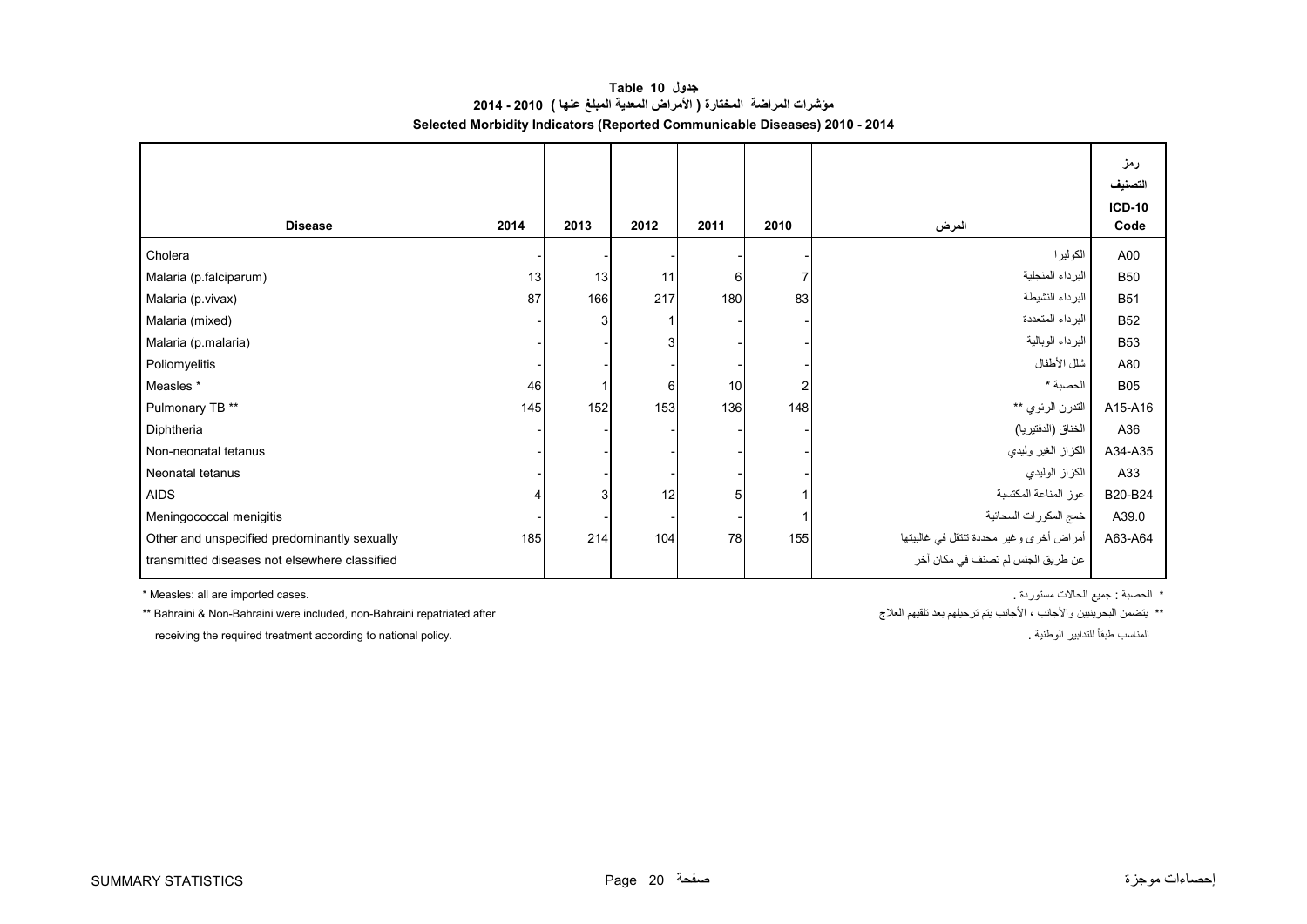**جدول 10 Table مؤشرات المراضة المختارة ( األمراض المعدية المبلغ عنھا ) 2010 - 2014 Selected Morbidity Indicators (Reported Communicable Diseases) 2010 - 2014**

<span id="page-21-0"></span>

|                                               |      |      |      |      |      |                                         | رمز<br>التصنيف<br><b>ICD-10</b> |
|-----------------------------------------------|------|------|------|------|------|-----------------------------------------|---------------------------------|
| <b>Disease</b>                                | 2014 | 2013 | 2012 | 2011 | 2010 | المرض                                   | Code                            |
| Cholera                                       |      |      |      |      |      | الكوليرا                                | A00                             |
| Malaria (p.falciparum)                        | 13   | 13   | 11   | 6    | 7    | البرداء المنجلية                        | <b>B50</b>                      |
| Malaria (p.vivax)                             | 87   | 166  | 217  | 180  | 83   | البرداء النشيطة                         | <b>B51</b>                      |
| Malaria (mixed)                               |      | 3    |      |      |      | البرداء المتعددة                        | <b>B52</b>                      |
| Malaria (p.malaria)                           |      |      |      |      |      | البرداء الوبالية                        | <b>B53</b>                      |
| Poliomyelitis                                 |      |      |      |      |      | شلل الأطفال                             | A80                             |
| Measles *                                     | 46   |      | 6    | 10   | 2    | الحصبة *                                | <b>B05</b>                      |
| Pulmonary TB **                               | 145  | 152  | 153  | 136  | 148  | التدرن الرئوي **                        | A15-A16                         |
| Diphtheria                                    |      |      |      |      |      | الخناق (الدفتيريا)                      | A36                             |
| Non-neonatal tetanus                          |      |      |      |      |      | الكزاز الغير وليدي                      | A34-A35                         |
| Neonatal tetanus                              |      |      |      |      |      | الكزاز الوليدي                          | A33                             |
| <b>AIDS</b>                                   |      | 3    | 12   | 5    |      | عوز المناعة المكتسبة                    | B20-B24                         |
| Meningococcal menigitis                       |      |      |      |      |      | خمج المكورات السحائية                   | A39.0                           |
| Other and unspecified predominantly sexually  | 185  | 214  | 104  | 78   | 155  | أمراض أخرى وغير محددة تنتقل في غالبيتها | A63-A64                         |
| transmitted diseases not elsewhere classified |      |      |      |      |      | عن طريق الجنس لم تصنف في مكان آخر       |                                 |

\* Measles: all are imported cases. . مستوردة الحاالت جميع : الحصبة\*

\*\* يتضمن البحرينيين والأجانب ، الأجانب يتم تر حيلهم بعد تلقيهم العلاج

\*\* Bahraini & Non-Bahraini were included, non-Bahraini repatriated after

receiving the required treatment according to national policy. . الوطنية للتدابير ًطبقا المناسب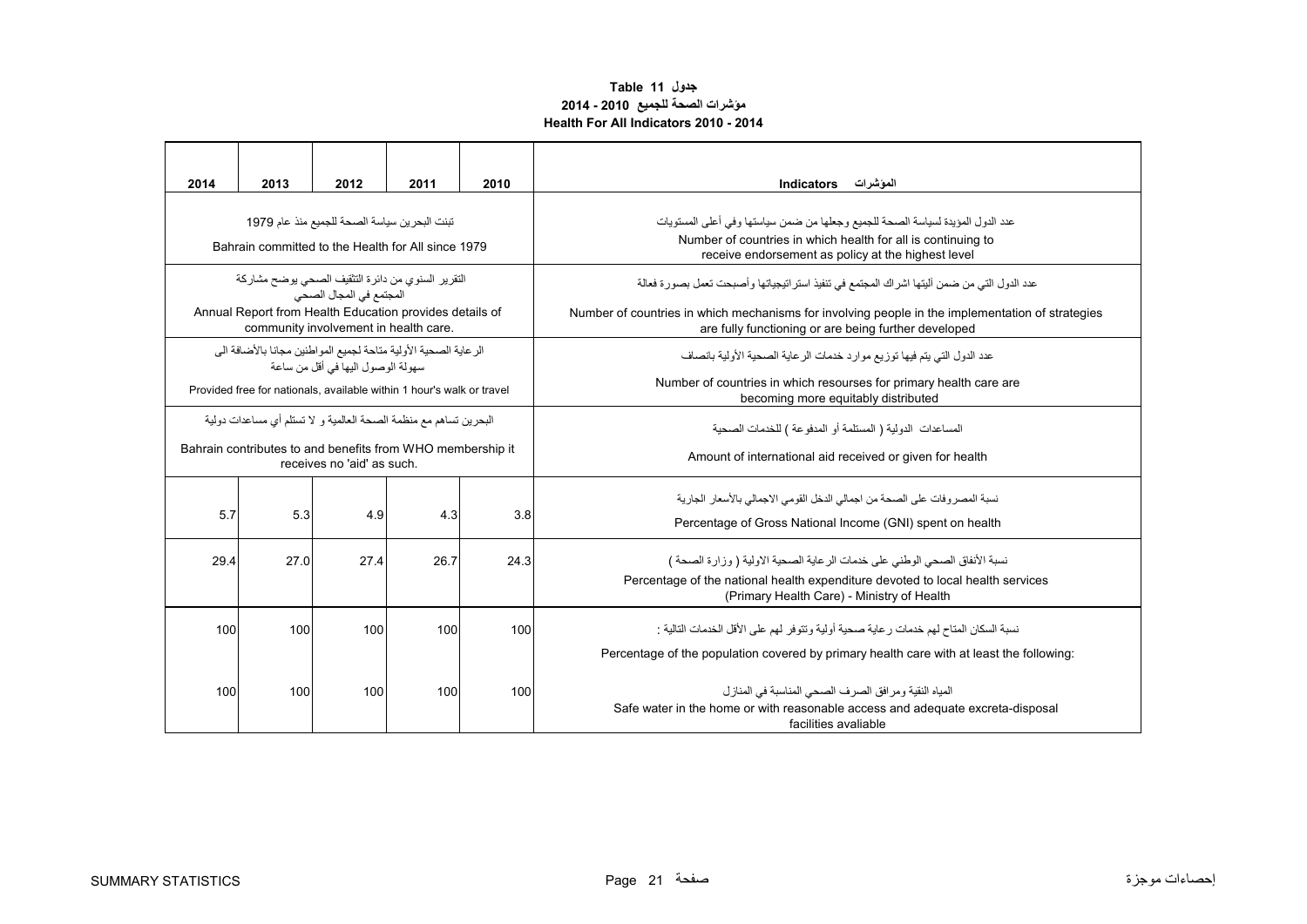### **مؤشرات الصحة للجميع 2010 - 2014 Health For All Indicators 2010 - 2014 جدول 11 Table**

<span id="page-22-0"></span>

| 2014                                                                 | 2013 | 2012                                                                                                                                    | 2011 | 2010 | المؤشرات Indicators                                                                                                                                                                                           |  |  |  |  |  |
|----------------------------------------------------------------------|------|-----------------------------------------------------------------------------------------------------------------------------------------|------|------|---------------------------------------------------------------------------------------------------------------------------------------------------------------------------------------------------------------|--|--|--|--|--|
|                                                                      |      | تبنت البحرين سياسة الصحة للجميع منذ عام 1979<br>Bahrain committed to the Health for All since 1979                                      |      |      | عدد الدول المؤيدة لسياسة الصحة للجميع وجعلها من ضمن سياستها وفي أعلى المستويات<br>Number of countries in which health for all is continuing to<br>receive endorsement as policy at the highest level          |  |  |  |  |  |
|                                                                      |      | النقرير السنوى من دائرة التثقيف الصحى يوضح مشاركة<br>المجتمع في المجال الصحي<br>Annual Report from Health Education provides details of |      |      | عدد الدول التي من ضمن أليتها اشراك المجتمع في تنفيذ استر اتيجياتها وأصبحت تعمل بصورة فعالة<br>Number of countries in which mechanisms for involving people in the implementation of strategies                |  |  |  |  |  |
| community involvement in health care.                                |      |                                                                                                                                         |      |      | are fully functioning or are being further developed                                                                                                                                                          |  |  |  |  |  |
|                                                                      |      | الرعاية الصحية الأولية متاحة لجميع المواطنين مجانا بالأضافة الى<br>سهو لة الوصو ل اليها في أقل من ساعة                                  |      |      | عدد الدو ل التي يتم فيها تو زيع مو ار د خدمات الر عاية الصحية الأولية بانصاف                                                                                                                                  |  |  |  |  |  |
|                                                                      |      | Provided free for nationals, available within 1 hour's walk or travel                                                                   |      |      | Number of countries in which resourses for primary health care are<br>becoming more equitably distributed                                                                                                     |  |  |  |  |  |
| البحر بن تساهم مع منظمة الصحة العالمية و  لا تستلم أي مساعدات دو لية |      |                                                                                                                                         |      |      | المساعدات الدولية ( المستلمة أو المدفوعة ) للخدمات الصحية                                                                                                                                                     |  |  |  |  |  |
|                                                                      |      | Bahrain contributes to and benefits from WHO membership it<br>receives no 'aid' as such.                                                |      |      | Amount of international aid received or given for health                                                                                                                                                      |  |  |  |  |  |
| 5.7                                                                  | 5.3  | 4.9                                                                                                                                     | 4.3  | 3.8  | نسبة المصر وفات على الصحة من اجمالي الدخل القومي الاجمالي بالأسعار الجارية<br>Percentage of Gross National Income (GNI) spent on health                                                                       |  |  |  |  |  |
| 29.4                                                                 | 27.0 | 27.4                                                                                                                                    | 26.7 | 24.3 | نسبة الأنفاق الصحى الوطني على خدمات الر عاية الصحية الاولية ( وز ار ة الصحة )<br>Percentage of the national health expenditure devoted to local health services<br>(Primary Health Care) - Ministry of Health |  |  |  |  |  |
| 100                                                                  | 100  | 100                                                                                                                                     | 100  | 100  | نسبة السكان المتاح لهم خدمات ر عاية صحية أو لية و تتو فر  لهم على الأقل الخدمات التالية ·<br>Percentage of the population covered by primary health care with at least the following:                         |  |  |  |  |  |
| 100                                                                  | 100  | 100                                                                                                                                     | 100  | 100  | المياه النقية ومر افق الصر ف الصحى المناسبة في المناز ل<br>Safe water in the home or with reasonable access and adequate excreta-disposal<br>facilities avaliable                                             |  |  |  |  |  |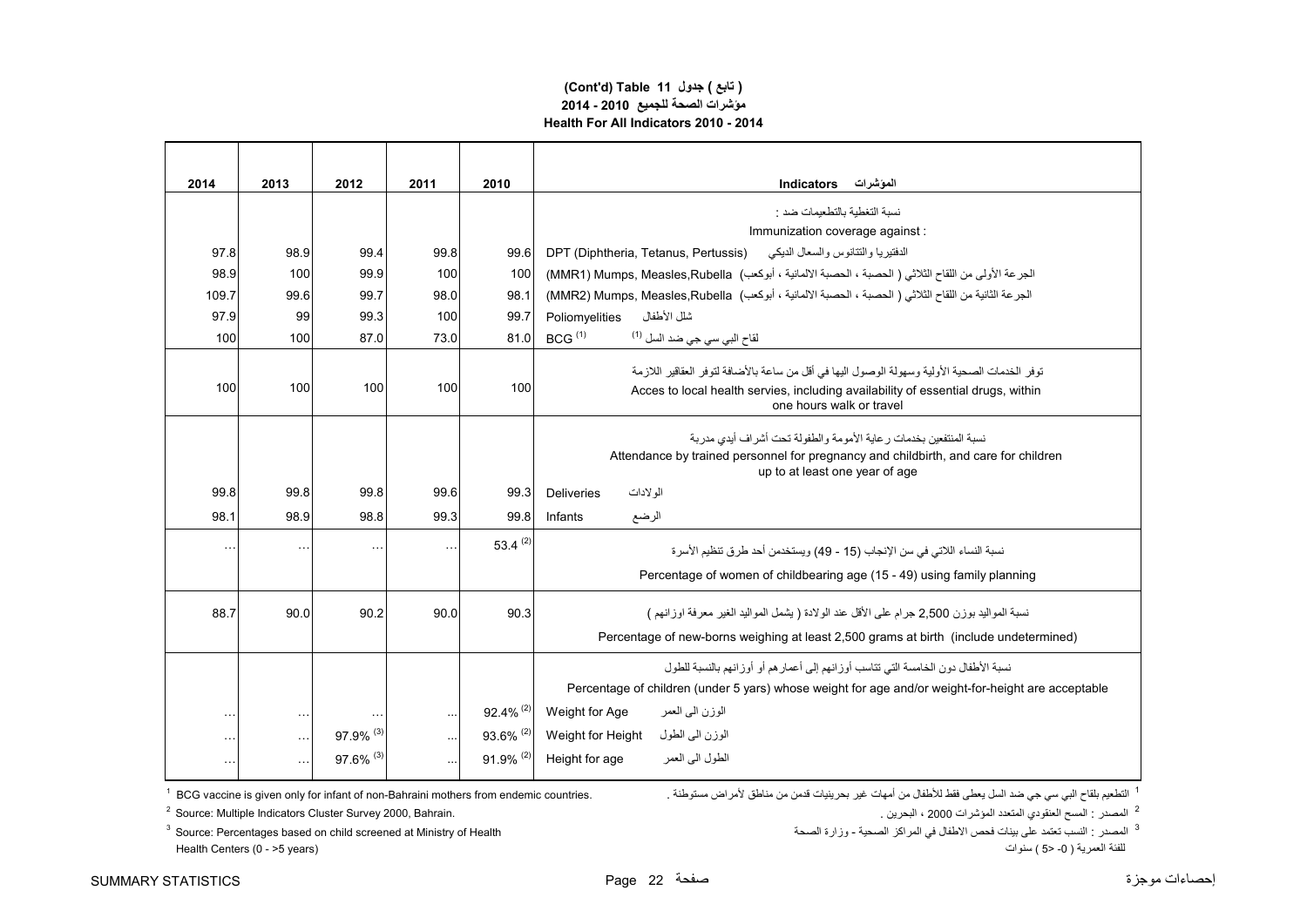#### **(Cont'd) Table 11 جدول ) تابع( مؤشرات الصحة للجميع 2010 - 2014 Health For All Indicators 2010 - 2014**

| 2014                 | 2013                 | 2012      | 2011 | 2010                    | الموشرات<br><b>Indicators</b>                                                                                         |
|----------------------|----------------------|-----------|------|-------------------------|-----------------------------------------------------------------------------------------------------------------------|
|                      |                      |           |      |                         | نسبة التغطية بالتطعيمات ضد :                                                                                          |
|                      |                      |           |      |                         | Immunization coverage against :                                                                                       |
| 97.8                 | 98.9                 | 99.4      | 99.8 | 99.6                    | الدفتيريا والتتانوس والسعال الديكى<br>DPT (Diphtheria, Tetanus, Pertussis)                                            |
| 98.9                 | 100                  | 99.9      | 100  | 100                     | الجرعة الأولى من اللقاح الثلاثي ( الحصبة ، الحصبة الالمانية ، أبوكعب)  MMR1) Mumps, Measles,Rubella)                  |
| 109.7                | 99.6                 | 99.7      | 98.0 | 98.1                    | الجرعة الثانية من اللقاح الثلاثي ( الحصبة ، الحصبة الالمانية ، أبوكعب)  MUmps, Measles,Rubella)  (MMR2)               |
| 97.9                 | 99                   | 99.3      | 100  | 99.7                    | شلل الأطفال<br>Poliomyelities                                                                                         |
| 100                  | 100                  | 87.0      | 73.0 | 81.0                    | BCG <sup>(1)</sup><br>لقاح الب <i>ي</i> سي جي ضد السل <sup>(1)</sup>                                                  |
|                      |                      |           |      |                         | توفر  الخدمات الصحية الأولية وسهولة الوصول اليها في أقل من ساعة بالأضافة لتوفر  العقاقير  اللاز مة                    |
| 100                  | 100                  | 100       | 100  | 100                     | Acces to local health servies, including availability of essential drugs, within<br>one hours walk or travel          |
|                      |                      |           |      |                         | نسبة المنتفعين بخدمات ر عابة الأمومة و الطفولة تحت أشر اف أبدى مدر بة                                                 |
|                      |                      |           |      |                         | Attendance by trained personnel for pregnancy and childbirth, and care for children<br>up to at least one year of age |
| 99.8                 | 99.8                 | 99.8      | 99.6 | 99.3                    | الو لادات<br>Deliveries                                                                                               |
| 98.1                 | 98.9                 | 98.8      | 99.3 | 99.8                    | الرضع<br>Infants                                                                                                      |
| $\ddotsc$            | $\ddot{\phantom{a}}$ |           |      | 53.4 $(2)$              | نسبة النساء اللاتي في سن الإنجاب (15 - 49) ويستخدمن أحد طرق تنظيم الأسرة                                              |
|                      |                      |           |      |                         | Percentage of women of childbearing age (15 - 49) using family planning                                               |
| 88.7                 | 90.0                 | 90.2      | 90.0 | 90.3                    | نسبة المواليد بوزن 2.500 جرام على الأقل عند الو لادة ( يشمل المواليد الغير  معرفة اوز انهم )                          |
|                      |                      |           |      |                         | Percentage of new-borns weighing at least 2,500 grams at birth (include undetermined)                                 |
|                      |                      |           |      |                         | نسبة الأطفال دون الخامسة التي تتاسب أوزانهم إلى أعمارهم أو أوزانهم بالنسبة للطول                                      |
|                      |                      |           |      |                         | Percentage of children (under 5 yars) whose weight for age and/or weight-for-height are acceptable                    |
| $\ddot{\phantom{a}}$ | $\sim$               |           |      | $92.4\%$ <sup>(2)</sup> | Weight for Age<br>الوزن المي العمر                                                                                    |
|                      | $\ddotsc$            | 97.9% (3) |      | 93.6% (2)               | الوزن الىي الطول<br>Weight for Height                                                                                 |
|                      | $\ldots$             | 97.6% (3) |      | $91.9\%$ <sup>(2)</sup> | الطول الىي العمر<br>Height for age                                                                                    |

التطعيم بلقاح البي سي جي ضد السل يعطي فقط للأطفال من أمهات غير بحرينيات قدمن من مناطق لأمراض مستوطنة . .<br>التطعيم بلقاح البي سي جي ضد السل يعطي فقط للأطفال من أمهات غير بحرينيات قدمن من مناطق لأمراض مستوطنة . .

ء<br>2 المصدر : المسح العنقودي المتعدد المؤشرات 2000 ، البحرين .

ك ...<br>للفئة العمر ية ( 0- <5 ) سنو ات

<sup>2</sup> Source: Multiple Indicators Cluster Survey 2000, Bahrain.

3 المصدر : النسب تعتمد على بينات فحص االطفال في المراكز الصحية - وزارة الصحة Health of Ministry at screened child on based Percentages :Source 3 Health Centers (0 - >5 years)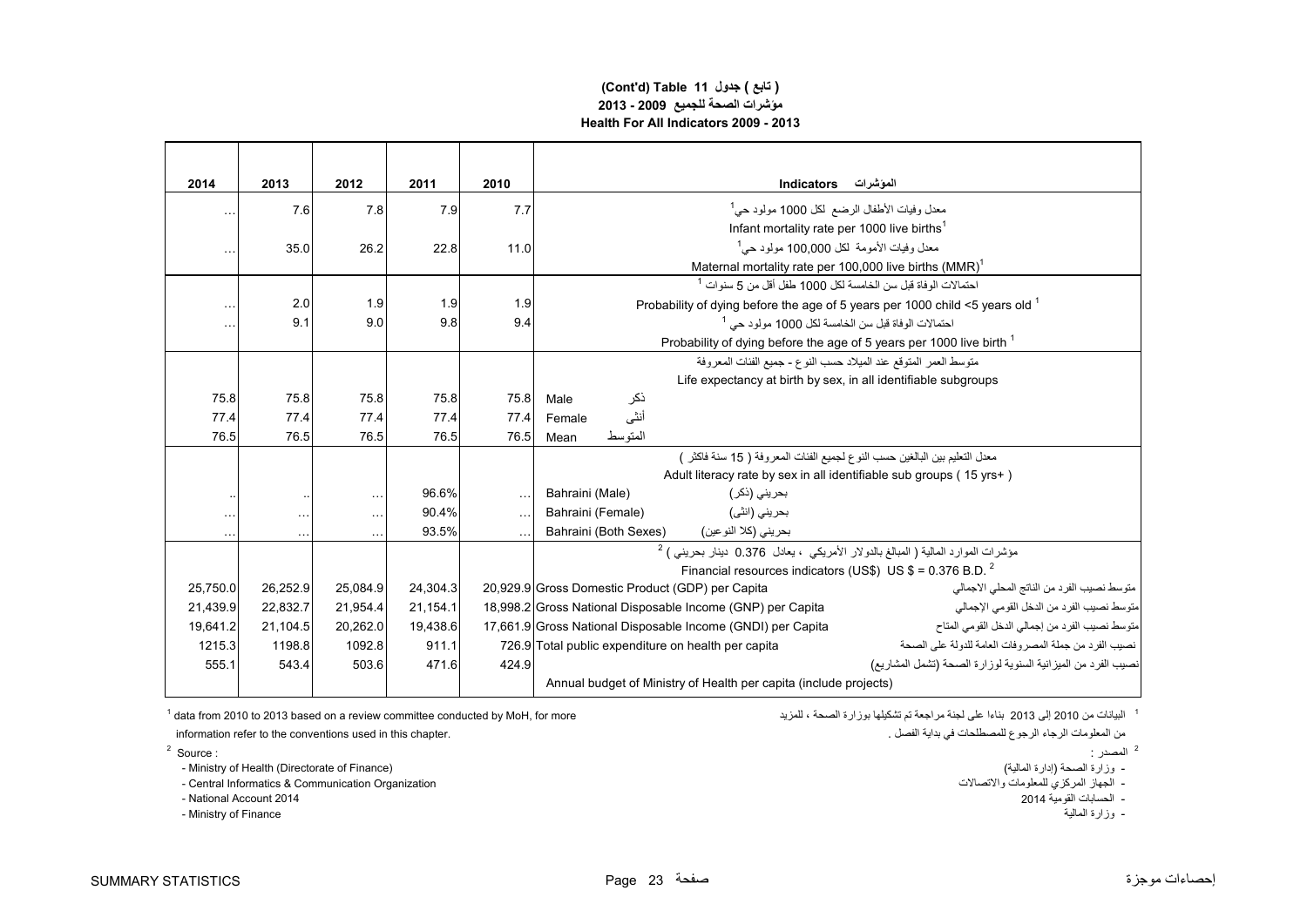#### **(Cont'd) Table 11 جدول ) تابع( مؤشرات الصحة للجميع 2009 - 2013 Health For All Indicators 2009 - 2013**

| 2014                 | 2013          | 2012     | 2011     | 2010      | الموشرات<br>Indicators                                                                                         |
|----------------------|---------------|----------|----------|-----------|----------------------------------------------------------------------------------------------------------------|
|                      | 7.6           | 7.8      | 7.9      | 7.7       | معدل وفيات الأطفال الرضع لكل 1000 مولود حي <sup>1</sup>                                                        |
|                      |               |          |          |           | Infant mortality rate per 1000 live births <sup>1</sup>                                                        |
| $\ddot{\phantom{a}}$ | 35.0          | 26.2     | 22.8     | 11.0      | معدل وفيات الأمومة  لكل 100,000 مولود حي <sup>1</sup>                                                          |
|                      |               |          |          |           | Maternal mortality rate per 100,000 live births (MMR)                                                          |
|                      |               |          |          |           | احتمالات الوفاة قبل سن الخامسة لكل 1000 طفل أقل من 5 سنوات <sup>1</sup>                                        |
|                      | 2.0           | 1.9      | 1.9      | 1.9       | Probability of dying before the age of 5 years per 1000 child <5 years old                                     |
|                      | 9.1           | 9.0      | 9.8      | 9.4       | احتمالات الوفاة قبل سن الخامسة لكل 1000 مولود حي <sup>1</sup>                                                  |
|                      |               |          |          |           | Probability of dying before the age of 5 years per 1000 live birth <sup>1</sup>                                |
|                      |               |          |          |           | متوسط العمر المتوقع عند الميلاد حسب النوع - جميع الفئات المعروفة                                               |
|                      |               |          |          |           | Life expectancy at birth by sex, in all identifiable subgroups                                                 |
| 75.8                 | 75.8          | 75.8     | 75.8     | 75.8      | ذكر<br>Male                                                                                                    |
| 77.4                 | 77.4          | 77.4     | 77.4     | 77.4      | أنثى<br>Female                                                                                                 |
| 76.5                 | 76.5          | 76.5     | 76.5     | 76.5      | المتوسط<br>Mean                                                                                                |
|                      |               |          |          |           | معدل التعليم بين البالغين حسب النو ع لجميع الفئات المعر و فة ( 15 سنة فاكثر _)                                 |
|                      |               |          |          |           | Adult literacy rate by sex in all identifiable sub groups (15 yrs+)                                            |
|                      |               |          | 96.6%    | $\ddotsc$ | Bahraini (Male)<br>بحريني (ذكر )                                                                               |
| .                    | $\sim$ $\sim$ | $\cdots$ | 90.4%    | $\ldots$  | بحريني (انٽي)<br>Bahraini (Female)                                                                             |
| $\sim$ $\sim$        | $\sim$ $\sim$ | $\cdots$ | 93.5%    | $\ddotsc$ | Bahraini (Both Sexes)<br>بحريني (كلا النو عين)                                                                 |
|                      |               |          |          |           | مؤشرات الموارد المالية ( المبالغ بالدولار الأمريكي ، يعادل 0.376 دينار بحريني ) <sup>2</sup>                   |
|                      |               |          |          |           | Financial resources indicators (US\$) US $$ = 0.376$ B.D. <sup>2</sup>                                         |
| 25,750.0             | 26.252.9      | 25,084.9 | 24,304.3 |           | متوسط نصيب الفر د من الناتج المحلي الاجمالي<br>20,929.9 Gross Domestic Product (GDP) per Capita                |
| 21,439.9             | 22,832.7      | 21,954.4 | 21,154.1 |           | متوسط نصيب الفرد من الدخل القومي الإجمالي<br>18,998.2 Gross National Disposable Income (GNP) per Capita        |
| 19.641.2             | 21.104.5      | 20,262.0 | 19.438.6 |           | متوسط نصيب الفرد من إجمالي الدخل القومي المتاح<br>17,661.9 Gross National Disposable Income (GNDI) per Capita  |
| 1215.3               | 1198.8        | 1092.8   | 911.1    |           | نصيب الفر د من جملة المصر و فات العامة للدولة على الصحة<br>726.9 Total public expenditure on health per capita |
| 555.1                | 543.4         | 503.6    | 471.6    | 424.9     | نصيب الفر د من الميز انية السنوية لو ز ار ة الصحة (تشمل المشار يع)                                             |
|                      |               |          |          |           | Annual budget of Ministry of Health per capita (include projects)                                              |

information refer to the conventions used in this chapter. . الفصل بداية في للمصطلحات الرجوع الرجاء المعلومات من

 $^2$  Source :  $\hfill$  :  $\hfill$   $\hfill$  :  $\hfill$   $\hfill$   $\hfill$   $\hfill$   $\hfill$   $\hfill$   $\hfill$   $\hfill$   $\hfill$   $\hfill$   $\hfill$   $\hfill$   $\hfill$   $\hfill$   $\hfill$   $\hfill$   $\hfill$   $\hfill$   $\hfill$   $\hfill$   $\hfill$   $\hfill$   $\hfill$   $\hfill$   $\hfill$   $\hfill$   $\hfill$   $\hfill$   $\hfill$   $\hfill$   $\hfill$ 

- وزارة الصحة (إدارة الصالية) من المسلم العسادة (إدارة الصحة والدارة الصحة والدارة الصحة والدارة (الصحة وزارة <br>- الجهاز المركزي للمعلومات والاتصالات - Central Informatics & Communication Organization

- Central Informatics & Communication Organization

- الحسابات القومية 2014 2014 Account National -

- Ministry of Finance المالية وزارة -

1 data from 2010 to 2013 based on a review committee conducted by MoH, for more للمزيد ، الصحة بوزارة تشكيلھا تم مراجعة لجنة على بناءا <sup>2013</sup> إلى <sup>2010</sup> من البيانات <sup>1</sup>

<sup>2</sup> المصدر :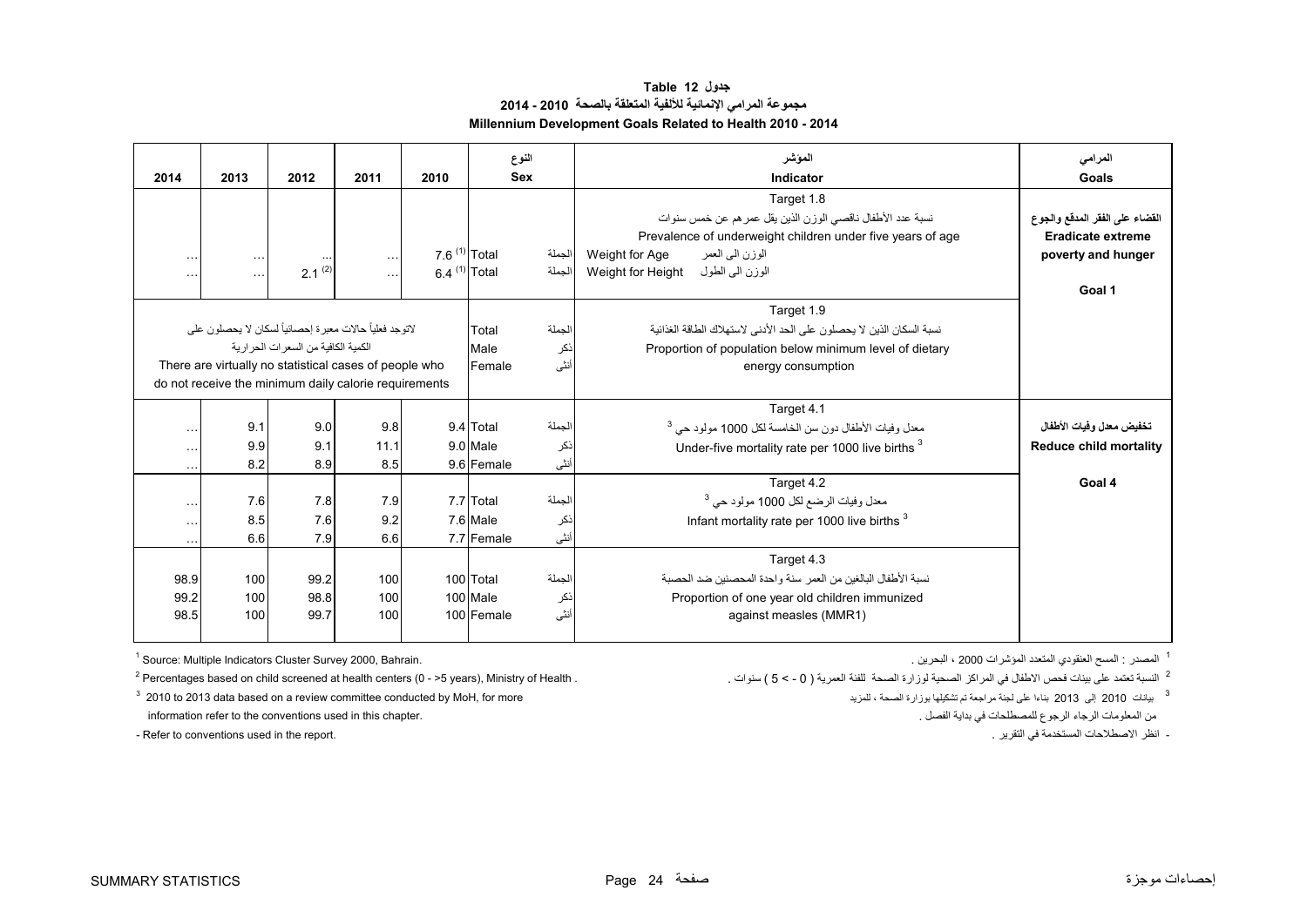**جدول 12 Table مجموعة المرامي اإلنمائية لأللفية المتعلقة بالصحة 2010 - 2014 Millennium Development Goals Related to Health 2010 - 2014**

<span id="page-25-0"></span>

| 2014                 | 2013                                                        | 2012                                 | 2011      | 2010                     | النوع<br><b>Sex</b> |        | الموشر<br>Indicator                                                  | المرامى<br>Goals               |
|----------------------|-------------------------------------------------------------|--------------------------------------|-----------|--------------------------|---------------------|--------|----------------------------------------------------------------------|--------------------------------|
|                      |                                                             |                                      |           |                          |                     |        | Target 1.8                                                           |                                |
|                      |                                                             |                                      |           |                          |                     |        | نسبة عدد الأطفال ناقصي الوزن الذين يقل عمر هم عن خمس سنوات           | القضاء على الفقر المدقع والجوع |
|                      |                                                             |                                      |           |                          |                     |        | Prevalence of underweight children under five years of age           | Eradicate extreme              |
| .                    | $\sim$ $\sim$ $\sim$                                        |                                      | $\ddotsc$ | 7 6 <sup>(1)</sup> Total |                     | الجملة | الوزن البي العمر<br>Weight for Age                                   | poverty and hunger             |
| $\ddotsc$            | $\cdots$                                                    | $2.1^{(2)}$                          | $\ddotsc$ | 6.4 $(1)$ Total          |                     | الجملة | الوزن الی الطول<br>Weight for Height                                 |                                |
|                      |                                                             |                                      |           |                          |                     |        |                                                                      | Goal 1                         |
|                      |                                                             |                                      |           |                          |                     |        | Target 1.9                                                           |                                |
|                      | لاتوجد فعلياً حالات معبر ة إحصـائياً لسكان لا يحصـلو ن علـي |                                      |           |                          | Total               | الجملة | نسبة السكان الذين لا يحصلون على الحد الأدنى لاستهلاك الطاقة الغذائية |                                |
|                      |                                                             | الكمية الكافية من السعر ات الحر اربة |           |                          | Male                | ذكر    | Proportion of population below minimum level of dietary              |                                |
|                      | There are virtually no statistical cases of people who      |                                      |           |                          | Female              | أنثى   | energy consumption                                                   |                                |
|                      | do not receive the minimum daily calorie requirements       |                                      |           |                          |                     |        |                                                                      |                                |
|                      |                                                             |                                      |           |                          |                     |        | Target 4.1                                                           |                                |
| $\cdots$             | 9.1                                                         | 9.0                                  | 9.8       |                          | 9.4 Total           | الجملة | معدل وفيات الأطفال دون سن الخامسة لكل 1000 مولود حي <sup>3</sup>     | تخفيض معدل وفيات الأطفال       |
| $\cdots$             | 9.9                                                         | 9.1                                  | 11.1      |                          | 9.0 Male            | نكر    | Under-five mortality rate per 1000 live births <sup>3</sup>          | <b>Reduce child mortality</b>  |
| $\sim$ $\sim$ $\sim$ | 8.2                                                         | 8.9                                  | 8.5       |                          | 9.6 Female          | أنثى   |                                                                      |                                |
|                      |                                                             |                                      |           |                          |                     |        | Target 4.2                                                           | Goal 4                         |
| $\cdots$             | 7.6                                                         | 7.8                                  | 7.9       |                          | 7.7 Total           | لجملة  | معدل وفيات الرضع لكل 1000 مولود حي <sup>3</sup>                      |                                |
| $\cdots$             | 8.5                                                         | 7.6                                  | 9.2       |                          | 7.6 Male            | نكر    | Infant mortality rate per 1000 live births <sup>3</sup>              |                                |
| $\ddotsc$            | 6.6                                                         | 7.9                                  | 6.6       |                          | 7.7 Female          | أنثى   |                                                                      |                                |
|                      |                                                             |                                      |           |                          |                     |        | Target 4.3                                                           |                                |
| 98.9                 | 100                                                         | 99.2                                 | 100       |                          | 100 Total           | الجملة | نسبة الأطفال البالغين من العمر  سنة و احدة المحصنين ضد الحصبة        |                                |
| 99.2                 | 100                                                         | 98.8                                 | 100       |                          | 100 Male            | نكر    | Proportion of one year old children immunized                        |                                |
| 98.5                 | 100                                                         | 99.7                                 | 100       |                          | 100 Female          | أنثى   | against measles (MMR1)                                               |                                |
|                      |                                                             |                                      |           |                          |                     |        |                                                                      |                                |

1 المصدر : المسح العنقودي المتعدد المؤشر ات 2000 ، البحر بن .

2 النسبة تعتمد

information refer to the conventions used in this chapter. . الفصل بداية في للمصطلحات الرجوع الرجاء المعلومات من

 $1$  Source: Multiple Indicators Cluster Survey 2000, Bahrain.

 $2$  Percentages based on child screened at health centers (0 - >5 years), Ministry of Health .

 $^3$  2010 للمراجعة بوري والله على المزيد ، الصحة بوزارة تسكيلها بوزارة تسميلها بوزارة تسميلها بوزارة تسميلها بوزارة تسميلها بوزارة تسميلها بوزارة تسميلها بوزارة تسميلها بوزارة تسميلها بوزارة تسميلها بوزارة تسميلها بوزارة

- Refer to conventions used in the report. . التقرير في المستخدمة االصطالحات انظر -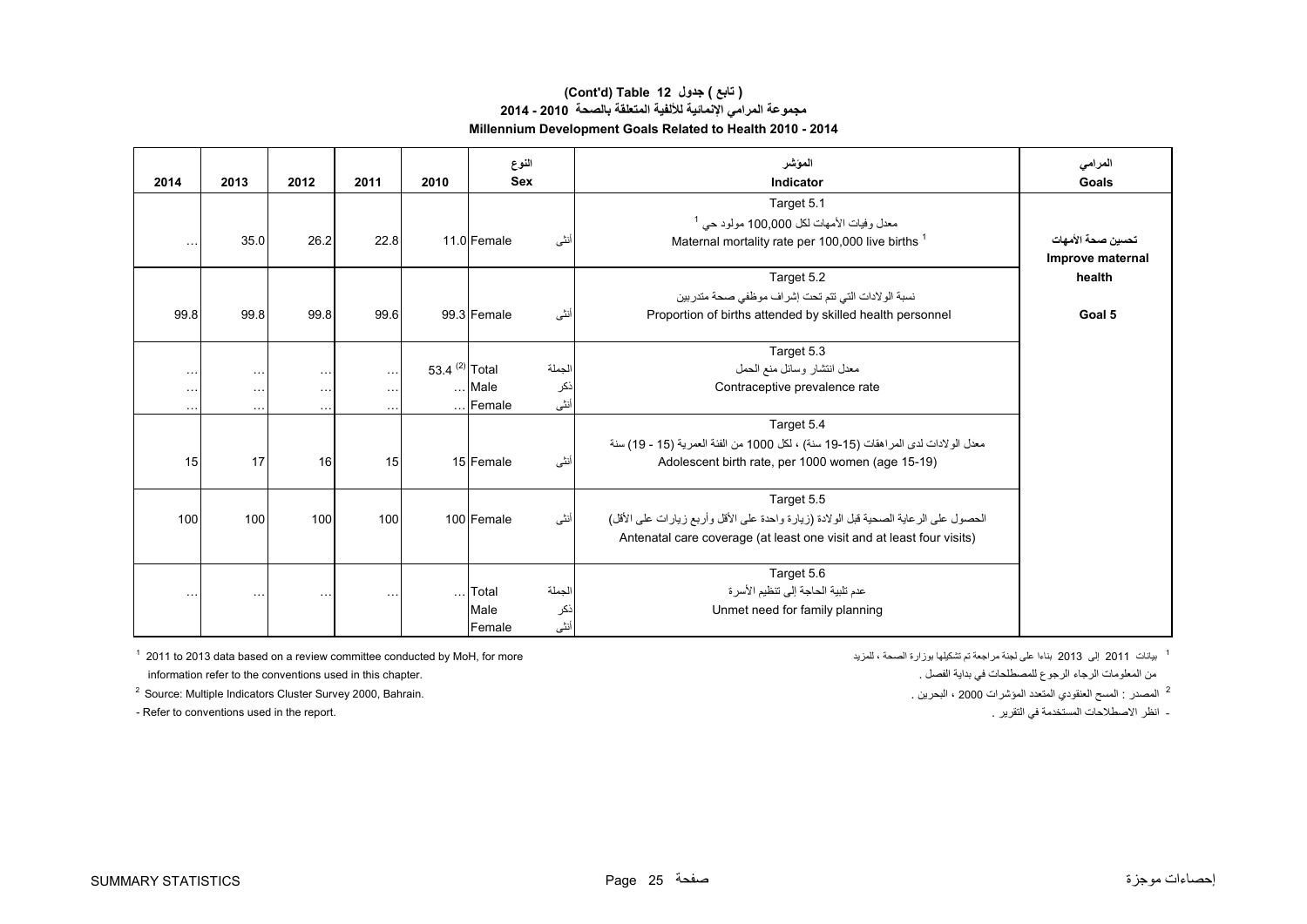#### **مجموعة المرامي اإلنمائية لأللفية المتعلقة بالصحة 2010 - 2014 Millennium Development Goals Related to Health 2010 - 2014 (Cont'd) Table 12 جدول ) تابع(**

| 2014      | 2013                 | 2012      | 2011     | 2010                      |                 | النوع<br><b>Sex</b> | المؤشر<br>Indicator                                                                  | المرامي<br>Goals  |
|-----------|----------------------|-----------|----------|---------------------------|-----------------|---------------------|--------------------------------------------------------------------------------------|-------------------|
|           |                      |           |          |                           |                 |                     | Target 5.1                                                                           |                   |
|           |                      |           |          |                           |                 |                     | معدل وفيات الأمهات لكل 100,000 مولود حي <sup>1</sup>                                 |                   |
| $\ddotsc$ | 35.0                 | 26.2      | 22.8     |                           | 11.0 Female     | أنثى                | Maternal mortality rate per 100,000 live births 1                                    | تحسبن صحة الأمهات |
|           |                      |           |          |                           |                 |                     |                                                                                      | Improve maternal  |
|           |                      |           |          |                           |                 |                     | Target 5.2                                                                           | health            |
|           |                      |           |          |                           |                 |                     | نسبة الولادات التي تتم تحت إشراف موظفي صحة متدربين                                   |                   |
| 99.8      | 99.8                 | 99.8      | 99.6     |                           | 99.3 Female     | أنثى                | Proportion of births attended by skilled health personnel                            | Goal 5            |
|           |                      |           |          |                           |                 |                     |                                                                                      |                   |
|           |                      |           |          |                           |                 |                     | Target 5.3                                                                           |                   |
| $\cdots$  | $\cdots$             | $\cdots$  | $\cdots$ | 53.4 <sup>(2)</sup> Total |                 | لجملة               | معدل انتشار وسائل منع الحمل                                                          |                   |
| $\cdots$  | $\sim$ $\sim$ $\sim$ | $\ddotsc$ | $\cdots$ |                           | Male            | نكر                 | Contraceptive prevalence rate                                                        |                   |
| $\ddotsc$ | $\cdots$             | .         | $\cdots$ |                           | $\ldots$ Female | أنثى                |                                                                                      |                   |
|           |                      |           |          |                           |                 |                     | Target 5.4                                                                           |                   |
|           |                      |           |          |                           |                 |                     | معدل الولادات لدى المراهقات (15-19 سنة) ، لكل 1000 من الفئة العمرية (15 - 19) سنة    |                   |
| 15        | 17                   | 16        | 15       |                           | 15 Female       | أنثى                | Adolescent birth rate, per 1000 women (age 15-19)                                    |                   |
|           |                      |           |          |                           |                 |                     |                                                                                      |                   |
|           |                      |           |          |                           |                 |                     | Target 5.5                                                                           |                   |
| 100       | 100                  | 100       | 100      |                           | 100 Female      | أنثى                | الحصول على الرعاية الصحية قبل الولادة (زيارة واحدة على الأقل وأربع زيارات على الأقل) |                   |
|           |                      |           |          |                           |                 |                     | Antenatal care coverage (at least one visit and at least four visits)                |                   |
|           |                      |           |          |                           |                 |                     |                                                                                      |                   |
|           |                      |           |          |                           |                 |                     | Target 5.6                                                                           |                   |
| $\cdots$  | $\sim$ $\sim$        | $\ddotsc$ | $\ldots$ | $\cdots$                  | Total           | لجملة               | عدم تلبية الحاجة إلى تنظيم الأسر ة                                                   |                   |
|           |                      |           |          |                           | Male            | نكر                 | Unmet need for family planning                                                       |                   |
|           |                      |           |          |                           | Female          | أنثى                |                                                                                      |                   |

<sup>1</sup> بيانات 2011 بلغاء على لجنة مراجعة تم تشكيلها بوزارة الصحة ، للمزيد ، الصحة ، للمزيد ، الصحة ، المزيد ، الصحة ، المزيد ، الصحة ، المزيد ، الصحة بوزارة الصحة ، المزيد ، الصحة بوزارة الصحة ، المزيد ، الصحة بالمزيد الصحة information refer to the conventions used in this chapter. . الفصل بداية في للمصطلحات الرجوع الرجاء المعلومات من

<sup>2</sup> Source: Multiple Indicators Cluster Survey 2000, Bahrain.

.<br>- Refer to conventions used in the report. . . . انظر الاصطلاحات المستخدمة في التقرير .

<sup>2</sup> المصدر : المسح العنقودي المتعدد المؤشرات 2000 ، البحرين .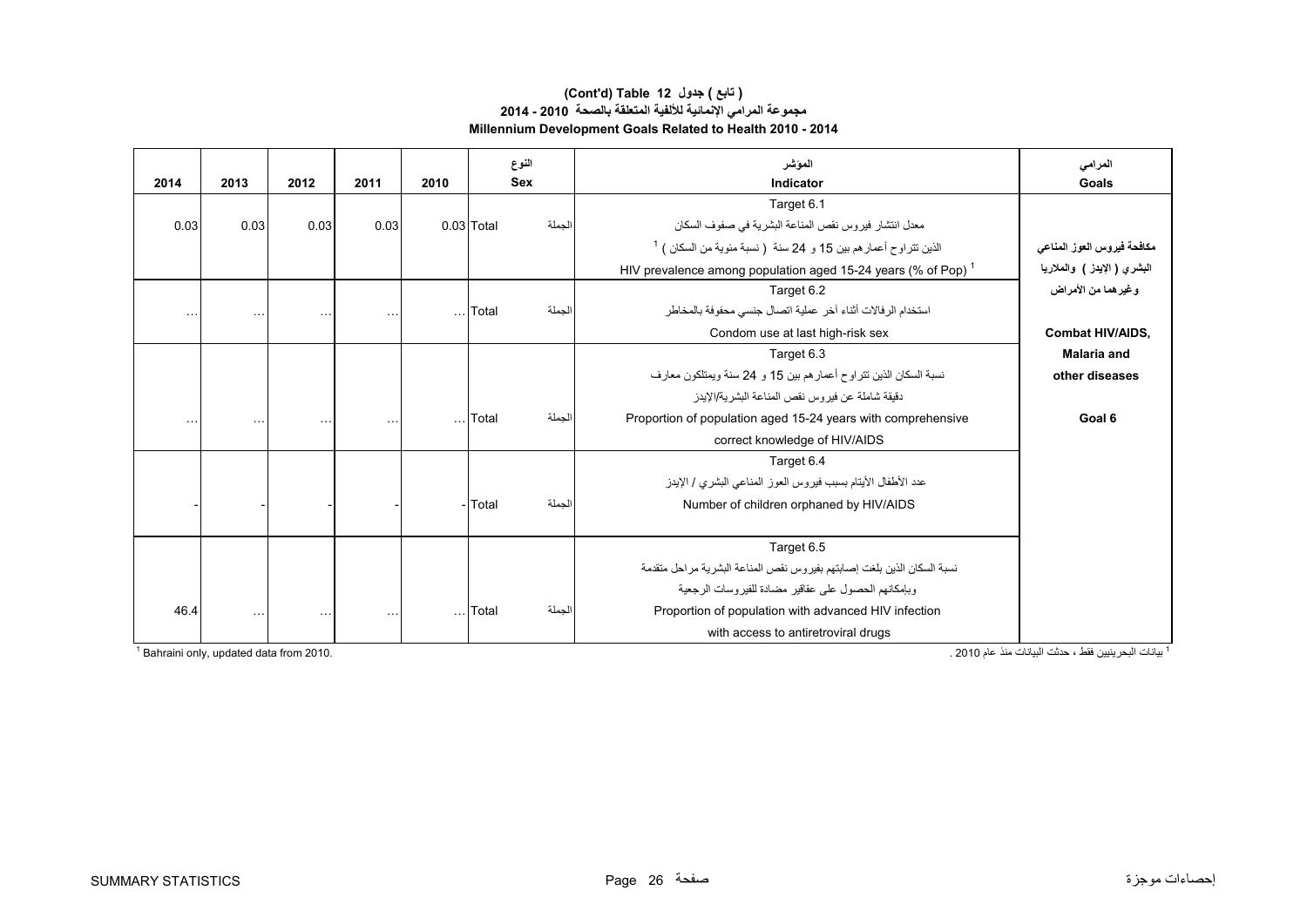### **مجموعة المرامي اإلنمائية لأللفية المتعلقة بالصحة 2010 - 2014 Millennium Development Goals Related to Health 2010 - 2014 (Cont'd) Table 12 جدول ) تابع(**

| 2014     | 2013                 | 2012      | 2011                 | 2010     |            | النوع<br><b>Sex</b> | الموشر<br>Indicator                                                      | المرامى<br>Goals            |
|----------|----------------------|-----------|----------------------|----------|------------|---------------------|--------------------------------------------------------------------------|-----------------------------|
|          |                      |           |                      |          |            |                     | Target 6.1                                                               |                             |
| 0.03     | 0.03                 | 0.03      | 0.03                 |          | 0.03 Total | الجملة              | معدل انتشار فيروس نقص المناعة البشرية في صفوف السكان                     |                             |
|          |                      |           |                      |          |            |                     | $^{-1}$ الذين تتراوح أعمار هم بين 15 و 24 سنة (نسبة مئوية من السكان )    | مكافحة فيروس العوز المناعى  |
|          |                      |           |                      |          |            |                     | HIV prevalence among population aged 15-24 years (% of Pop) <sup>1</sup> | البشري ( الإيدز ) والملاريا |
|          |                      |           |                      |          |            |                     | Target 6.2                                                               | وغيرهما من الأمراض          |
| $\cdots$ | $\sim$ $\sim$ $\sim$ | $\ddotsc$ | $\sim$ $\sim$ $\sim$ | $\cdots$ | Total      | الجملة              | استخدام الرفالات أثناء آخر عملية اتصال جنسى محفوفة بالمخاطر              |                             |
|          |                      |           |                      |          |            |                     | Condom use at last high-risk sex                                         | <b>Combat HIV/AIDS,</b>     |
|          |                      |           |                      |          |            |                     | Target 6.3                                                               | <b>Malaria and</b>          |
|          |                      |           |                      |          |            |                     | نسبة السكان الذين نتراوح أعمار هم بين 15 و 24 سنة ويمتلكون معارف         | other diseases              |
|          |                      |           |                      |          |            |                     | دقيقة شاملة عن فير و س نقص المناعة البشر ية/الإيدز                       |                             |
|          |                      | $\ddotsc$ | $\sim$ $\sim$ $\sim$ | $\ldots$ | Total      | الجملة              | Proportion of population aged 15-24 years with comprehensive             | Goal 6                      |
|          |                      |           |                      |          |            |                     | correct knowledge of HIV/AIDS                                            |                             |
|          |                      |           |                      |          |            |                     | Target 6.4                                                               |                             |
|          |                      |           |                      |          |            |                     | عدد الأطفال الأيتام بسبب فيروس العوز المناعي البشري / الإيدز             |                             |
|          |                      |           |                      |          | - Total    | الجملة              | Number of children orphaned by HIV/AIDS                                  |                             |
|          |                      |           |                      |          |            |                     |                                                                          |                             |
|          |                      |           |                      |          |            |                     | Target 6.5                                                               |                             |
|          |                      |           |                      |          |            |                     | نسبة السكان الذين بلغت إصابتهم بفيروس نقص المناعة البشرية مراحل متقدمة   |                             |
|          |                      |           |                      |          |            |                     | وبإمكانهم الحصول على عقاقير مضادة للفير وسات الرجعية                     |                             |
| 46.4     | $\ldots$             | $\cdots$  | $\cdots$             | $\ldots$ | Total      | الجملة              | Proportion of population with advanced HIV infection                     |                             |
|          |                      |           |                      |          |            |                     | with access to antiretroviral drugs                                      |                             |

1 بيانات البحرينيين فقط ، حدثت البيانات منذ عام 2010 . 2010. from data updated ,only Bahraini 1